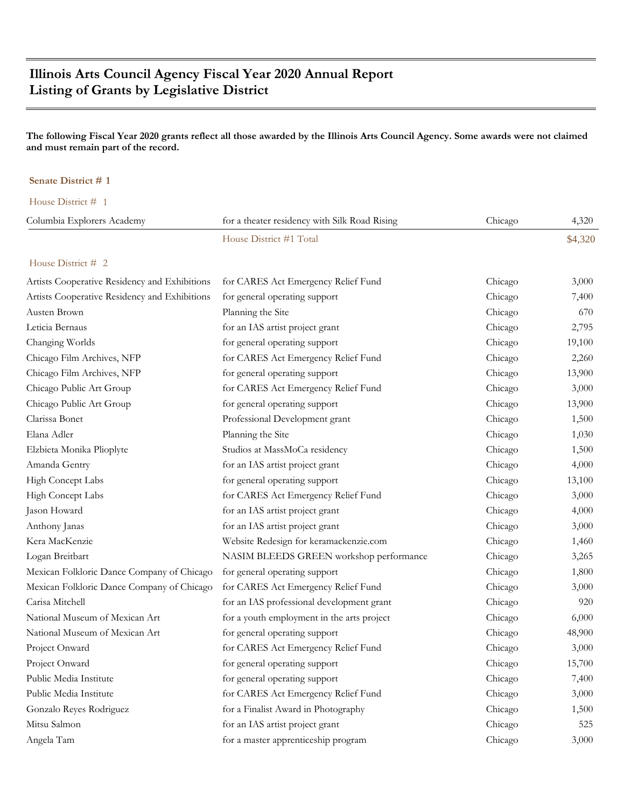# **Illinois Arts Council Agency Fiscal Year 2020 Annual Report Listing of Grants by Legislative District**

### **The following Fiscal Year 2020 grants reflect all those awarded by the Illinois Arts Council Agency. Some awards were not claimed and must remain part of the record.**

#### **Senate District # 1**

| House District # 1                            |                                               |         |         |
|-----------------------------------------------|-----------------------------------------------|---------|---------|
| Columbia Explorers Academy                    | for a theater residency with Silk Road Rising | Chicago | 4,320   |
|                                               | House District #1 Total                       |         | \$4,320 |
| House District # 2                            |                                               |         |         |
| Artists Cooperative Residency and Exhibitions | for CARES Act Emergency Relief Fund           | Chicago | 3,000   |
| Artists Cooperative Residency and Exhibitions | for general operating support                 | Chicago | 7,400   |
| Austen Brown                                  | Planning the Site                             | Chicago | 670     |
| Leticia Bernaus                               | for an IAS artist project grant               | Chicago | 2,795   |
| Changing Worlds                               | for general operating support                 | Chicago | 19,100  |
| Chicago Film Archives, NFP                    | for CARES Act Emergency Relief Fund           | Chicago | 2,260   |
| Chicago Film Archives, NFP                    | for general operating support                 | Chicago | 13,900  |
| Chicago Public Art Group                      | for CARES Act Emergency Relief Fund           | Chicago | 3,000   |
| Chicago Public Art Group                      | for general operating support                 | Chicago | 13,900  |
| Clarissa Bonet                                | Professional Development grant                | Chicago | 1,500   |
| Elana Adler                                   | Planning the Site                             | Chicago | 1,030   |
| Elzbieta Monika Plioplyte                     | Studios at MassMoCa residency                 | Chicago | 1,500   |
| Amanda Gentry                                 | for an IAS artist project grant               | Chicago | 4,000   |
| High Concept Labs                             | for general operating support                 | Chicago | 13,100  |
| High Concept Labs                             | for CARES Act Emergency Relief Fund           | Chicago | 3,000   |
| Jason Howard                                  | for an IAS artist project grant               | Chicago | 4,000   |
| Anthony Janas                                 | for an IAS artist project grant               | Chicago | 3,000   |
| Kera MacKenzie                                | Website Redesign for keramackenzie.com        | Chicago | 1,460   |
| Logan Breitbart                               | NASIM BLEEDS GREEN workshop performance       | Chicago | 3,265   |
| Mexican Folkloric Dance Company of Chicago    | for general operating support                 | Chicago | 1,800   |
| Mexican Folkloric Dance Company of Chicago    | for CARES Act Emergency Relief Fund           | Chicago | 3,000   |
| Carisa Mitchell                               | for an IAS professional development grant     | Chicago | 920     |
| National Museum of Mexican Art                | for a youth employment in the arts project    | Chicago | 6,000   |
| National Museum of Mexican Art                | for general operating support                 | Chicago | 48,900  |
| Project Onward                                | for CARES Act Emergency Relief Fund           | Chicago | 3,000   |
| Project Onward                                | for general operating support                 | Chicago | 15,700  |
| Public Media Institute                        | for general operating support                 | Chicago | 7,400   |
| Public Media Institute                        | for CARES Act Emergency Relief Fund           | Chicago | 3,000   |
| Gonzalo Reyes Rodriguez                       | for a Finalist Award in Photography           | Chicago | 1,500   |
| Mitsu Salmon                                  | for an IAS artist project grant               | Chicago | 525     |
| Angela Tam                                    | for a master apprenticeship program           | Chicago | 3,000   |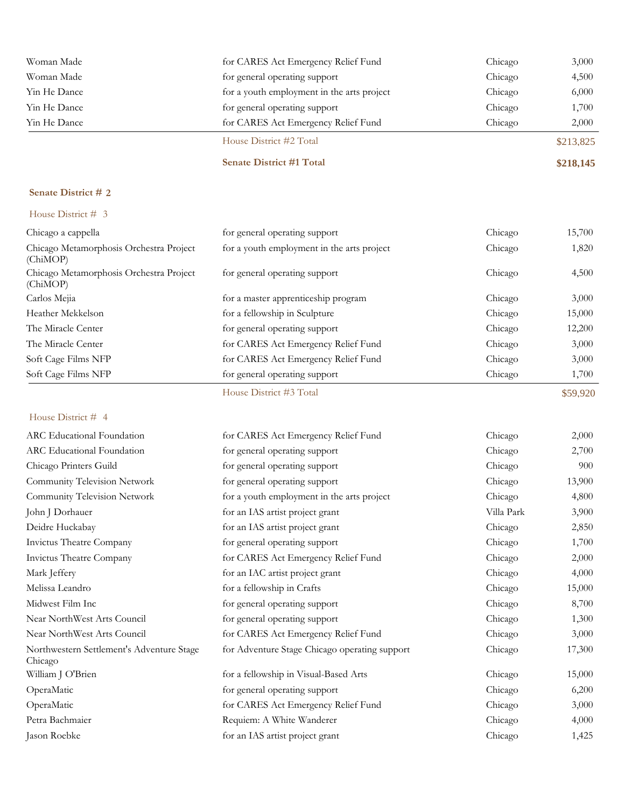| Woman Made   | for CARES Act Emergency Relief Fund        | Chicago | 3,000     |
|--------------|--------------------------------------------|---------|-----------|
| Woman Made   | for general operating support              | Chicago | 4,500     |
| Yin He Dance | for a youth employment in the arts project | Chicago | 6,000     |
| Yin He Dance | for general operating support              | Chicago | 1,700     |
| Yin He Dance | for CARES Act Emergency Relief Fund        | Chicago | 2,000     |
|              | House District #2 Total                    |         | \$213,825 |
|              | <b>Senate District #1 Total</b>            |         | \$218,145 |

### House District # 3

| Chicago a cappella                                  | for general operating support              | Chicago | 15,700   |
|-----------------------------------------------------|--------------------------------------------|---------|----------|
| Chicago Metamorphosis Orchestra Project<br>(ChiMOP) | for a youth employment in the arts project | Chicago | 1,820    |
| Chicago Metamorphosis Orchestra Project<br>(ChiMOP) | for general operating support              | Chicago | 4,500    |
| Carlos Mejia                                        | for a master apprenticeship program        | Chicago | 3,000    |
| Heather Mekkelson                                   | for a fellowship in Sculpture              | Chicago | 15,000   |
| The Miracle Center                                  | for general operating support              | Chicago | 12,200   |
| The Miracle Center                                  | for CARES Act Emergency Relief Fund        | Chicago | 3,000    |
| Soft Cage Films NFP                                 | for CARES Act Emergency Relief Fund        | Chicago | 3,000    |
| Soft Cage Films NFP                                 | for general operating support              | Chicago | 1,700    |
|                                                     | House District #3 Total                    |         | \$59,920 |

| ARC Educational Foundation                           | for CARES Act Emergency Relief Fund           | Chicago    | 2,000  |
|------------------------------------------------------|-----------------------------------------------|------------|--------|
| ARC Educational Foundation                           | for general operating support                 | Chicago    | 2,700  |
| Chicago Printers Guild                               | for general operating support                 | Chicago    | 900    |
| Community Television Network                         | for general operating support                 | Chicago    | 13,900 |
| Community Television Network                         | for a youth employment in the arts project    | Chicago    | 4,800  |
| John J Dorhauer                                      | for an IAS artist project grant               | Villa Park | 3,900  |
| Deidre Huckabay                                      | for an IAS artist project grant               | Chicago    | 2,850  |
| Invictus Theatre Company                             | for general operating support                 | Chicago    | 1,700  |
| Invictus Theatre Company                             | for CARES Act Emergency Relief Fund           | Chicago    | 2,000  |
| Mark Jeffery                                         | for an IAC artist project grant               | Chicago    | 4,000  |
| Melissa Leandro                                      | for a fellowship in Crafts                    | Chicago    | 15,000 |
| Midwest Film Inc                                     | for general operating support                 | Chicago    | 8,700  |
| Near NorthWest Arts Council                          | for general operating support                 | Chicago    | 1,300  |
| Near NorthWest Arts Council                          | for CARES Act Emergency Relief Fund           | Chicago    | 3,000  |
| Northwestern Settlement's Adventure Stage<br>Chicago | for Adventure Stage Chicago operating support | Chicago    | 17,300 |
| William J O'Brien                                    | for a fellowship in Visual-Based Arts         | Chicago    | 15,000 |
| OperaMatic                                           | for general operating support                 | Chicago    | 6,200  |
| OperaMatic                                           | for CARES Act Emergency Relief Fund           | Chicago    | 3,000  |
| Petra Bachmaier                                      | Requiem: A White Wanderer                     | Chicago    | 4,000  |
| Jason Roebke                                         | for an IAS artist project grant               | Chicago    | 1,425  |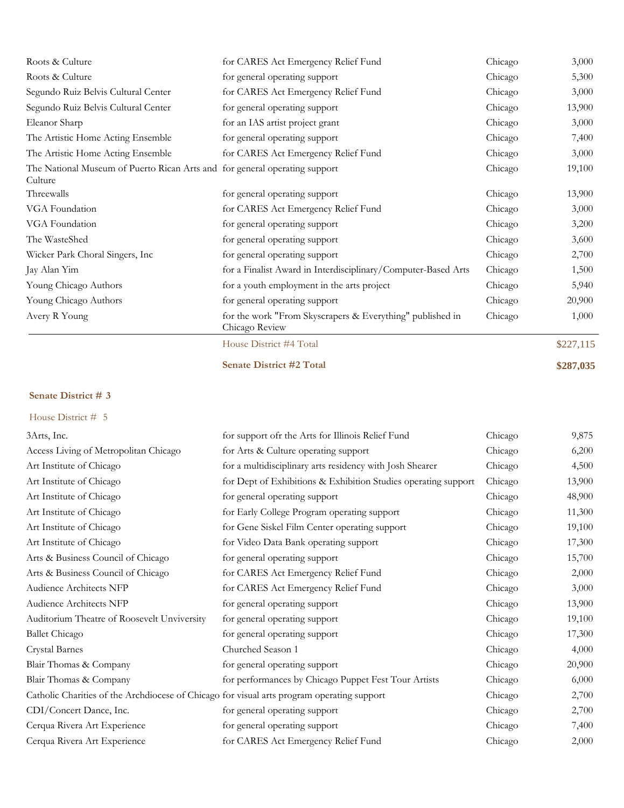| Roots & Culture                                                                       | for CARES Act Emergency Relief Fund                                         | Chicago | 3,000     |
|---------------------------------------------------------------------------------------|-----------------------------------------------------------------------------|---------|-----------|
| Roots & Culture                                                                       | for general operating support                                               | Chicago | 5,300     |
| Segundo Ruiz Belvis Cultural Center                                                   | for CARES Act Emergency Relief Fund                                         | Chicago | 3,000     |
| Segundo Ruiz Belvis Cultural Center                                                   | for general operating support                                               | Chicago | 13,900    |
| Eleanor Sharp                                                                         | for an IAS artist project grant                                             | Chicago | 3,000     |
| The Artistic Home Acting Ensemble                                                     | for general operating support                                               | Chicago | 7,400     |
| The Artistic Home Acting Ensemble                                                     | for CARES Act Emergency Relief Fund                                         | Chicago | 3,000     |
| The National Museum of Puerto Rican Arts and for general operating support<br>Culture |                                                                             | Chicago | 19,100    |
| Threewalls                                                                            | for general operating support                                               | Chicago | 13,900    |
| VGA Foundation                                                                        | for CARES Act Emergency Relief Fund                                         | Chicago | 3,000     |
| VGA Foundation                                                                        | for general operating support                                               | Chicago | 3,200     |
| The WasteShed                                                                         | for general operating support                                               | Chicago | 3,600     |
| Wicker Park Choral Singers, Inc.                                                      | for general operating support                                               | Chicago | 2,700     |
| Jay Alan Yim                                                                          | for a Finalist Award in Interdisciplinary/Computer-Based Arts               | Chicago | 1,500     |
| Young Chicago Authors                                                                 | for a youth employment in the arts project                                  | Chicago | 5,940     |
| Young Chicago Authors                                                                 | for general operating support                                               | Chicago | 20,900    |
| Avery R Young                                                                         | for the work "From Skyscrapers & Everything" published in<br>Chicago Review | Chicago | 1,000     |
|                                                                                       | House District #4 Total                                                     |         | \$227,115 |

**Senate District #2 Total \$287,035**

### **Senate District # 3**

| 3Arts, Inc.                                                                                | for support ofr the Arts for Illinois Relief Fund              | Chicago | 9,875  |
|--------------------------------------------------------------------------------------------|----------------------------------------------------------------|---------|--------|
| Access Living of Metropolitan Chicago                                                      | for Arts & Culture operating support                           | Chicago | 6,200  |
| Art Institute of Chicago                                                                   | for a multidisciplinary arts residency with Josh Shearer       | Chicago | 4,500  |
| Art Institute of Chicago                                                                   | for Dept of Exhibitions & Exhibition Studies operating support | Chicago | 13,900 |
| Art Institute of Chicago                                                                   | for general operating support                                  | Chicago | 48,900 |
| Art Institute of Chicago                                                                   | for Early College Program operating support                    | Chicago | 11,300 |
| Art Institute of Chicago                                                                   | for Gene Siskel Film Center operating support                  | Chicago | 19,100 |
| Art Institute of Chicago                                                                   | for Video Data Bank operating support                          | Chicago | 17,300 |
| Arts & Business Council of Chicago                                                         | for general operating support                                  | Chicago | 15,700 |
| Arts & Business Council of Chicago                                                         | for CARES Act Emergency Relief Fund                            | Chicago | 2,000  |
| Audience Architects NFP                                                                    | for CARES Act Emergency Relief Fund                            | Chicago | 3,000  |
| Audience Architects NFP                                                                    | for general operating support                                  | Chicago | 13,900 |
| Auditorium Theatre of Roosevelt Unviversity                                                | for general operating support                                  | Chicago | 19,100 |
| <b>Ballet Chicago</b>                                                                      | for general operating support                                  | Chicago | 17,300 |
| Crystal Barnes                                                                             | Churched Season 1                                              | Chicago | 4,000  |
| Blair Thomas & Company                                                                     | for general operating support                                  | Chicago | 20,900 |
| Blair Thomas & Company                                                                     | for performances by Chicago Puppet Fest Tour Artists           | Chicago | 6,000  |
| Catholic Charities of the Archdiocese of Chicago for visual arts program operating support |                                                                | Chicago | 2,700  |
| CDI/Concert Dance, Inc.                                                                    | for general operating support                                  | Chicago | 2,700  |
| Cerqua Rivera Art Experience                                                               | for general operating support                                  | Chicago | 7,400  |
| Cerqua Rivera Art Experience                                                               | for CARES Act Emergency Relief Fund                            | Chicago | 2,000  |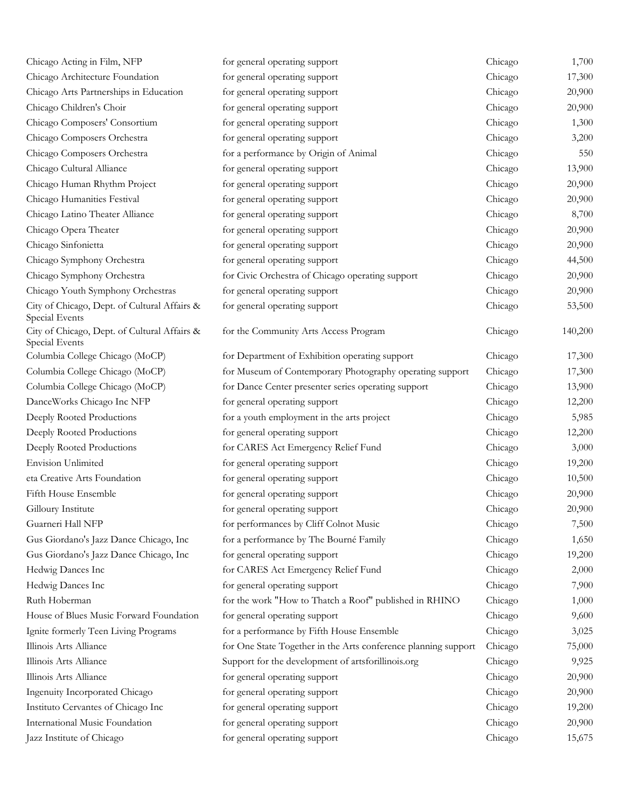| Chicago Acting in Film, NFP                                    | for general operating support                                  | Chicago | 1,700   |
|----------------------------------------------------------------|----------------------------------------------------------------|---------|---------|
| Chicago Architecture Foundation                                | for general operating support                                  | Chicago | 17,300  |
| Chicago Arts Partnerships in Education                         | for general operating support                                  | Chicago | 20,900  |
| Chicago Children's Choir                                       | for general operating support                                  | Chicago | 20,900  |
| Chicago Composers' Consortium                                  | for general operating support                                  | Chicago | 1,300   |
| Chicago Composers Orchestra                                    | for general operating support                                  | Chicago | 3,200   |
| Chicago Composers Orchestra                                    | for a performance by Origin of Animal                          | Chicago | 550     |
| Chicago Cultural Alliance                                      | for general operating support                                  | Chicago | 13,900  |
| Chicago Human Rhythm Project                                   | for general operating support                                  | Chicago | 20,900  |
| Chicago Humanities Festival                                    | for general operating support                                  | Chicago | 20,900  |
| Chicago Latino Theater Alliance                                | for general operating support                                  | Chicago | 8,700   |
| Chicago Opera Theater                                          | for general operating support                                  | Chicago | 20,900  |
| Chicago Sinfonietta                                            | for general operating support                                  | Chicago | 20,900  |
| Chicago Symphony Orchestra                                     | for general operating support                                  | Chicago | 44,500  |
| Chicago Symphony Orchestra                                     | for Civic Orchestra of Chicago operating support               | Chicago | 20,900  |
| Chicago Youth Symphony Orchestras                              | for general operating support                                  | Chicago | 20,900  |
| City of Chicago, Dept. of Cultural Affairs &<br>Special Events | for general operating support                                  | Chicago | 53,500  |
| City of Chicago, Dept. of Cultural Affairs &<br>Special Events | for the Community Arts Access Program                          | Chicago | 140,200 |
| Columbia College Chicago (MoCP)                                | for Department of Exhibition operating support                 | Chicago | 17,300  |
| Columbia College Chicago (MoCP)                                | for Museum of Contemporary Photography operating support       | Chicago | 17,300  |
| Columbia College Chicago (MoCP)                                | for Dance Center presenter series operating support            | Chicago | 13,900  |
| DanceWorks Chicago Inc NFP                                     | for general operating support                                  | Chicago | 12,200  |
| Deeply Rooted Productions                                      | for a youth employment in the arts project                     | Chicago | 5,985   |
| Deeply Rooted Productions                                      | for general operating support                                  | Chicago | 12,200  |
| Deeply Rooted Productions                                      | for CARES Act Emergency Relief Fund                            | Chicago | 3,000   |
| <b>Envision Unlimited</b>                                      | for general operating support                                  | Chicago | 19,200  |
| eta Creative Arts Foundation                                   | for general operating support                                  | Chicago | 10,500  |
| Fifth House Ensemble                                           | for general operating support                                  | Chicago | 20,900  |
| Gilloury Institute                                             | for general operating support                                  | Chicago | 20,900  |
| Guarneri Hall NFP                                              | for performances by Cliff Colnot Music                         | Chicago | 7,500   |
| Gus Giordano's Jazz Dance Chicago, Inc                         | for a performance by The Bourné Family                         | Chicago | 1,650   |
| Gus Giordano's Jazz Dance Chicago, Inc                         | for general operating support                                  | Chicago | 19,200  |
| Hedwig Dances Inc                                              | for CARES Act Emergency Relief Fund                            | Chicago | 2,000   |
| Hedwig Dances Inc                                              | for general operating support                                  | Chicago | 7,900   |
| Ruth Hoberman                                                  | for the work "How to Thatch a Roof" published in RHINO         | Chicago | 1,000   |
| House of Blues Music Forward Foundation                        | for general operating support                                  | Chicago | 9,600   |
| Ignite formerly Teen Living Programs                           | for a performance by Fifth House Ensemble                      | Chicago | 3,025   |
| Illinois Arts Alliance                                         | for One State Together in the Arts conference planning support | Chicago | 75,000  |
| Illinois Arts Alliance                                         | Support for the development of artsforillinois.org             | Chicago | 9,925   |
| Illinois Arts Alliance                                         | for general operating support                                  | Chicago | 20,900  |
| Ingenuity Incorporated Chicago                                 | for general operating support                                  | Chicago | 20,900  |
| Instituto Cervantes of Chicago Inc                             | for general operating support                                  | Chicago | 19,200  |
| International Music Foundation                                 | for general operating support                                  | Chicago | 20,900  |
| Jazz Institute of Chicago                                      | for general operating support                                  | Chicago | 15,675  |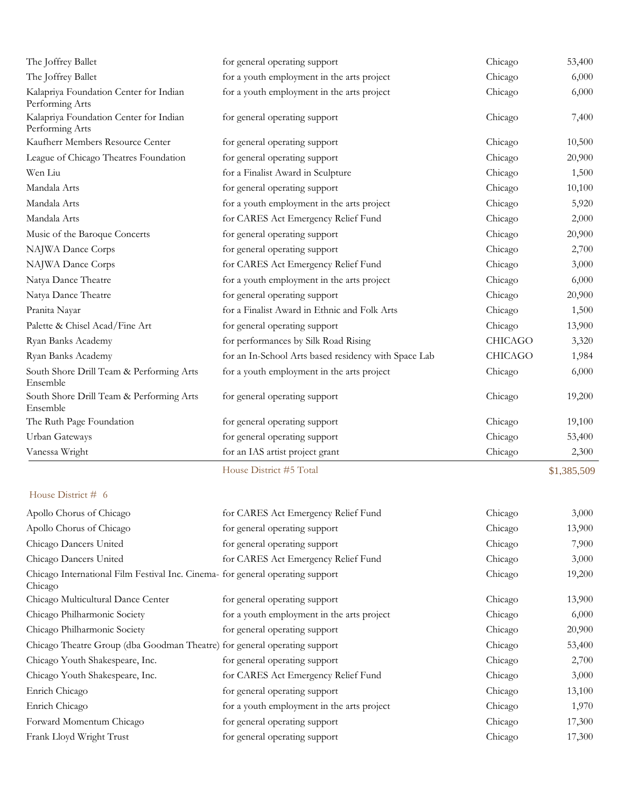| The Joffrey Ballet                                        | for general operating support                        | Chicago        | 53,400      |
|-----------------------------------------------------------|------------------------------------------------------|----------------|-------------|
| The Joffrey Ballet                                        | for a youth employment in the arts project           | Chicago        | 6,000       |
| Kalapriya Foundation Center for Indian<br>Performing Arts | for a youth employment in the arts project           | Chicago        | 6,000       |
| Kalapriya Foundation Center for Indian<br>Performing Arts | for general operating support                        | Chicago        | 7,400       |
| Kaufherr Members Resource Center                          | for general operating support                        | Chicago        | 10,500      |
| League of Chicago Theatres Foundation                     | for general operating support                        | Chicago        | 20,900      |
| Wen Liu                                                   | for a Finalist Award in Sculpture                    | Chicago        | 1,500       |
| Mandala Arts                                              | for general operating support                        | Chicago        | 10,100      |
| Mandala Arts                                              | for a youth employment in the arts project           | Chicago        | 5,920       |
| Mandala Arts                                              | for CARES Act Emergency Relief Fund                  | Chicago        | 2,000       |
| Music of the Baroque Concerts                             | for general operating support                        | Chicago        | 20,900      |
| NAJWA Dance Corps                                         | for general operating support                        | Chicago        | 2,700       |
| NAJWA Dance Corps                                         | for CARES Act Emergency Relief Fund                  | Chicago        | 3,000       |
| Natya Dance Theatre                                       | for a youth employment in the arts project           | Chicago        | 6,000       |
| Natya Dance Theatre                                       | for general operating support                        | Chicago        | 20,900      |
| Pranita Nayar                                             | for a Finalist Award in Ethnic and Folk Arts         | Chicago        | 1,500       |
| Palette & Chisel Acad/Fine Art                            | for general operating support                        | Chicago        | 13,900      |
| Ryan Banks Academy                                        | for performances by Silk Road Rising                 | <b>CHICAGO</b> | 3,320       |
| Ryan Banks Academy                                        | for an In-School Arts based residency with Space Lab | <b>CHICAGO</b> | 1,984       |
| South Shore Drill Team & Performing Arts<br>Ensemble      | for a youth employment in the arts project           | Chicago        | 6,000       |
| South Shore Drill Team & Performing Arts<br>Ensemble      | for general operating support                        | Chicago        | 19,200      |
| The Ruth Page Foundation                                  | for general operating support                        | Chicago        | 19,100      |
| Urban Gateways                                            | for general operating support                        | Chicago        | 53,400      |
| Vanessa Wright                                            | for an IAS artist project grant                      | Chicago        | 2,300       |
|                                                           | House District #5 Total                              |                | \$1,385,509 |

| Apollo Chorus of Chicago                                                                  | for CARES Act Emergency Relief Fund        | Chicago | 3,000  |
|-------------------------------------------------------------------------------------------|--------------------------------------------|---------|--------|
| Apollo Chorus of Chicago                                                                  | for general operating support              | Chicago | 13,900 |
| Chicago Dancers United                                                                    | for general operating support              | Chicago | 7,900  |
| Chicago Dancers United                                                                    | for CARES Act Emergency Relief Fund        | Chicago | 3,000  |
| Chicago International Film Festival Inc. Cinema- for general operating support<br>Chicago |                                            | Chicago | 19,200 |
| Chicago Multicultural Dance Center                                                        | for general operating support              | Chicago | 13,900 |
| Chicago Philharmonic Society                                                              | for a youth employment in the arts project | Chicago | 6,000  |
| Chicago Philharmonic Society                                                              | for general operating support              | Chicago | 20,900 |
| Chicago Theatre Group (dba Goodman Theatre) for general operating support                 |                                            | Chicago | 53,400 |
| Chicago Youth Shakespeare, Inc.                                                           | for general operating support              | Chicago | 2,700  |
| Chicago Youth Shakespeare, Inc.                                                           | for CARES Act Emergency Relief Fund        | Chicago | 3,000  |
| Enrich Chicago                                                                            | for general operating support              | Chicago | 13,100 |
| Enrich Chicago                                                                            | for a youth employment in the arts project | Chicago | 1,970  |
| Forward Momentum Chicago                                                                  | for general operating support              | Chicago | 17,300 |
| Frank Lloyd Wright Trust                                                                  | for general operating support              | Chicago | 17,300 |
|                                                                                           |                                            |         |        |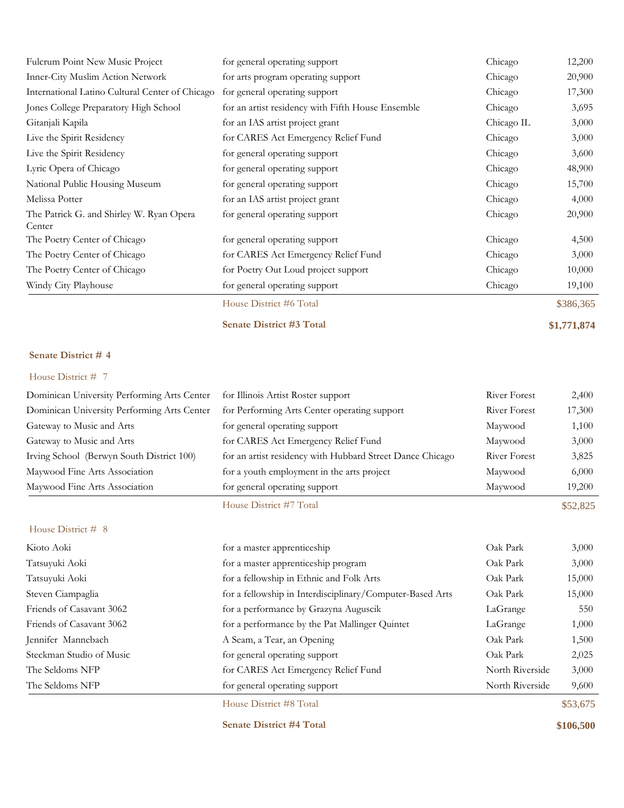| Fulcrum Point New Music Project                    | for general operating support                     | Chicago    | 12,200      |
|----------------------------------------------------|---------------------------------------------------|------------|-------------|
| Inner-City Muslim Action Network                   | for arts program operating support                | Chicago    | 20,900      |
| International Latino Cultural Center of Chicago    | for general operating support                     | Chicago    | 17,300      |
| Jones College Preparatory High School              | for an artist residency with Fifth House Ensemble | Chicago    | 3,695       |
| Gitanjali Kapila                                   | for an IAS artist project grant                   | Chicago IL | 3,000       |
| Live the Spirit Residency                          | for CARES Act Emergency Relief Fund               | Chicago    | 3,000       |
| Live the Spirit Residency                          | for general operating support                     | Chicago    | 3,600       |
| Lyric Opera of Chicago                             | for general operating support                     | Chicago    | 48,900      |
| National Public Housing Museum                     | for general operating support                     | Chicago    | 15,700      |
| Melissa Potter                                     | for an IAS artist project grant                   | Chicago    | 4,000       |
| The Patrick G. and Shirley W. Ryan Opera<br>Center | for general operating support                     | Chicago    | 20,900      |
| The Poetry Center of Chicago                       | for general operating support                     | Chicago    | 4,500       |
| The Poetry Center of Chicago                       | for CARES Act Emergency Relief Fund               | Chicago    | 3,000       |
| The Poetry Center of Chicago                       | for Poetry Out Loud project support               | Chicago    | 10,000      |
| Windy City Playhouse                               | for general operating support                     | Chicago    | 19,100      |
|                                                    | House District #6 Total                           |            | \$386,365   |
|                                                    | <b>Senate District #3 Total</b>                   |            | \$1,771,874 |

### House District # 7

|                                             | House District #7 Total                                   |                     | \$52,825 |
|---------------------------------------------|-----------------------------------------------------------|---------------------|----------|
| Maywood Fine Arts Association               | for general operating support                             | Maywood             | 19,200   |
| Maywood Fine Arts Association               | for a youth employment in the arts project                | Maywood             | 6,000    |
| Irving School (Berwyn South District 100)   | for an artist residency with Hubbard Street Dance Chicago | <b>River Forest</b> | 3,825    |
| Gateway to Music and Arts                   | for CARES Act Emergency Relief Fund                       | Maywood             | 3,000    |
| Gateway to Music and Arts                   | for general operating support                             | Maywood             | 1,100    |
| Dominican University Performing Arts Center | for Performing Arts Center operating support              | River Forest        | 17,300   |
| Dominican University Performing Arts Center | for Illinois Artist Roster support                        | River Forest        | 2,400    |

### House District # 8

| Kioto Aoki<br>Tatsuyuki Aoki | for a master apprenticeship<br>for a master apprenticeship program | Oak Park<br>Oak Park | 3,000<br>3,000 |
|------------------------------|--------------------------------------------------------------------|----------------------|----------------|
| Tatsuyuki Aoki               | for a fellowship in Ethnic and Folk Arts                           | Oak Park             | 15,000         |
| Steven Ciampaglia            | for a fellowship in Interdisciplinary/Computer-Based Arts          | Oak Park             | 15,000         |
| Friends of Casavant 3062     | for a performance by Grazyna Auguscik                              | LaGrange             | 550            |
| Friends of Casavant 3062     | for a performance by the Pat Mallinger Quintet                     | LaGrange             | 1,000          |
| Jennifer Mannebach           | A Seam, a Tear, an Opening                                         | Oak Park             | 1,500          |
| Steckman Studio of Music     | for general operating support                                      | Oak Park             | 2,025          |
| The Seldoms NFP              | for CARES Act Emergency Relief Fund                                | North Riverside      | 3,000          |
| The Seldoms NFP              | for general operating support                                      | North Riverside      | 9,600          |
|                              | House District #8 Total                                            |                      | \$53,675       |

**Senate District #4 Total \$106,500**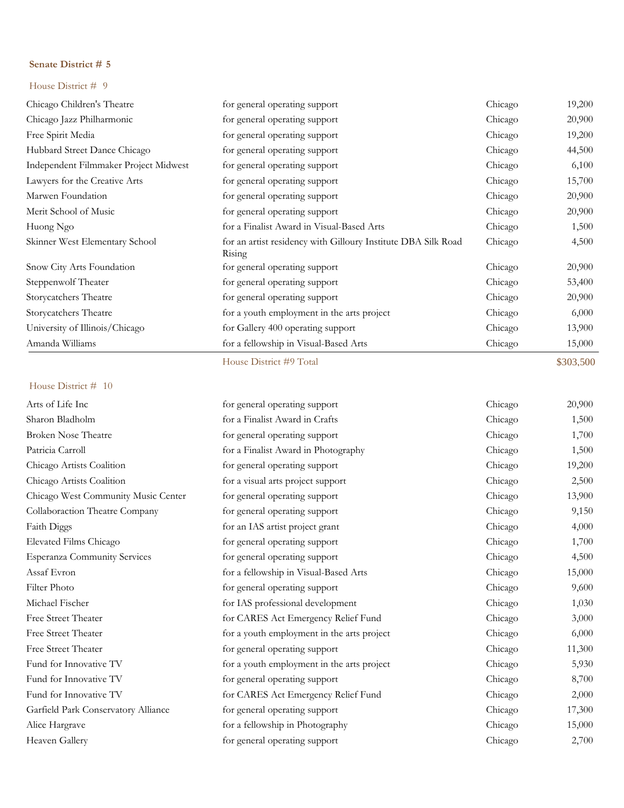### House District # 9

| Chicago Children's Theatre            | for general operating support                                           | Chicago | 19,200 |
|---------------------------------------|-------------------------------------------------------------------------|---------|--------|
| Chicago Jazz Philharmonic             | for general operating support                                           | Chicago | 20,900 |
| Free Spirit Media                     | for general operating support                                           | Chicago | 19,200 |
| Hubbard Street Dance Chicago          | for general operating support                                           | Chicago | 44,500 |
| Independent Filmmaker Project Midwest | for general operating support                                           | Chicago | 6,100  |
| Lawyers for the Creative Arts         | for general operating support                                           | Chicago | 15,700 |
| Marwen Foundation                     | for general operating support                                           | Chicago | 20,900 |
| Merit School of Music                 | for general operating support                                           | Chicago | 20,900 |
| Huong Ngo                             | for a Finalist Award in Visual-Based Arts                               | Chicago | 1,500  |
| Skinner West Elementary School        | for an artist residency with Gilloury Institute DBA Silk Road<br>Rising | Chicago | 4,500  |
| Snow City Arts Foundation             | for general operating support                                           | Chicago | 20,900 |
| Steppenwolf Theater                   | for general operating support                                           | Chicago | 53,400 |
| Storycatchers Theatre                 | for general operating support                                           | Chicago | 20,900 |
| Storycatchers Theatre                 | for a youth employment in the arts project                              | Chicago | 6,000  |
| University of Illinois/Chicago        | for Gallery 400 operating support                                       | Chicago | 13,900 |
| Amanda Williams                       | for a fellowship in Visual-Based Arts                                   | Chicago | 15,000 |

House District #9 Total \$303,500

| Arts of Life Inc                    | for general operating support              | Chicago | 20,900 |
|-------------------------------------|--------------------------------------------|---------|--------|
| Sharon Bladholm                     | for a Finalist Award in Crafts             | Chicago | 1,500  |
| <b>Broken Nose Theatre</b>          | for general operating support              | Chicago | 1,700  |
| Patricia Carroll                    | for a Finalist Award in Photography        | Chicago | 1,500  |
| Chicago Artists Coalition           | for general operating support              | Chicago | 19,200 |
| Chicago Artists Coalition           | for a visual arts project support          | Chicago | 2,500  |
| Chicago West Community Music Center | for general operating support              | Chicago | 13,900 |
| Collaboraction Theatre Company      | for general operating support              | Chicago | 9,150  |
| Faith Diggs                         | for an IAS artist project grant            | Chicago | 4,000  |
| Elevated Films Chicago              | for general operating support              | Chicago | 1,700  |
| <b>Esperanza Community Services</b> | for general operating support              | Chicago | 4,500  |
| Assaf Evron                         | for a fellowship in Visual-Based Arts      | Chicago | 15,000 |
| Filter Photo                        | for general operating support              | Chicago | 9,600  |
| Michael Fischer                     | for IAS professional development           | Chicago | 1,030  |
| Free Street Theater                 | for CARES Act Emergency Relief Fund        | Chicago | 3,000  |
| <b>Free Street Theater</b>          | for a youth employment in the arts project | Chicago | 6,000  |
| Free Street Theater                 | for general operating support              | Chicago | 11,300 |
| Fund for Innovative TV              | for a youth employment in the arts project | Chicago | 5,930  |
| Fund for Innovative TV              | for general operating support              | Chicago | 8,700  |
| Fund for Innovative TV              | for CARES Act Emergency Relief Fund        | Chicago | 2,000  |
| Garfield Park Conservatory Alliance | for general operating support              | Chicago | 17,300 |
| Alice Hargrave                      | for a fellowship in Photography            | Chicago | 15,000 |
| Heaven Gallery                      | for general operating support              | Chicago | 2,700  |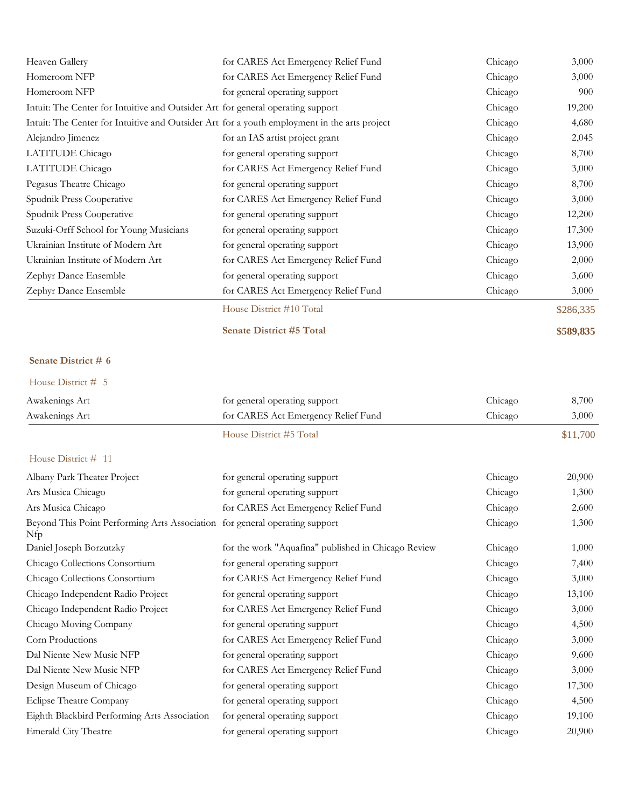| Heaven Gallery                                                                               | for CARES Act Emergency Relief Fund | Chicago | 3,000     |
|----------------------------------------------------------------------------------------------|-------------------------------------|---------|-----------|
| Homeroom NFP                                                                                 | for CARES Act Emergency Relief Fund | Chicago | 3,000     |
| Homeroom NFP                                                                                 | for general operating support       | Chicago | 900       |
| Intuit: The Center for Intuitive and Outsider Art for general operating support              |                                     | Chicago | 19,200    |
| Intuit: The Center for Intuitive and Outsider Art for a youth employment in the arts project |                                     | Chicago | 4,680     |
| Alejandro Jimenez                                                                            | for an IAS artist project grant     | Chicago | 2,045     |
| LATITUDE Chicago                                                                             | for general operating support       | Chicago | 8,700     |
| LATITUDE Chicago                                                                             | for CARES Act Emergency Relief Fund | Chicago | 3,000     |
| Pegasus Theatre Chicago                                                                      | for general operating support       | Chicago | 8,700     |
| Spudnik Press Cooperative                                                                    | for CARES Act Emergency Relief Fund | Chicago | 3,000     |
| Spudnik Press Cooperative                                                                    | for general operating support       | Chicago | 12,200    |
| Suzuki-Orff School for Young Musicians                                                       | for general operating support       | Chicago | 17,300    |
| Ukrainian Institute of Modern Art                                                            | for general operating support       | Chicago | 13,900    |
| Ukrainian Institute of Modern Art                                                            | for CARES Act Emergency Relief Fund | Chicago | 2,000     |
| Zephyr Dance Ensemble                                                                        | for general operating support       | Chicago | 3,600     |
| Zephyr Dance Ensemble                                                                        | for CARES Act Emergency Relief Fund | Chicago | 3,000     |
|                                                                                              | House District #10 Total            |         | \$286,335 |
|                                                                                              | <b>Senate District #5 Total</b>     |         | \$589,835 |

| Awakenings Art                                                                     | for general operating support                       | Chicago | 8,700    |
|------------------------------------------------------------------------------------|-----------------------------------------------------|---------|----------|
| Awakenings Art                                                                     | for CARES Act Emergency Relief Fund                 | Chicago | 3,000    |
|                                                                                    | House District #5 Total                             |         | \$11,700 |
| House District # 11                                                                |                                                     |         |          |
| Albany Park Theater Project                                                        | for general operating support                       | Chicago | 20,900   |
| Ars Musica Chicago                                                                 | for general operating support                       | Chicago | 1,300    |
| Ars Musica Chicago                                                                 | for CARES Act Emergency Relief Fund                 | Chicago | 2,600    |
| Beyond This Point Performing Arts Association for general operating support<br>Nfp |                                                     | Chicago | 1,300    |
| Daniel Joseph Borzutzky                                                            | for the work "Aquafina" published in Chicago Review | Chicago | 1,000    |
| Chicago Collections Consortium                                                     | for general operating support                       | Chicago | 7,400    |
| Chicago Collections Consortium                                                     | for CARES Act Emergency Relief Fund                 | Chicago | 3,000    |
| Chicago Independent Radio Project                                                  | for general operating support                       | Chicago | 13,100   |
| Chicago Independent Radio Project                                                  | for CARES Act Emergency Relief Fund                 | Chicago | 3,000    |
| Chicago Moving Company                                                             | for general operating support                       | Chicago | 4,500    |
| Corn Productions                                                                   | for CARES Act Emergency Relief Fund                 | Chicago | 3,000    |
| Dal Niente New Music NFP                                                           | for general operating support                       | Chicago | 9,600    |
| Dal Niente New Music NFP                                                           | for CARES Act Emergency Relief Fund                 | Chicago | 3,000    |
| Design Museum of Chicago                                                           | for general operating support                       | Chicago | 17,300   |
| Eclipse Theatre Company                                                            | for general operating support                       | Chicago | 4,500    |
| Eighth Blackbird Performing Arts Association                                       | for general operating support                       | Chicago | 19,100   |
| <b>Emerald City Theatre</b>                                                        | for general operating support                       | Chicago | 20,900   |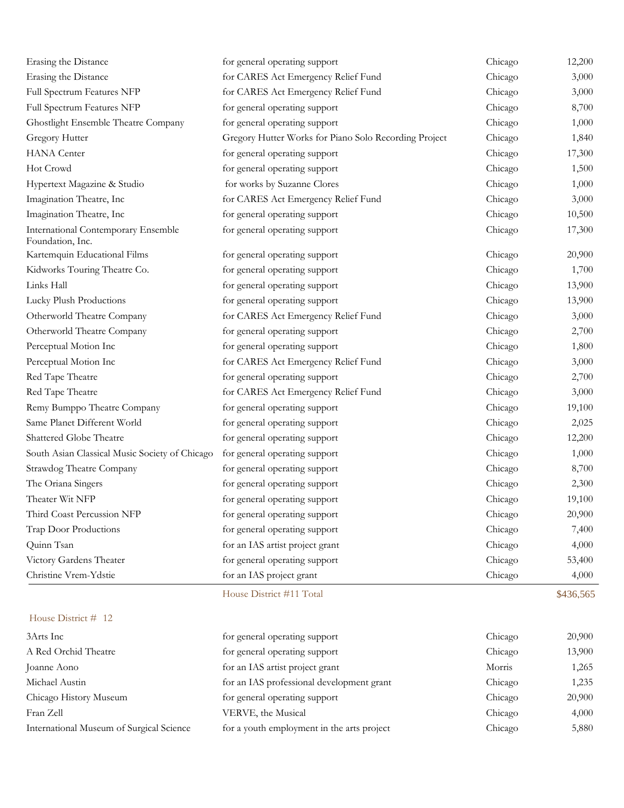| Erasing the Distance                                    | for general operating support                         | Chicago | 12,200    |
|---------------------------------------------------------|-------------------------------------------------------|---------|-----------|
| Erasing the Distance                                    | for CARES Act Emergency Relief Fund                   | Chicago | 3,000     |
| Full Spectrum Features NFP                              | for CARES Act Emergency Relief Fund                   | Chicago | 3,000     |
| Full Spectrum Features NFP                              | for general operating support                         | Chicago | 8,700     |
| Ghostlight Ensemble Theatre Company                     | for general operating support                         | Chicago | 1,000     |
| Gregory Hutter                                          | Gregory Hutter Works for Piano Solo Recording Project | Chicago | 1,840     |
| <b>HANA</b> Center                                      | for general operating support                         | Chicago | 17,300    |
| Hot Crowd                                               | for general operating support                         | Chicago | 1,500     |
| Hypertext Magazine & Studio                             | for works by Suzanne Clores                           | Chicago | 1,000     |
| Imagination Theatre, Inc                                | for CARES Act Emergency Relief Fund                   | Chicago | 3,000     |
| Imagination Theatre, Inc                                | for general operating support                         | Chicago | 10,500    |
| International Contemporary Ensemble<br>Foundation, Inc. | for general operating support                         | Chicago | 17,300    |
| Kartemquin Educational Films                            | for general operating support                         | Chicago | 20,900    |
| Kidworks Touring Theatre Co.                            | for general operating support                         | Chicago | 1,700     |
| Links Hall                                              | for general operating support                         | Chicago | 13,900    |
| Lucky Plush Productions                                 | for general operating support                         | Chicago | 13,900    |
| Otherworld Theatre Company                              | for CARES Act Emergency Relief Fund                   | Chicago | 3,000     |
| Otherworld Theatre Company                              | for general operating support                         | Chicago | 2,700     |
| Perceptual Motion Inc                                   | for general operating support                         | Chicago | 1,800     |
| Perceptual Motion Inc                                   | for CARES Act Emergency Relief Fund                   | Chicago | 3,000     |
| Red Tape Theatre                                        | for general operating support                         | Chicago | 2,700     |
| Red Tape Theatre                                        | for CARES Act Emergency Relief Fund                   | Chicago | 3,000     |
| Remy Bumppo Theatre Company                             | for general operating support                         | Chicago | 19,100    |
| Same Planet Different World                             | for general operating support                         | Chicago | 2,025     |
| Shattered Globe Theatre                                 | for general operating support                         | Chicago | 12,200    |
| South Asian Classical Music Society of Chicago          | for general operating support                         | Chicago | 1,000     |
| Strawdog Theatre Company                                | for general operating support                         | Chicago | 8,700     |
| The Oriana Singers                                      | for general operating support                         | Chicago | 2,300     |
| Theater Wit NFP                                         | for general operating support                         | Chicago | 19,100    |
| Third Coast Percussion NFP                              | for general operating support                         | Chicago | 20,900    |
| Trap Door Productions                                   | for general operating support                         | Chicago | 7,400     |
| Quinn Tsan                                              | for an IAS artist project grant                       | Chicago | 4,000     |
| Victory Gardens Theater                                 | for general operating support                         | Chicago | 53,400    |
| Christine Vrem-Ydstie                                   | for an IAS project grant                              | Chicago | 4,000     |
|                                                         | House District #11 Total                              |         | \$436,565 |
| House District # 12                                     |                                                       |         |           |
| 3Arts Inc                                               | for general operating support                         | Chicago | 20,900    |
| A Red Orchid Theatre                                    | for general operating support                         | Chicago | 13,900    |

| A Red Orchid Theatre                     | for general operating support              |   |
|------------------------------------------|--------------------------------------------|---|
| Joanne Aono                              | for an IAS artist project grant            | N |
| Michael Austin                           | for an IAS professional development grant  |   |
| Chicago History Museum                   | for general operating support              |   |
| Fran Zell                                | VERVE, the Musical                         |   |
| International Museum of Surgical Science | for a youth employment in the arts project |   |

| general operating support              | Chicago | 20,900 |
|----------------------------------------|---------|--------|
| general operating support              | Chicago | 13,900 |
| an IAS artist project grant            | Morris  | 1,265  |
| an IAS professional development grant  | Chicago | 1,235  |
| general operating support              | Chicago | 20,900 |
| RVE, the Musical                       | Chicago | 4,000  |
| a youth employment in the arts project | Chicago | 5,880  |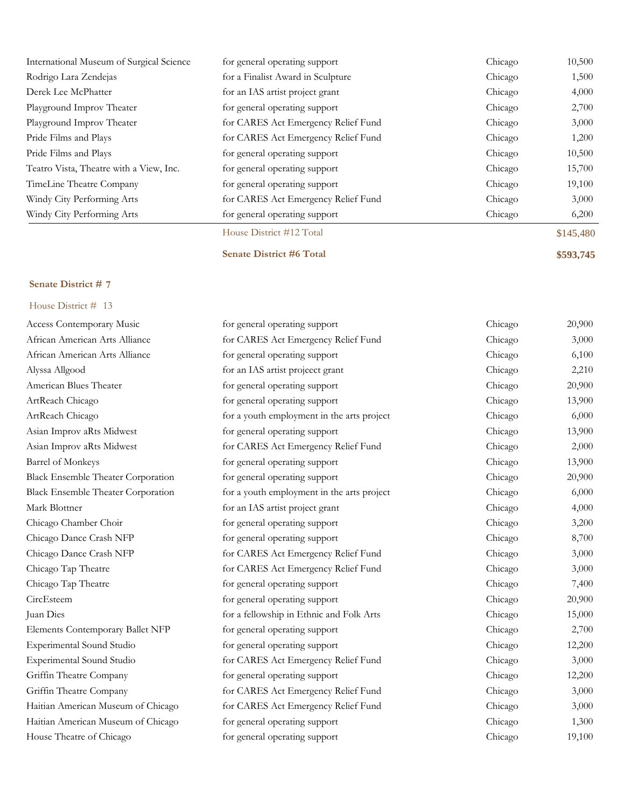| International Museum of Surgical Science | for general operating support       | Chicago | 10,500    |
|------------------------------------------|-------------------------------------|---------|-----------|
| Rodrigo Lara Zendejas                    | for a Finalist Award in Sculpture   | Chicago | 1,500     |
| Derek Lee McPhatter                      | for an IAS artist project grant     | Chicago | 4,000     |
| Playground Improv Theater                | for general operating support       | Chicago | 2,700     |
| Playground Improv Theater                | for CARES Act Emergency Relief Fund | Chicago | 3,000     |
| Pride Films and Plays                    | for CARES Act Emergency Relief Fund | Chicago | 1,200     |
| Pride Films and Plays                    | for general operating support       | Chicago | 10,500    |
| Teatro Vista, Theatre with a View, Inc.  | for general operating support       | Chicago | 15,700    |
| TimeLine Theatre Company                 | for general operating support       | Chicago | 19,100    |
| Windy City Performing Arts               | for CARES Act Emergency Relief Fund | Chicago | 3,000     |
| Windy City Performing Arts               | for general operating support       | Chicago | 6,200     |
|                                          | House District #12 Total            |         | \$145,480 |

**Senate District #6 Total \$593,745**

# **Senate District # 7**

| <b>Access Contemporary Music</b>          | for general operating support              | Chicago | 20,900 |
|-------------------------------------------|--------------------------------------------|---------|--------|
| African American Arts Alliance            | for CARES Act Emergency Relief Fund        | Chicago | 3,000  |
| African American Arts Alliance            | for general operating support              | Chicago | 6,100  |
| Alyssa Allgood                            | for an IAS artist projecct grant           | Chicago | 2,210  |
| American Blues Theater                    | for general operating support              | Chicago | 20,900 |
| ArtReach Chicago                          | for general operating support              | Chicago | 13,900 |
| ArtReach Chicago                          | for a youth employment in the arts project | Chicago | 6,000  |
| Asian Improv aRts Midwest                 | for general operating support              | Chicago | 13,900 |
| Asian Improv aRts Midwest                 | for CARES Act Emergency Relief Fund        | Chicago | 2,000  |
| <b>Barrel of Monkeys</b>                  | for general operating support              | Chicago | 13,900 |
| <b>Black Ensemble Theater Corporation</b> | for general operating support              | Chicago | 20,900 |
| <b>Black Ensemble Theater Corporation</b> | for a youth employment in the arts project | Chicago | 6,000  |
| Mark Blottner                             | for an IAS artist project grant            | Chicago | 4,000  |
| Chicago Chamber Choir                     | for general operating support              | Chicago | 3,200  |
| Chicago Dance Crash NFP                   | for general operating support              | Chicago | 8,700  |
| Chicago Dance Crash NFP                   | for CARES Act Emergency Relief Fund        | Chicago | 3,000  |
| Chicago Tap Theatre                       | for CARES Act Emergency Relief Fund        | Chicago | 3,000  |
| Chicago Tap Theatre                       | for general operating support              | Chicago | 7,400  |
| CircEsteem                                | for general operating support              | Chicago | 20,900 |
| Juan Dies                                 | for a fellowship in Ethnic and Folk Arts   | Chicago | 15,000 |
| Elements Contemporary Ballet NFP          | for general operating support              | Chicago | 2,700  |
| Experimental Sound Studio                 | for general operating support              | Chicago | 12,200 |
| <b>Experimental Sound Studio</b>          | for CARES Act Emergency Relief Fund        | Chicago | 3,000  |
| Griffin Theatre Company                   | for general operating support              | Chicago | 12,200 |
| Griffin Theatre Company                   | for CARES Act Emergency Relief Fund        | Chicago | 3,000  |
| Haitian American Museum of Chicago        | for CARES Act Emergency Relief Fund        | Chicago | 3,000  |
| Haitian American Museum of Chicago        | for general operating support              | Chicago | 1,300  |
| House Theatre of Chicago                  | for general operating support              | Chicago | 19,100 |
|                                           |                                            |         |        |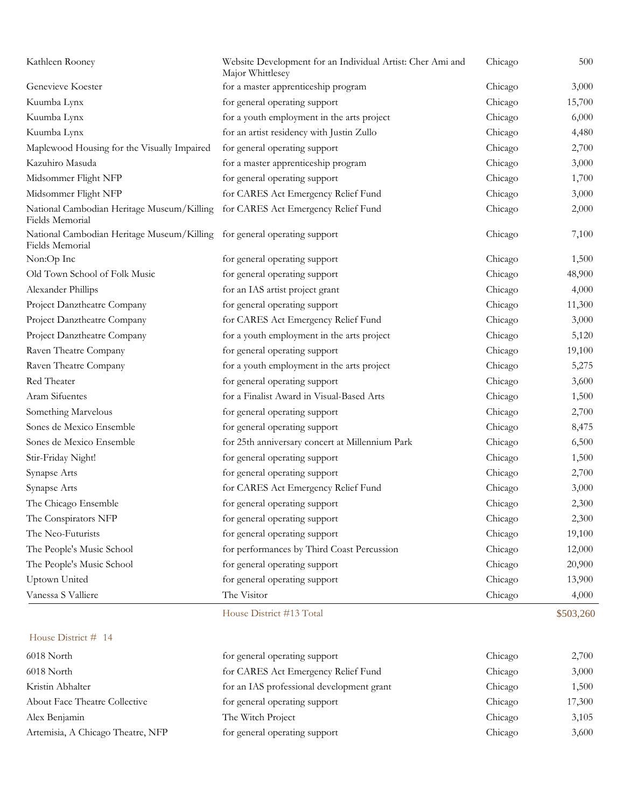| Kathleen Rooney                                                                             | Website Development for an Individual Artist: Cher Ami and<br>Major Whittlesey | Chicago | 500    |
|---------------------------------------------------------------------------------------------|--------------------------------------------------------------------------------|---------|--------|
| Genevieve Koester                                                                           | for a master apprenticeship program                                            | Chicago | 3,000  |
| Kuumba Lynx                                                                                 | for general operating support                                                  | Chicago | 15,700 |
| Kuumba Lynx                                                                                 | for a youth employment in the arts project                                     | Chicago | 6,000  |
| Kuumba Lynx                                                                                 | for an artist residency with Justin Zullo                                      | Chicago | 4,480  |
| Maplewood Housing for the Visually Impaired                                                 | for general operating support                                                  | Chicago | 2,700  |
| Kazuhiro Masuda                                                                             | for a master apprenticeship program                                            | Chicago | 3,000  |
| Midsommer Flight NFP                                                                        | for general operating support                                                  | Chicago | 1,700  |
| Midsommer Flight NFP                                                                        | for CARES Act Emergency Relief Fund                                            | Chicago | 3,000  |
| National Cambodian Heritage Museum/Killing<br>Fields Memorial                               | for CARES Act Emergency Relief Fund                                            | Chicago | 2,000  |
| National Cambodian Heritage Museum/Killing for general operating support<br>Fields Memorial |                                                                                | Chicago | 7,100  |
| Non:Op Inc                                                                                  | for general operating support                                                  | Chicago | 1,500  |
| Old Town School of Folk Music                                                               | for general operating support                                                  | Chicago | 48,900 |
| Alexander Phillips                                                                          | for an IAS artist project grant                                                | Chicago | 4,000  |
| Project Danztheatre Company                                                                 | for general operating support                                                  | Chicago | 11,300 |
| Project Danztheatre Company                                                                 | for CARES Act Emergency Relief Fund                                            | Chicago | 3,000  |
| Project Danztheatre Company                                                                 | for a youth employment in the arts project                                     | Chicago | 5,120  |
| Raven Theatre Company                                                                       | for general operating support                                                  | Chicago | 19,100 |
| Raven Theatre Company                                                                       | for a youth employment in the arts project                                     | Chicago | 5,275  |
| Red Theater                                                                                 | for general operating support                                                  | Chicago | 3,600  |
| Aram Sifuentes                                                                              | for a Finalist Award in Visual-Based Arts                                      | Chicago | 1,500  |
| Something Marvelous                                                                         | for general operating support                                                  | Chicago | 2,700  |
| Sones de Mexico Ensemble                                                                    | for general operating support                                                  | Chicago | 8,475  |
| Sones de Mexico Ensemble                                                                    | for 25th anniversary concert at Millennium Park                                | Chicago | 6,500  |
| Stir-Friday Night!                                                                          | for general operating support                                                  | Chicago | 1,500  |
| Synapse Arts                                                                                | for general operating support                                                  | Chicago | 2,700  |
| Synapse Arts                                                                                | for CARES Act Emergency Relief Fund                                            | Chicago | 3,000  |
| The Chicago Ensemble                                                                        | for general operating support                                                  | Chicago | 2,300  |
| The Conspirators NFP                                                                        | for general operating support                                                  | Chicago | 2,300  |
| The Neo-Futurists                                                                           | for general operating support                                                  | Chicago | 19,100 |
| The People's Music School                                                                   | for performances by Third Coast Percussion                                     | Chicago | 12,000 |
| The People's Music School                                                                   | for general operating support                                                  | Chicago | 20,900 |
| Uptown United                                                                               | for general operating support                                                  | Chicago | 13,900 |
| Vanessa S Valliere                                                                          | The Visitor                                                                    | Chicago | 4,000  |

| 6018 North                        | for general operating support             | Chicago | 2,700  |
|-----------------------------------|-------------------------------------------|---------|--------|
| 6018 North                        | for CARES Act Emergency Relief Fund       | Chicago | 3,000  |
| Kristin Abhalter                  | for an IAS professional development grant | Chicago | 1,500  |
| About Face Theatre Collective     | for general operating support             | Chicago | 17,300 |
| Alex Benjamin                     | The Witch Project                         | Chicago | 3,105  |
| Artemisia, A Chicago Theatre, NFP | for general operating support             | Chicago | 3,600  |

House District #13 Total \$503,260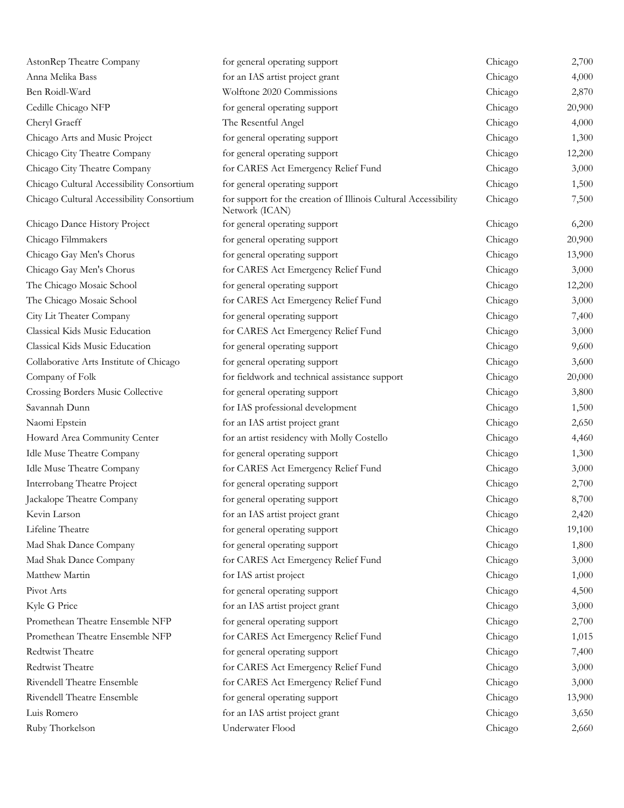| AstonRep Theatre Company                  | for general operating support                                                     | Chicago | 2,700  |
|-------------------------------------------|-----------------------------------------------------------------------------------|---------|--------|
| Anna Melika Bass                          | for an IAS artist project grant                                                   | Chicago | 4,000  |
| Ben Roidl-Ward                            | Wolftone 2020 Commissions                                                         | Chicago | 2,870  |
| Cedille Chicago NFP                       | for general operating support                                                     | Chicago | 20,900 |
| Cheryl Graeff                             | The Resentful Angel                                                               | Chicago | 4,000  |
| Chicago Arts and Music Project            | for general operating support                                                     | Chicago | 1,300  |
| Chicago City Theatre Company              | for general operating support                                                     | Chicago | 12,200 |
| Chicago City Theatre Company              | for CARES Act Emergency Relief Fund                                               | Chicago | 3,000  |
| Chicago Cultural Accessibility Consortium | for general operating support                                                     | Chicago | 1,500  |
| Chicago Cultural Accessibility Consortium | for support for the creation of Illinois Cultural Accessibility<br>Network (ICAN) | Chicago | 7,500  |
| Chicago Dance History Project             | for general operating support                                                     | Chicago | 6,200  |
| Chicago Filmmakers                        | for general operating support                                                     | Chicago | 20,900 |
| Chicago Gay Men's Chorus                  | for general operating support                                                     | Chicago | 13,900 |
| Chicago Gay Men's Chorus                  | for CARES Act Emergency Relief Fund                                               | Chicago | 3,000  |
| The Chicago Mosaic School                 | for general operating support                                                     | Chicago | 12,200 |
| The Chicago Mosaic School                 | for CARES Act Emergency Relief Fund                                               | Chicago | 3,000  |
| City Lit Theater Company                  | for general operating support                                                     | Chicago | 7,400  |
| Classical Kids Music Education            | for CARES Act Emergency Relief Fund                                               | Chicago | 3,000  |
| Classical Kids Music Education            | for general operating support                                                     | Chicago | 9,600  |
| Collaborative Arts Institute of Chicago   | for general operating support                                                     | Chicago | 3,600  |
| Company of Folk                           | for fieldwork and technical assistance support                                    | Chicago | 20,000 |
| Crossing Borders Music Collective         | for general operating support                                                     | Chicago | 3,800  |
| Savannah Dunn                             | for IAS professional development                                                  | Chicago | 1,500  |
| Naomi Epstein                             | for an IAS artist project grant                                                   | Chicago | 2,650  |
| Howard Area Community Center              | for an artist residency with Molly Costello                                       | Chicago | 4,460  |
| Idle Muse Theatre Company                 | for general operating support                                                     | Chicago | 1,300  |
| Idle Muse Theatre Company                 | for CARES Act Emergency Relief Fund                                               | Chicago | 3,000  |
| Interrobang Theatre Project               | for general operating support                                                     | Chicago | 2,700  |
| Jackalope Theatre Company                 | for general operating support                                                     | Chicago | 8,700  |
| Kevin Larson                              | for an IAS artist project grant                                                   | Chicago | 2,420  |
| Lifeline Theatre                          | for general operating support                                                     | Chicago | 19,100 |
| Mad Shak Dance Company                    | for general operating support                                                     | Chicago | 1,800  |
| Mad Shak Dance Company                    | for CARES Act Emergency Relief Fund                                               | Chicago | 3,000  |
| Matthew Martin                            | for IAS artist project                                                            | Chicago | 1,000  |
| Pivot Arts                                | for general operating support                                                     | Chicago | 4,500  |
| Kyle G Price                              | for an IAS artist project grant                                                   | Chicago | 3,000  |
| Promethean Theatre Ensemble NFP           | for general operating support                                                     | Chicago | 2,700  |
| Promethean Theatre Ensemble NFP           | for CARES Act Emergency Relief Fund                                               | Chicago | 1,015  |
| Redtwist Theatre                          | for general operating support                                                     | Chicago | 7,400  |
| Redtwist Theatre                          | for CARES Act Emergency Relief Fund                                               | Chicago | 3,000  |
| Rivendell Theatre Ensemble                | for CARES Act Emergency Relief Fund                                               | Chicago | 3,000  |
| Rivendell Theatre Ensemble                | for general operating support                                                     | Chicago | 13,900 |
| Luis Romero                               | for an IAS artist project grant                                                   | Chicago | 3,650  |
| Ruby Thorkelson                           | Underwater Flood                                                                  | Chicago | 2,660  |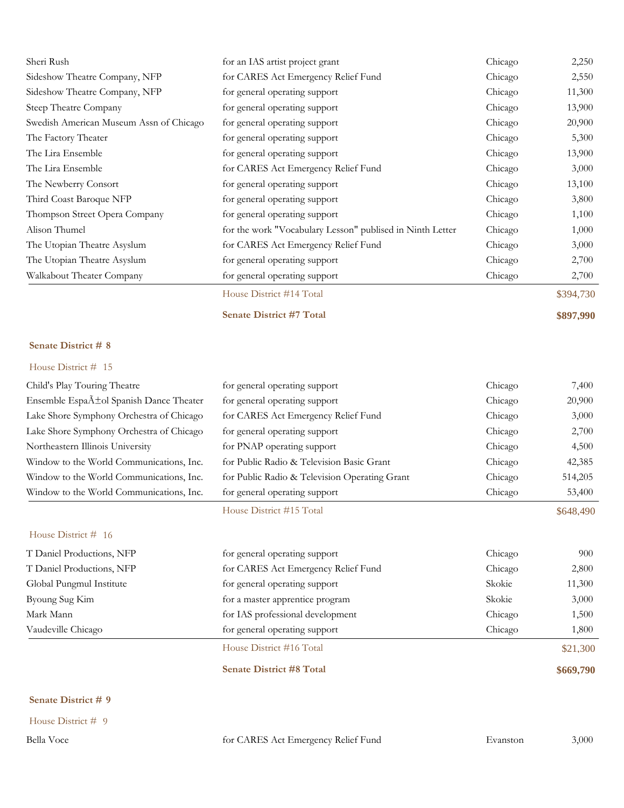| Sheri Rush                              | for an IAS artist project grant                           | Chicago | 2,250     |
|-----------------------------------------|-----------------------------------------------------------|---------|-----------|
| Sideshow Theatre Company, NFP           | for CARES Act Emergency Relief Fund                       | Chicago | 2,550     |
| Sideshow Theatre Company, NFP           | for general operating support                             | Chicago | 11,300    |
| Steep Theatre Company                   | for general operating support                             | Chicago | 13,900    |
| Swedish American Museum Assn of Chicago | for general operating support                             | Chicago | 20,900    |
| The Factory Theater                     | for general operating support                             | Chicago | 5,300     |
| The Lira Ensemble                       | for general operating support                             | Chicago | 13,900    |
| The Lira Ensemble                       | for CARES Act Emergency Relief Fund                       | Chicago | 3,000     |
| The Newberry Consort                    | for general operating support                             | Chicago | 13,100    |
| Third Coast Baroque NFP                 | for general operating support                             | Chicago | 3,800     |
| Thompson Street Opera Company           | for general operating support                             | Chicago | 1,100     |
| Alison Thumel                           | for the work "Vocabulary Lesson" publised in Ninth Letter | Chicago | 1,000     |
| The Utopian Theatre Asyslum             | for CARES Act Emergency Relief Fund                       | Chicago | 3,000     |
| The Utopian Theatre Asyslum             | for general operating support                             | Chicago | 2,700     |
| Walkabout Theater Company               | for general operating support                             | Chicago | 2,700     |
|                                         | House District #14 Total                                  |         | \$394,730 |

**Senate District #7 Total \$897,990**

#### **Senate District # 8**

### House District # 15

| Child's Play Touring Theatre                        | for general operating support                 | Chicago | 7,400     |
|-----------------------------------------------------|-----------------------------------------------|---------|-----------|
| Ensemble Espa $\tilde{A}$ ±ol Spanish Dance Theater | for general operating support                 | Chicago | 20,900    |
| Lake Shore Symphony Orchestra of Chicago            | for CARES Act Emergency Relief Fund           | Chicago | 3,000     |
| Lake Shore Symphony Orchestra of Chicago            | for general operating support                 | Chicago | 2,700     |
| Northeastern Illinois University                    | for PNAP operating support                    | Chicago | 4,500     |
| Window to the World Communications, Inc.            | for Public Radio & Television Basic Grant     | Chicago | 42,385    |
| Window to the World Communications, Inc.            | for Public Radio & Television Operating Grant | Chicago | 514,205   |
| Window to the World Communications, Inc.            | for general operating support                 | Chicago | 53,400    |
|                                                     | House District #15 Total                      |         | \$648,490 |
| House District # 16                                 |                                               |         |           |
| T Daniel Productions, NFP                           | for general operating support                 | Chicago | 900       |
| T Daniel Productions, NFP                           | for CARES Act Emergency Relief Fund           | Chicago | 2,800     |
| Global Pungmul Institute                            | for general operating support                 | Skokie  | 11,300    |
| Byoung Sug Kim                                      | for a master apprentice program               | Skokie  | 3,000     |
| Mark Mann                                           | for IAS professional development              | Chicago | 1,500     |
| Vaudeville Chicago                                  | for general operating support                 | Chicago | 1,800     |
|                                                     | House District #16 Total                      |         | \$21,300  |
|                                                     | <b>Senate District #8 Total</b>               |         | \$669,790 |

### **Senate District # 9**

House District # 9

Bella Voce for CARES Act Emergency Relief Fund Evanston 3,000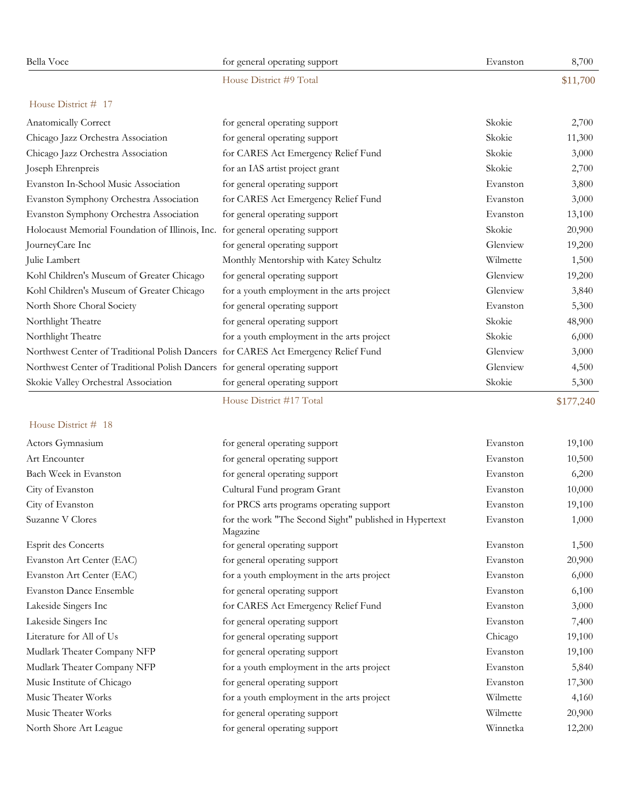| Bella Voce                                                                         | for general operating support                                      | Evanston | 8,700     |
|------------------------------------------------------------------------------------|--------------------------------------------------------------------|----------|-----------|
|                                                                                    | House District #9 Total                                            |          | \$11,700  |
| House District # 17                                                                |                                                                    |          |           |
| Anatomically Correct                                                               | for general operating support                                      | Skokie   | 2,700     |
| Chicago Jazz Orchestra Association                                                 | for general operating support                                      | Skokie   | 11,300    |
| Chicago Jazz Orchestra Association                                                 | for CARES Act Emergency Relief Fund                                | Skokie   | 3,000     |
| Joseph Ehrenpreis                                                                  | for an IAS artist project grant                                    | Skokie   | 2,700     |
| Evanston In-School Music Association                                               | for general operating support                                      | Evanston | 3,800     |
| Evanston Symphony Orchestra Association                                            | for CARES Act Emergency Relief Fund                                | Evanston | 3,000     |
| Evanston Symphony Orchestra Association                                            | for general operating support                                      | Evanston | 13,100    |
| Holocaust Memorial Foundation of Illinois, Inc. for general operating support      |                                                                    | Skokie   | 20,900    |
| JourneyCare Inc                                                                    | for general operating support                                      | Glenview | 19,200    |
| Julie Lambert                                                                      | Monthly Mentorship with Katey Schultz                              | Wilmette | 1,500     |
| Kohl Children's Museum of Greater Chicago                                          | for general operating support                                      | Glenview | 19,200    |
| Kohl Children's Museum of Greater Chicago                                          | for a youth employment in the arts project                         | Glenview | 3,840     |
| North Shore Choral Society                                                         | for general operating support                                      | Evanston | 5,300     |
| Northlight Theatre                                                                 | for general operating support                                      | Skokie   | 48,900    |
| Northlight Theatre                                                                 | for a youth employment in the arts project                         | Skokie   | 6,000     |
| Northwest Center of Traditional Polish Dancers for CARES Act Emergency Relief Fund |                                                                    | Glenview | 3,000     |
| Northwest Center of Traditional Polish Dancers for general operating support       |                                                                    | Glenview | 4,500     |
| Skokie Valley Orchestral Association                                               | for general operating support                                      | Skokie   | 5,300     |
|                                                                                    | House District #17 Total                                           |          | \$177,240 |
| House District # 18                                                                |                                                                    |          |           |
| Actors Gymnasium                                                                   | for general operating support                                      | Evanston | 19,100    |
| Art Encounter                                                                      | for general operating support                                      | Evanston | 10,500    |
| Bach Week in Evanston                                                              | for general operating support                                      | Evanston | 6,200     |
| City of Evanston                                                                   | Cultural Fund program Grant                                        | Evanston | 10,000    |
| City of Evanston                                                                   | for PRCS arts programs operating support                           | Evanston | 19,100    |
| Suzanne V Clores                                                                   | for the work "The Second Sight" published in Hypertext<br>Magazine | Evanston | 1,000     |
| <b>Esprit des Concerts</b>                                                         | for general operating support                                      | Evanston | 1,500     |
| Evanston Art Center (EAC)                                                          | for general operating support                                      | Evanston | 20,900    |
| Evanston Art Center (EAC)                                                          | for a youth employment in the arts project                         | Evanston | 6,000     |
| <b>Evanston Dance Ensemble</b>                                                     | for general operating support                                      | Evanston | 6,100     |
| Lakeside Singers Inc                                                               | for CARES Act Emergency Relief Fund                                | Evanston | 3,000     |
| Lakeside Singers Inc                                                               | for general operating support                                      | Evanston | 7,400     |
| Literature for All of Us                                                           | for general operating support                                      | Chicago  | 19,100    |
| Mudlark Theater Company NFP                                                        | for general operating support                                      | Evanston | 19,100    |
| Mudlark Theater Company NFP                                                        | for a youth employment in the arts project                         | Evanston | 5,840     |
| Music Institute of Chicago                                                         | for general operating support                                      | Evanston | 17,300    |
| Music Theater Works                                                                | for a youth employment in the arts project                         | Wilmette | 4,160     |
| Music Theater Works                                                                | for general operating support                                      | Wilmette | 20,900    |
| North Shore Art League                                                             | for general operating support                                      | Winnetka | 12,200    |
|                                                                                    |                                                                    |          |           |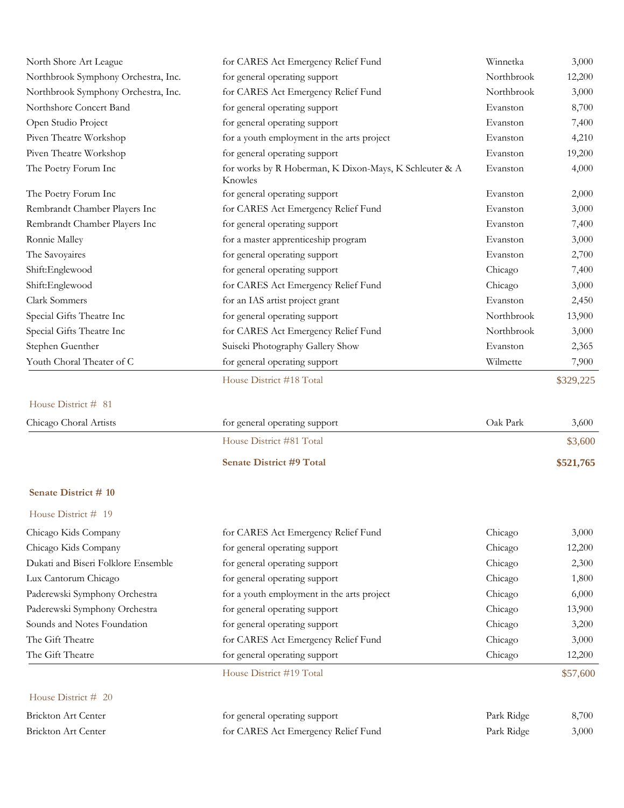| North Shore Art League              | for CARES Act Emergency Relief Fund                               | Winnetka   | 3,000     |
|-------------------------------------|-------------------------------------------------------------------|------------|-----------|
| Northbrook Symphony Orchestra, Inc. | for general operating support                                     | Northbrook | 12,200    |
| Northbrook Symphony Orchestra, Inc. | for CARES Act Emergency Relief Fund                               | Northbrook | 3,000     |
| Northshore Concert Band             | for general operating support                                     | Evanston   | 8,700     |
| Open Studio Project                 | for general operating support                                     | Evanston   | 7,400     |
| Piven Theatre Workshop              | for a youth employment in the arts project                        | Evanston   | 4,210     |
| Piven Theatre Workshop              | for general operating support                                     | Evanston   | 19,200    |
| The Poetry Forum Inc                | for works by R Hoberman, K Dixon-Mays, K Schleuter & A<br>Knowles | Evanston   | 4,000     |
| The Poetry Forum Inc                | for general operating support                                     | Evanston   | 2,000     |
| Rembrandt Chamber Players Inc       | for CARES Act Emergency Relief Fund                               | Evanston   | 3,000     |
| Rembrandt Chamber Players Inc       | for general operating support                                     | Evanston   | 7,400     |
| Ronnie Malley                       | for a master apprenticeship program                               | Evanston   | 3,000     |
| The Savoyaires                      | for general operating support                                     | Evanston   | 2,700     |
| Shift:Englewood                     | for general operating support                                     | Chicago    | 7,400     |
| Shift:Englewood                     | for CARES Act Emergency Relief Fund                               | Chicago    | 3,000     |
| Clark Sommers                       | for an IAS artist project grant                                   | Evanston   | 2,450     |
| Special Gifts Theatre Inc           | for general operating support                                     | Northbrook | 13,900    |
| Special Gifts Theatre Inc           | for CARES Act Emergency Relief Fund                               | Northbrook | 3,000     |
| Stephen Guenther                    | Suiseki Photography Gallery Show                                  | Evanston   | 2,365     |
| Youth Choral Theater of C           | for general operating support                                     | Wilmette   | 7,900     |
|                                     | House District #18 Total                                          |            | \$329,225 |
| House District # 81                 |                                                                   |            |           |
| Chicago Choral Artists              | for general operating support                                     | Oak Park   | 3,600     |
|                                     | House District #81 Total                                          |            | \$3,600   |
|                                     | <b>Senate District #9 Total</b>                                   |            | \$521,765 |
| Senate District # 10                |                                                                   |            |           |
| House District # 19                 |                                                                   |            |           |
| Chicago Kids Company                | for CARES Act Emergency Relief Fund                               | Chicago    | 3,000     |
| Chicago Kids Company                | for general operating support                                     | Chicago    | 12,200    |
| Dukati and Biseri Folklore Ensemble | for general operating support                                     | Chicago    | 2,300     |
| Lux Cantorum Chicago                | for general operating support                                     | Chicago    | 1,800     |
| Paderewski Symphony Orchestra       | for a youth employment in the arts project                        | Chicago    | 6,000     |
| Paderewski Symphony Orchestra       | for general operating support                                     | Chicago    | 13,900    |
| Sounds and Notes Foundation         | for general operating support                                     | Chicago    | 3,200     |
| The Gift Theatre                    | for CARES Act Emergency Relief Fund                               | Chicago    | 3,000     |
| The Gift Theatre                    | for general operating support                                     | Chicago    | 12,200    |
|                                     | House District #19 Total                                          |            | \$57,600  |
| House District # 20                 |                                                                   |            |           |
| Brickton Art Center                 | for general operating support                                     | Park Ridge | 8,700     |
| Brickton Art Center                 | for CARES Act Emergency Relief Fund                               | Park Ridge | 3,000     |
|                                     |                                                                   |            |           |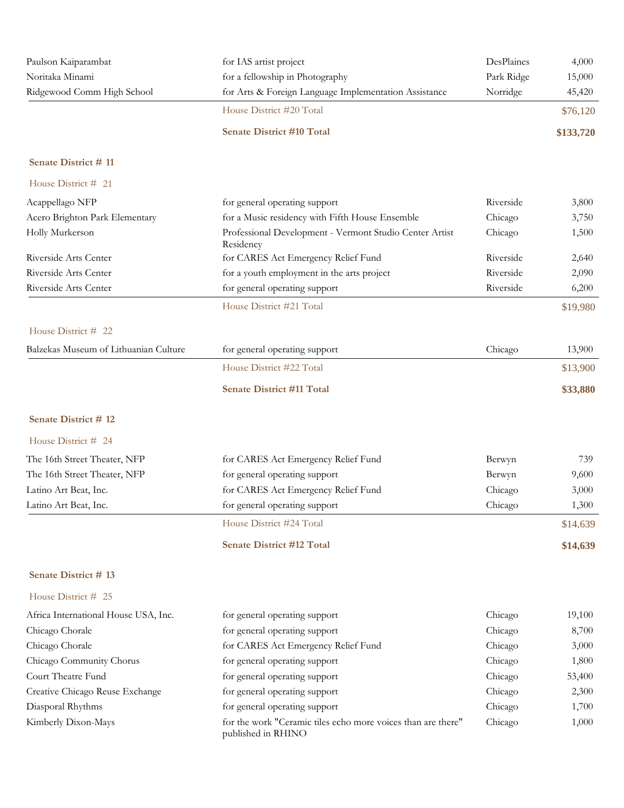| Paulson Kaiparambat<br>Noritaka Minami | for IAS artist project<br>for a fellowship in Photography                          | DesPlaines<br>Park Ridge | 4,000<br>15,000 |
|----------------------------------------|------------------------------------------------------------------------------------|--------------------------|-----------------|
| Ridgewood Comm High School             | for Arts & Foreign Language Implementation Assistance                              | Norridge                 | 45,420          |
|                                        | House District #20 Total                                                           |                          | \$76,120        |
|                                        | <b>Senate District #10 Total</b>                                                   |                          | \$133,720       |
| Senate District #11                    |                                                                                    |                          |                 |
| House District # 21                    |                                                                                    |                          |                 |
| Acappellago NFP                        | for general operating support                                                      | Riverside                | 3,800           |
| Acero Brighton Park Elementary         | for a Music residency with Fifth House Ensemble                                    | Chicago                  | 3,750           |
| Holly Murkerson                        | Professional Development - Vermont Studio Center Artist<br>Residency               | Chicago                  | 1,500           |
| Riverside Arts Center                  | for CARES Act Emergency Relief Fund                                                | Riverside                | 2,640           |
| Riverside Arts Center                  | for a youth employment in the arts project                                         | Riverside                | 2,090           |
| Riverside Arts Center                  | for general operating support                                                      | Riverside                | 6,200           |
|                                        | House District #21 Total                                                           |                          | \$19,980        |
| House District # 22                    |                                                                                    |                          |                 |
| Balzekas Museum of Lithuanian Culture  | for general operating support                                                      | Chicago                  | 13,900          |
|                                        | House District #22 Total                                                           |                          | \$13,900        |
|                                        | <b>Senate District #11 Total</b>                                                   |                          | \$33,880        |
| Senate District #12                    |                                                                                    |                          |                 |
| House District # 24                    |                                                                                    |                          |                 |
| The 16th Street Theater, NFP           | for CARES Act Emergency Relief Fund                                                | Berwyn                   | 739             |
| The 16th Street Theater, NFP           | for general operating support                                                      | Berwyn                   | 9,600           |
| Latino Art Beat, Inc.                  | for CARES Act Emergency Relief Fund                                                | Chicago                  | 3,000           |
| Latino Art Beat, Inc.                  | for general operating support                                                      | Chicago                  | 1,300           |
|                                        | House District #24 Total                                                           |                          | \$14,639        |
|                                        | <b>Senate District #12 Total</b>                                                   |                          | \$14,639        |
| Senate District #13                    |                                                                                    |                          |                 |
| House District # 25                    |                                                                                    |                          |                 |
| Africa International House USA, Inc.   | for general operating support                                                      | Chicago                  | 19,100          |
| Chicago Chorale                        | for general operating support                                                      | Chicago                  | 8,700           |
| Chicago Chorale                        | for CARES Act Emergency Relief Fund                                                | Chicago                  | 3,000           |
| Chicago Community Chorus               | for general operating support                                                      | Chicago                  | 1,800           |
| Court Theatre Fund                     | for general operating support                                                      | Chicago                  | 53,400          |
| Creative Chicago Reuse Exchange        | for general operating support                                                      | Chicago                  | 2,300           |
| Diasporal Rhythms                      | for general operating support                                                      | Chicago                  | 1,700           |
| Kimberly Dixon-Mays                    | for the work "Ceramic tiles echo more voices than are there"<br>published in RHINO | Chicago                  | 1,000           |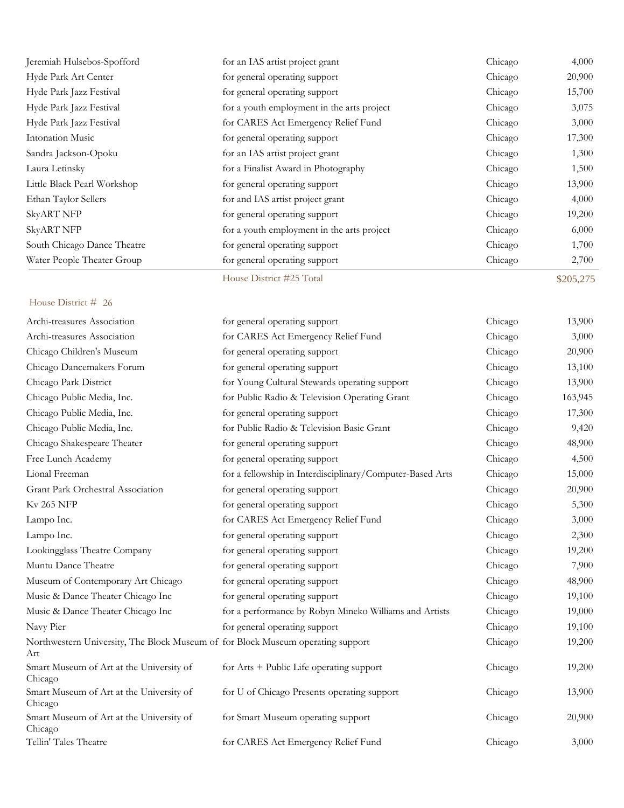| Archi-treasures Association                                                            | for general operating support                             | Chicago | 13,900  |
|----------------------------------------------------------------------------------------|-----------------------------------------------------------|---------|---------|
| Archi-treasures Association                                                            | for CARES Act Emergency Relief Fund                       | Chicago | 3,000   |
| Chicago Children's Museum                                                              | for general operating support                             | Chicago | 20,900  |
| Chicago Dancemakers Forum                                                              | for general operating support                             | Chicago | 13,100  |
| Chicago Park District                                                                  | for Young Cultural Stewards operating support             | Chicago | 13,900  |
| Chicago Public Media, Inc.                                                             | for Public Radio & Television Operating Grant             | Chicago | 163,945 |
| Chicago Public Media, Inc.                                                             | for general operating support                             | Chicago | 17,300  |
| Chicago Public Media, Inc.                                                             | for Public Radio & Television Basic Grant                 | Chicago | 9,420   |
| Chicago Shakespeare Theater                                                            | for general operating support                             | Chicago | 48,900  |
| Free Lunch Academy                                                                     | for general operating support                             | Chicago | 4,500   |
| Lional Freeman                                                                         | for a fellowship in Interdisciplinary/Computer-Based Arts | Chicago | 15,000  |
| Grant Park Orchestral Association                                                      | for general operating support                             | Chicago | 20,900  |
| <b>Kv 265 NFP</b>                                                                      | for general operating support                             | Chicago | 5,300   |
| Lampo Inc.                                                                             | for CARES Act Emergency Relief Fund                       | Chicago | 3,000   |
| Lampo Inc.                                                                             | for general operating support                             | Chicago | 2,300   |
| Lookingglass Theatre Company                                                           | for general operating support                             | Chicago | 19,200  |
| Muntu Dance Theatre                                                                    | for general operating support                             | Chicago | 7,900   |
| Museum of Contemporary Art Chicago                                                     | for general operating support                             | Chicago | 48,900  |
| Music & Dance Theater Chicago Inc                                                      | for general operating support                             | Chicago | 19,100  |
| Music & Dance Theater Chicago Inc                                                      | for a performance by Robyn Mineko Williams and Artists    | Chicago | 19,000  |
| Navy Pier                                                                              | for general operating support                             | Chicago | 19,100  |
| Northwestern University, The Block Museum of for Block Museum operating support<br>Art |                                                           | Chicago | 19,200  |
| Smart Museum of Art at the University of<br>Chicago                                    | for $Arts + Public Life operating support$                | Chicago | 19,200  |
| Smart Museum of Art at the University of<br>Chicago                                    | for U of Chicago Presents operating support               | Chicago | 13,900  |
| Smart Museum of Art at the University of<br>Chicago                                    | for Smart Museum operating support                        | Chicago | 20,900  |
| Tellin' Tales Theatre                                                                  | for CARES Act Emergency Relief Fund                       | Chicago | 3,000   |

Jeremiah Hulsebos-Spofford for an IAS artist project grant Chicago 4,000 Hyde Park Art Center for general operating support Chicago 20,900 Hyde Park Jazz Festival **for general operating support** Chicago 15,700 Hyde Park Jazz Festival for a youth employment in the arts project Chicago 3,075 Hyde Park Jazz Festival **for CARES Act Emergency Relief Fund** Chicago 3,000 Intonation Music **Formulation** for general operating support **Chicago** 17,300 Sandra Jackson-Opoku for an IAS artist project grant Chicago 1,300 Laura Letinsky for a Finalist Award in Photography Chicago 1,500 Little Black Pearl Workshop for general operating support Chicago 13,900 Ethan Taylor Sellers **for and IAS** artist project grant Chicago 4,000 SkyART NFP for general operating support Chicago 19,200 SkyART NFP for a youth employment in the arts project Chicago 6,000 South Chicago Dance Theatre for general operating support Chicago Chicago 1,700 Water People Theater Group for general operating support Chicago 2,700 House District #25 Total \$205,275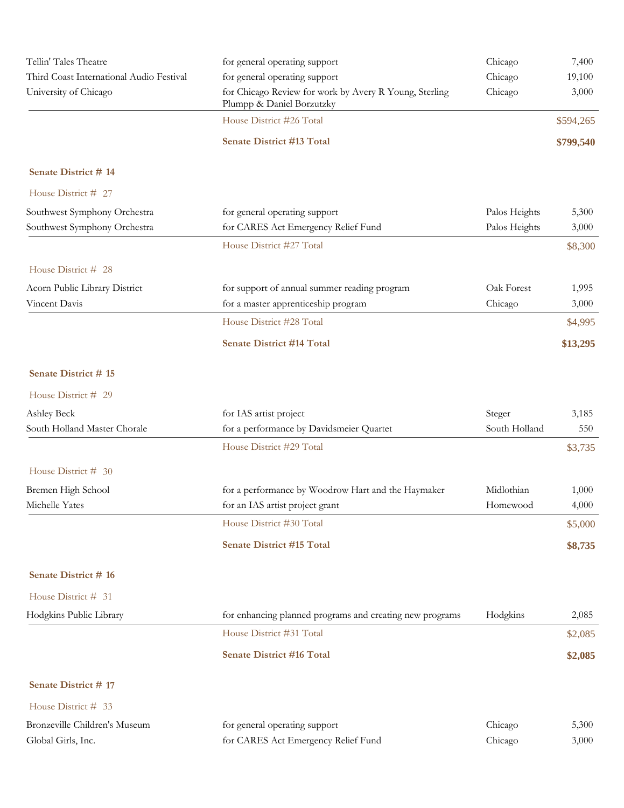| Tellin' Tales Theatre                                        | for general operating support                                                       | Chicago                        | 7,400          |
|--------------------------------------------------------------|-------------------------------------------------------------------------------------|--------------------------------|----------------|
| Third Coast International Audio Festival                     | for general operating support                                                       | Chicago                        | 19,100         |
| University of Chicago                                        | for Chicago Review for work by Avery R Young, Sterling<br>Plumpp & Daniel Borzutzky | Chicago                        | 3,000          |
|                                                              | House District #26 Total                                                            |                                | \$594,265      |
|                                                              | <b>Senate District #13 Total</b>                                                    |                                | \$799,540      |
| Senate District #14                                          |                                                                                     |                                |                |
| House District # 27                                          |                                                                                     |                                |                |
| Southwest Symphony Orchestra<br>Southwest Symphony Orchestra | for general operating support<br>for CARES Act Emergency Relief Fund                | Palos Heights<br>Palos Heights | 5,300<br>3,000 |
|                                                              | House District #27 Total                                                            |                                | \$8,300        |
| House District # 28                                          |                                                                                     |                                |                |
| Acorn Public Library District                                | for support of annual summer reading program                                        | Oak Forest                     | 1,995          |
| Vincent Davis                                                | for a master apprenticeship program                                                 | Chicago                        | 3,000          |
|                                                              | House District #28 Total                                                            |                                | \$4,995        |
|                                                              | <b>Senate District #14 Total</b>                                                    |                                | \$13,295       |
| Senate District #15                                          |                                                                                     |                                |                |
| House District # 29                                          |                                                                                     |                                |                |
| Ashley Beck                                                  | for IAS artist project                                                              | Steger                         | 3,185          |
| South Holland Master Chorale                                 | for a performance by Davidsmeier Quartet                                            | South Holland                  | 550            |
|                                                              | House District #29 Total                                                            |                                | \$3,735        |
| House District # 30                                          |                                                                                     |                                |                |
| Bremen High School                                           | for a performance by Woodrow Hart and the Haymaker                                  | Midlothian                     | 1,000          |
| Michelle Yates                                               | for an IAS artist project grant                                                     | Homewood                       | 4,000          |
|                                                              | House District #30 Total                                                            |                                | \$5,000        |
|                                                              | <b>Senate District #15 Total</b>                                                    |                                | \$8,735        |
| <b>Senate District # 16</b>                                  |                                                                                     |                                |                |
| House District # 31                                          |                                                                                     |                                |                |
| Hodgkins Public Library                                      | for enhancing planned programs and creating new programs                            | Hodgkins                       | 2,085          |
|                                                              | House District #31 Total                                                            |                                | \$2,085        |
|                                                              | <b>Senate District #16 Total</b>                                                    |                                | \$2,085        |
| <b>Senate District # 17</b>                                  |                                                                                     |                                |                |
| House District # 33                                          |                                                                                     |                                |                |
| Bronzeville Children's Museum                                | for general operating support                                                       | Chicago                        | 5,300          |
| Global Girls, Inc.                                           | for CARES Act Emergency Relief Fund                                                 | Chicago                        | 3,000          |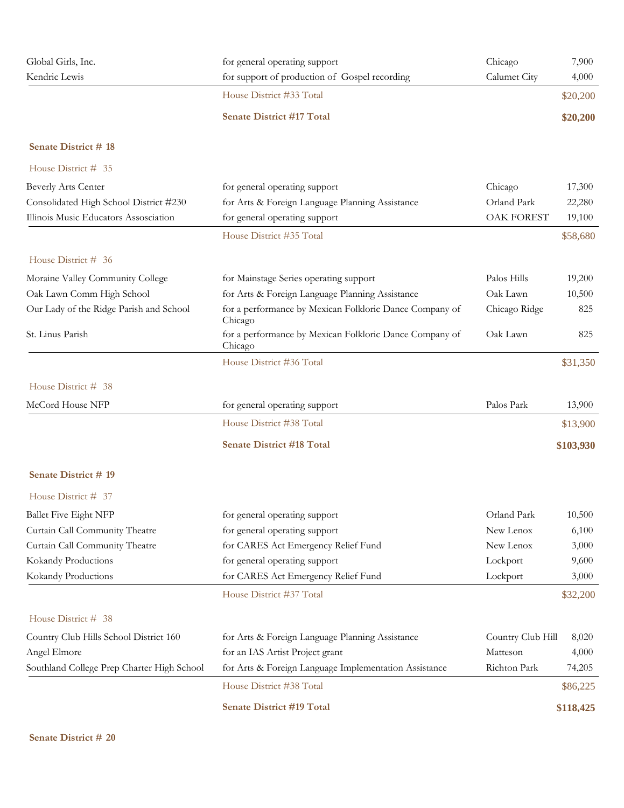| Global Girls, Inc.                         | for general operating support                                      | Chicago           | 7,900     |
|--------------------------------------------|--------------------------------------------------------------------|-------------------|-----------|
| Kendric Lewis                              | for support of production of Gospel recording                      | Calumet City      | 4,000     |
|                                            | House District #33 Total                                           |                   | \$20,200  |
|                                            | <b>Senate District #17 Total</b>                                   |                   | \$20,200  |
| Senate District #18                        |                                                                    |                   |           |
| House District # 35                        |                                                                    |                   |           |
| Beverly Arts Center                        | for general operating support                                      | Chicago           | 17,300    |
| Consolidated High School District #230     | for Arts & Foreign Language Planning Assistance                    | Orland Park       | 22,280    |
| Illinois Music Educators Assosciation      | for general operating support                                      | <b>OAK FOREST</b> | 19,100    |
|                                            | House District #35 Total                                           |                   | \$58,680  |
| House District # 36                        |                                                                    |                   |           |
| Moraine Valley Community College           | for Mainstage Series operating support                             | Palos Hills       | 19,200    |
| Oak Lawn Comm High School                  | for Arts & Foreign Language Planning Assistance                    | Oak Lawn          | 10,500    |
| Our Lady of the Ridge Parish and School    | for a performance by Mexican Folkloric Dance Company of<br>Chicago | Chicago Ridge     | 825       |
| St. Linus Parish                           | for a performance by Mexican Folkloric Dance Company of<br>Chicago | Oak Lawn          | 825       |
|                                            | House District #36 Total                                           |                   | \$31,350  |
| House District # 38                        |                                                                    |                   |           |
| McCord House NFP                           | for general operating support                                      | Palos Park        | 13,900    |
|                                            | House District #38 Total                                           |                   | \$13,900  |
|                                            | <b>Senate District #18 Total</b>                                   |                   | \$103,930 |
| Senate District #19                        |                                                                    |                   |           |
| House District # 37                        |                                                                    |                   |           |
| <b>Ballet Five Eight NFP</b>               | for general operating support                                      | Orland Park       | 10,500    |
| Curtain Call Community Theatre             | for general operating support                                      | New Lenox         | 6,100     |
| Curtain Call Community Theatre             | for CARES Act Emergency Relief Fund                                | New Lenox         | 3,000     |
| Kokandy Productions                        | for general operating support                                      | Lockport          | 9,600     |
| Kokandy Productions                        | for CARES Act Emergency Relief Fund                                | Lockport          | 3,000     |
|                                            | House District #37 Total                                           |                   | \$32,200  |
| House District # 38                        |                                                                    |                   |           |
| Country Club Hills School District 160     | for Arts & Foreign Language Planning Assistance                    | Country Club Hill | 8,020     |
| Angel Elmore                               | for an IAS Artist Project grant                                    | Matteson          | 4,000     |
| Southland College Prep Charter High School | for Arts & Foreign Language Implementation Assistance              | Richton Park      | 74,205    |
|                                            | House District #38 Total                                           |                   | \$86,225  |
|                                            | <b>Senate District #19 Total</b>                                   |                   | \$118,425 |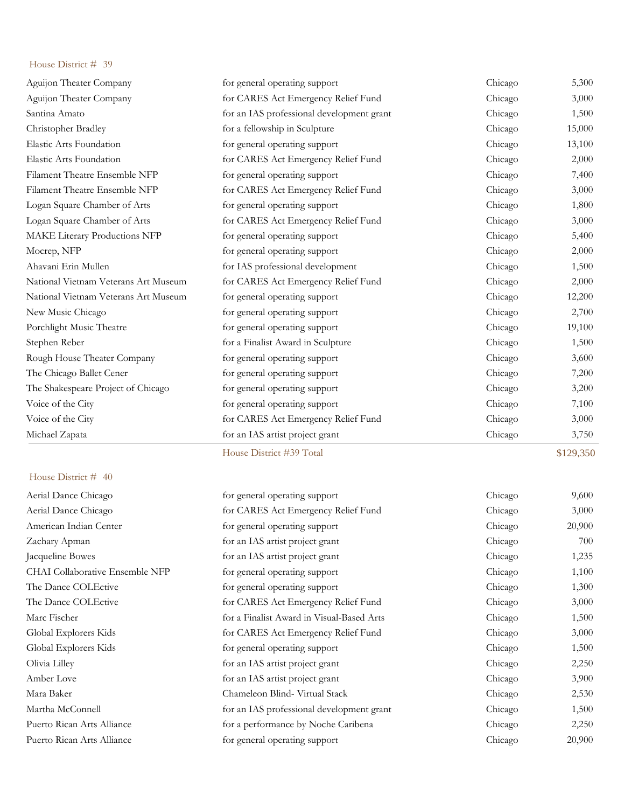|                                      | House District #39 Total                  |         | \$129,350 |
|--------------------------------------|-------------------------------------------|---------|-----------|
| Michael Zapata                       | for an IAS artist project grant           | Chicago | 3,750     |
| Voice of the City                    | for CARES Act Emergency Relief Fund       | Chicago | 3,000     |
| Voice of the City                    | for general operating support             | Chicago | 7,100     |
| The Shakespeare Project of Chicago   | for general operating support             | Chicago | 3,200     |
| The Chicago Ballet Cener             | for general operating support             | Chicago | 7,200     |
| Rough House Theater Company          | for general operating support             | Chicago | 3,600     |
| Stephen Reber                        | for a Finalist Award in Sculpture         | Chicago | 1,500     |
| Porchlight Music Theatre             | for general operating support             | Chicago | 19,100    |
| New Music Chicago                    | for general operating support             | Chicago | 2,700     |
| National Vietnam Veterans Art Museum | for general operating support             | Chicago | 12,200    |
| National Vietnam Veterans Art Museum | for CARES Act Emergency Relief Fund       | Chicago | 2,000     |
| Ahavani Erin Mullen                  | for IAS professional development          | Chicago | 1,500     |
| Mocrep, NFP                          | for general operating support             | Chicago | 2,000     |
| MAKE Literary Productions NFP        | for general operating support             | Chicago | 5,400     |
| Logan Square Chamber of Arts         | for CARES Act Emergency Relief Fund       | Chicago | 3,000     |
| Logan Square Chamber of Arts         | for general operating support             | Chicago | 1,800     |
| Filament Theatre Ensemble NFP        | for CARES Act Emergency Relief Fund       | Chicago | 3,000     |
| Filament Theatre Ensemble NFP        | for general operating support             | Chicago | 7,400     |
| Elastic Arts Foundation              | for CARES Act Emergency Relief Fund       | Chicago | 2,000     |
| Elastic Arts Foundation              | for general operating support             | Chicago | 13,100    |
| Christopher Bradley                  | for a fellowship in Sculpture             | Chicago | 15,000    |
| Santina Amato                        | for an IAS professional development grant | Chicago | 1,500     |
| Aguijon Theater Company              | for CARES Act Emergency Relief Fund       | Chicago | 3,000     |
| Aguijon Theater Company              | for general operating support             | Chicago | 5,300     |

| Aerial Dance Chicago            | for general operating support             | Chicago | 9,600  |
|---------------------------------|-------------------------------------------|---------|--------|
| Aerial Dance Chicago            | for CARES Act Emergency Relief Fund       | Chicago | 3,000  |
| American Indian Center          | for general operating support             | Chicago | 20,900 |
| Zachary Apman                   | for an IAS artist project grant           | Chicago | 700    |
| Jacqueline Bowes                | for an IAS artist project grant           | Chicago | 1,235  |
| CHAI Collaborative Ensemble NFP | for general operating support             | Chicago | 1,100  |
| The Dance COLEctive             | for general operating support             | Chicago | 1,300  |
| The Dance COLEctive             | for CARES Act Emergency Relief Fund       | Chicago | 3,000  |
| Marc Fischer                    | for a Finalist Award in Visual-Based Arts | Chicago | 1,500  |
| Global Explorers Kids           | for CARES Act Emergency Relief Fund       | Chicago | 3,000  |
| Global Explorers Kids           | for general operating support             | Chicago | 1,500  |
| Olivia Lilley                   | for an IAS artist project grant           | Chicago | 2,250  |
| Amber Love                      | for an IAS artist project grant           | Chicago | 3,900  |
| Mara Baker                      | Chameleon Blind- Virtual Stack            | Chicago | 2,530  |
| Martha McConnell                | for an IAS professional development grant | Chicago | 1,500  |
| Puerto Rican Arts Alliance      | for a performance by Noche Caribena       | Chicago | 2,250  |
| Puerto Rican Arts Alliance      | for general operating support             | Chicago | 20,900 |
|                                 |                                           |         |        |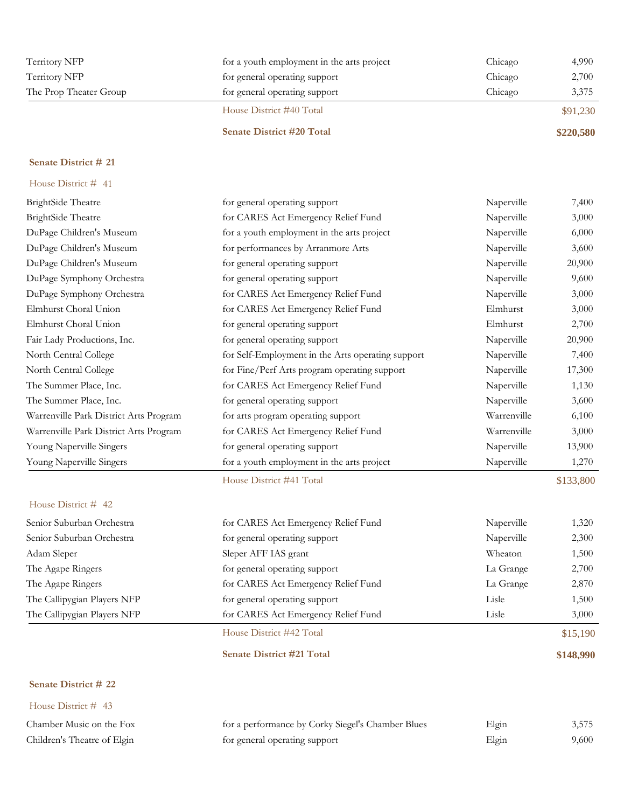| Territory NFP          | for a youth employment in the arts project | Chicago | 4,990     |
|------------------------|--------------------------------------------|---------|-----------|
| Territory NFP          | for general operating support              | Chicago | 2,700     |
| The Prop Theater Group | for general operating support              | Chicago | 3,375     |
|                        | House District #40 Total                   |         | \$91,230  |
|                        | <b>Senate District #20 Total</b>           |         | \$220,580 |

| House District # 41                    |                                                   |             |           |
|----------------------------------------|---------------------------------------------------|-------------|-----------|
| BrightSide Theatre                     | for general operating support                     | Naperville  | 7,400     |
| BrightSide Theatre                     | for CARES Act Emergency Relief Fund               | Naperville  | 3,000     |
| DuPage Children's Museum               | for a youth employment in the arts project        | Naperville  | 6,000     |
| DuPage Children's Museum               | for performances by Arranmore Arts                | Naperville  | 3,600     |
| DuPage Children's Museum               | for general operating support                     | Naperville  | 20,900    |
| DuPage Symphony Orchestra              | for general operating support                     | Naperville  | 9,600     |
| DuPage Symphony Orchestra              | for CARES Act Emergency Relief Fund               | Naperville  | 3,000     |
| Elmhurst Choral Union                  | for CARES Act Emergency Relief Fund               | Elmhurst    | 3,000     |
| Elmhurst Choral Union                  | for general operating support                     | Elmhurst    | 2,700     |
| Fair Lady Productions, Inc.            | for general operating support                     | Naperville  | 20,900    |
| North Central College                  | for Self-Employment in the Arts operating support | Naperville  | 7,400     |
| North Central College                  | for Fine/Perf Arts program operating support      | Naperville  | 17,300    |
| The Summer Place, Inc.                 | for CARES Act Emergency Relief Fund               | Naperville  | 1,130     |
| The Summer Place, Inc.                 | for general operating support                     | Naperville  | 3,600     |
| Warrenville Park District Arts Program | for arts program operating support                | Warrenville | 6,100     |
| Warrenville Park District Arts Program | for CARES Act Emergency Relief Fund               | Warrenville | 3,000     |
| Young Naperville Singers               | for general operating support                     | Naperville  | 13,900    |
| Young Naperville Singers               | for a youth employment in the arts project        | Naperville  | 1,270     |
|                                        | House District #41 Total                          |             | \$133,800 |
| House District # 42                    |                                                   |             |           |
| Senior Suburban Orchestra              | for CARES Act Emergency Relief Fund               | Naperville  | 1,320     |
| Senior Suburban Orchestra              | for general operating support                     | Naperville  | 2,300     |
| Adam Sleper                            | Sleper AFF IAS grant                              | Wheaton     | 1,500     |

| Senior Suburban Orchestra   | for CARES Act Emergency Relief Fund | Naperville | 1,320    |
|-----------------------------|-------------------------------------|------------|----------|
| Senior Suburban Orchestra   | for general operating support       | Naperville | 2,300    |
| Adam Sleper                 | Sleper AFF IAS grant                | Wheaton    | 1,500    |
| The Agape Ringers           | for general operating support       | La Grange  | 2,700    |
| The Agape Ringers           | for CARES Act Emergency Relief Fund | La Grange  | 2,870    |
| The Callipygian Players NFP | for general operating support       | Lisle      | 1,500    |
| The Callipygian Players NFP | for CARES Act Emergency Relief Fund | Lisle      | 3,000    |
|                             | House District #42 Total            |            | \$15,190 |

### **Senate District #21 Total \$148,990**

# **Senate District # 22**

| House District # $43$       |                                                   |       |       |
|-----------------------------|---------------------------------------------------|-------|-------|
| Chamber Music on the Fox    | for a performance by Corky Siegel's Chamber Blues | Elgin | 3,575 |
| Children's Theatre of Elgin | for general operating support                     | Elgin | 9,600 |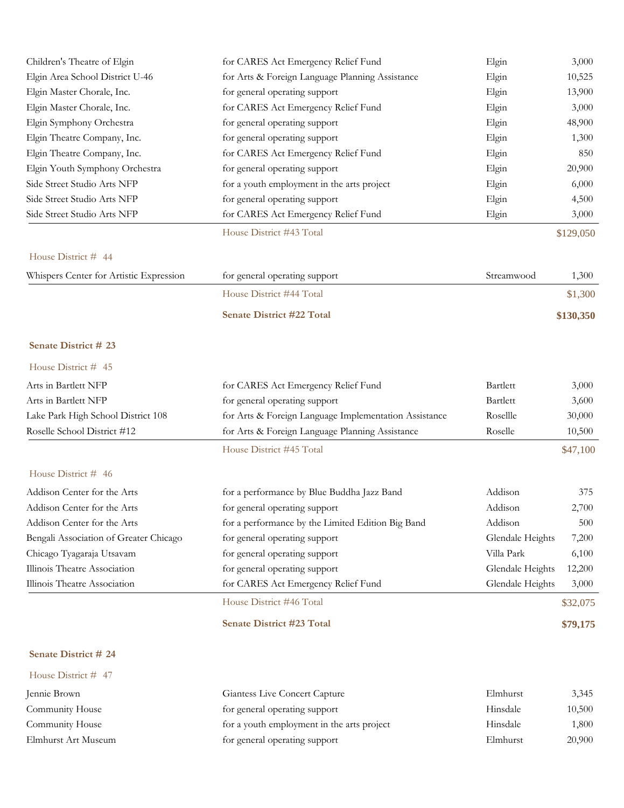| Children's Theatre of Elgin             | for CARES Act Emergency Relief Fund                   | Elgin            | 3,000     |
|-----------------------------------------|-------------------------------------------------------|------------------|-----------|
| Elgin Area School District U-46         | for Arts & Foreign Language Planning Assistance       | Elgin            | 10,525    |
| Elgin Master Chorale, Inc.              | for general operating support                         | Elgin            | 13,900    |
| Elgin Master Chorale, Inc.              | for CARES Act Emergency Relief Fund                   | Elgin            | 3,000     |
| Elgin Symphony Orchestra                | for general operating support                         | Elgin            | 48,900    |
| Elgin Theatre Company, Inc.             | for general operating support                         | Elgin            | 1,300     |
| Elgin Theatre Company, Inc.             | for CARES Act Emergency Relief Fund                   | Elgin            | 850       |
| Elgin Youth Symphony Orchestra          | for general operating support                         | Elgin            | 20,900    |
| Side Street Studio Arts NFP             | for a youth employment in the arts project            | Elgin            | 6,000     |
| Side Street Studio Arts NFP             | for general operating support                         | Elgin            | 4,500     |
| Side Street Studio Arts NFP             | for CARES Act Emergency Relief Fund                   | Elgin            | 3,000     |
|                                         | House District #43 Total                              |                  | \$129,050 |
| House District # 44                     |                                                       |                  |           |
| Whispers Center for Artistic Expression | for general operating support                         | Streamwood       | 1,300     |
|                                         | House District #44 Total                              |                  | \$1,300   |
|                                         | Senate District #22 Total                             |                  | \$130,350 |
| Senate District # 23                    |                                                       |                  |           |
| House District # 45                     |                                                       |                  |           |
| Arts in Bartlett NFP                    | for CARES Act Emergency Relief Fund                   | Bartlett         | 3,000     |
| Arts in Bartlett NFP                    | for general operating support                         | Bartlett         | 3,600     |
| Lake Park High School District 108      | for Arts & Foreign Language Implementation Assistance | Rosellle         | 30,000    |
| Roselle School District #12             | for Arts & Foreign Language Planning Assistance       | Roselle          | 10,500    |
|                                         | House District #45 Total                              |                  | \$47,100  |
| House District # 46                     |                                                       |                  |           |
| Addison Center for the Arts             | for a performance by Blue Buddha Jazz Band            | Addison          | 375       |
| Addison Center for the Arts             | for general operating support                         | Addison          | 2,700     |
| Addison Center for the Arts             | for a performance by the Limited Edition Big Band     | Addison          | 500       |
| Bengali Association of Greater Chicago  | for general operating support                         | Glendale Heights | 7,200     |
| Chicago Tyagaraja Utsavam               | for general operating support                         | Villa Park       | 6,100     |
| Illinois Theatre Association            | for general operating support                         | Glendale Heights | 12,200    |
| Illinois Theatre Association            | for CARES Act Emergency Relief Fund                   | Glendale Heights | 3,000     |
|                                         | House District #46 Total                              |                  | \$32,075  |
|                                         | Senate District #23 Total                             |                  | \$79,175  |
| Senate District # 24                    |                                                       |                  |           |
| House District # 47                     |                                                       |                  |           |
|                                         |                                                       |                  |           |

| Jennie Brown        | <b>Giantess Live Concert Capture</b>       | Elmhurst | 3.345  |
|---------------------|--------------------------------------------|----------|--------|
| Community House     | for general operating support              | Hinsdale | 10,500 |
| Community House     | for a youth employment in the arts project | Hinsdale | 1,800  |
| Elmhurst Art Museum | for general operating support              | Elmhurst | 20,900 |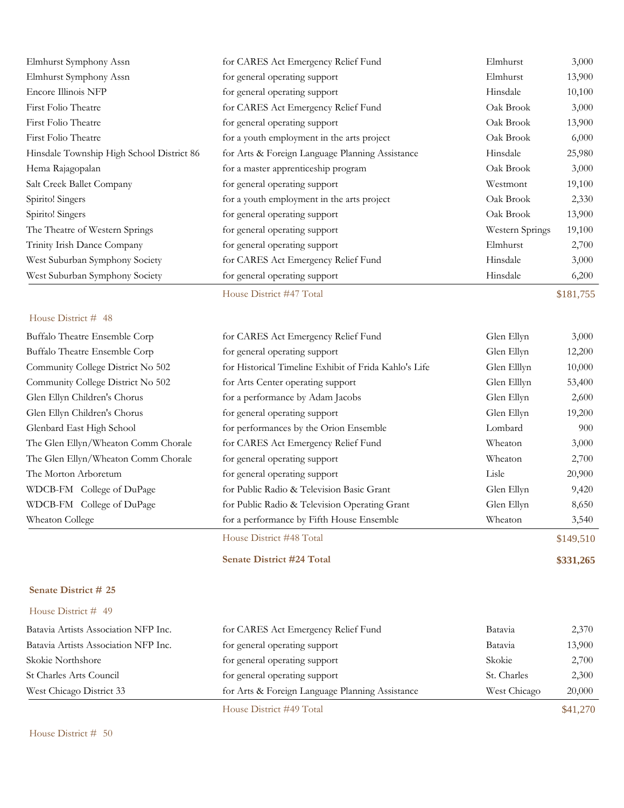| Elmhurst Symphony Assn                    | for CARES Act Emergency Relief Fund             | Elmhurst        | 3,000     |
|-------------------------------------------|-------------------------------------------------|-----------------|-----------|
| Elmhurst Symphony Assn                    | for general operating support                   | Elmhurst        | 13,900    |
| Encore Illinois NFP                       | for general operating support                   | Hinsdale        | 10,100    |
| First Folio Theatre                       | for CARES Act Emergency Relief Fund             | Oak Brook       | 3,000     |
| First Folio Theatre                       | for general operating support                   | Oak Brook       | 13,900    |
| First Folio Theatre                       | for a youth employment in the arts project      | Oak Brook       | 6,000     |
| Hinsdale Township High School District 86 | for Arts & Foreign Language Planning Assistance | Hinsdale        | 25,980    |
| Hema Rajagopalan                          | for a master apprenticeship program             | Oak Brook       | 3,000     |
| Salt Creek Ballet Company                 | for general operating support                   | Westmont        | 19,100    |
| Spirito! Singers                          | for a youth employment in the arts project      | Oak Brook       | 2,330     |
| Spirito! Singers                          | for general operating support                   | Oak Brook       | 13,900    |
| The Theatre of Western Springs            | for general operating support                   | Western Springs | 19,100    |
| Trinity Irish Dance Company               | for general operating support                   | Elmhurst        | 2,700     |
| West Suburban Symphony Society            | for CARES Act Emergency Relief Fund             | Hinsdale        | 3,000     |
| West Suburban Symphony Society            | for general operating support                   | Hinsdale        | 6,200     |
|                                           | House District #47 Total                        |                 | \$181,755 |

|                                     | House District #48 Total                              |             | \$149,510 |
|-------------------------------------|-------------------------------------------------------|-------------|-----------|
| Wheaton College                     | for a performance by Fifth House Ensemble             | Wheaton     | 3,540     |
| WDCB-FM College of DuPage           | for Public Radio & Television Operating Grant         | Glen Ellyn  | 8,650     |
| WDCB-FM College of DuPage           | for Public Radio & Television Basic Grant             | Glen Ellyn  | 9,420     |
| The Morton Arboretum                | for general operating support                         | Lisle       | 20,900    |
| The Glen Ellyn/Wheaton Comm Chorale | for general operating support                         | Wheaton     | 2,700     |
| The Glen Ellyn/Wheaton Comm Chorale | for CARES Act Emergency Relief Fund                   | Wheaton     | 3,000     |
| Glenbard East High School           | for performances by the Orion Ensemble                | Lombard     | 900       |
| Glen Ellyn Children's Chorus        | for general operating support                         | Glen Ellyn  | 19,200    |
| Glen Ellyn Children's Chorus        | for a performance by Adam Jacobs                      | Glen Ellyn  | 2,600     |
| Community College District No 502   | for Arts Center operating support                     | Glen Elllyn | 53,400    |
| Community College District No 502   | for Historical Timeline Exhibit of Frida Kahlo's Life | Glen Elllyn | 10,000    |
| Buffalo Theatre Ensemble Corp       | for general operating support                         | Glen Ellyn  | 12,200    |
| Buffalo Theatre Ensemble Corp       | for CARES Act Emergency Relief Fund                   | Glen Ellyn  | 3,000     |

#### **Senate District # 25**

### House District # 49

|                                      | House District #49 Total                        |              | \$41,270 |
|--------------------------------------|-------------------------------------------------|--------------|----------|
| West Chicago District 33             | for Arts & Foreign Language Planning Assistance | West Chicago | 20,000   |
| St Charles Arts Council              | for general operating support                   | St. Charles  | 2,300    |
| Skokie Northshore                    | for general operating support                   | Skokie       | 2,700    |
| Batavia Artists Association NFP Inc. | for general operating support                   | Batavia      | 13,900   |
| Batavia Artists Association NFP Inc. | for CARES Act Emergency Relief Fund             | Batavia      | 2,370    |

**Senate District #24 Total \$331,265**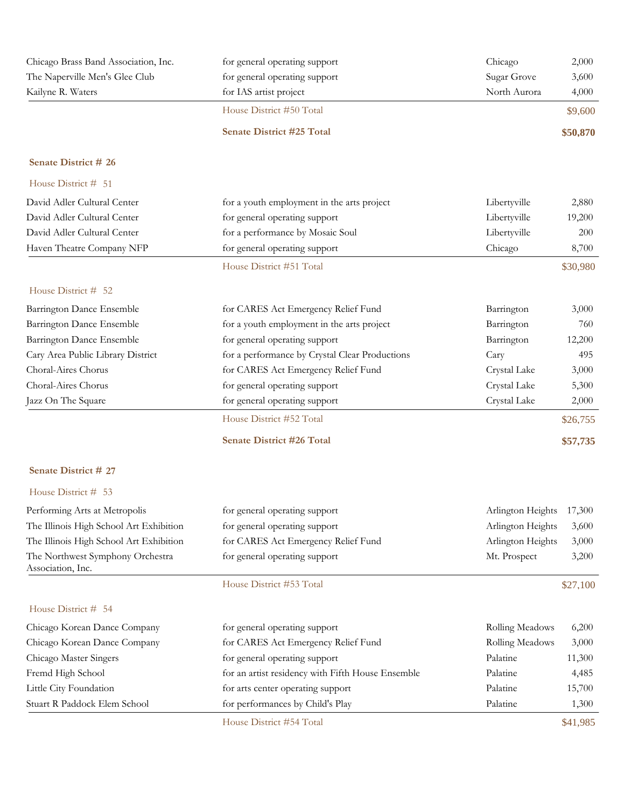| Chicago Brass Band Association, Inc. | for general operating support    | Chicago      | 2,000    |
|--------------------------------------|----------------------------------|--------------|----------|
| The Naperville Men's Glee Club       | for general operating support    | Sugar Grove  | 3,600    |
| Kailyne R. Waters                    | for IAS artist project           | North Aurora | 4,000    |
|                                      | House District #50 Total         |              | \$9,600  |
|                                      | <b>Senate District #25 Total</b> |              | \$50,870 |

| House District # 51               |                                                |              |          |
|-----------------------------------|------------------------------------------------|--------------|----------|
| David Adler Cultural Center       | for a youth employment in the arts project     | Libertyville | 2,880    |
| David Adler Cultural Center       | for general operating support                  | Libertyville | 19,200   |
| David Adler Cultural Center       | for a performance by Mosaic Soul               | Libertyville | 200      |
| Haven Theatre Company NFP         | for general operating support                  | Chicago      | 8,700    |
|                                   | House District #51 Total                       |              | \$30,980 |
| House District # 52               |                                                |              |          |
| Barrington Dance Ensemble         | for CARES Act Emergency Relief Fund            | Barrington   | 3,000    |
| Barrington Dance Ensemble         | for a youth employment in the arts project     | Barrington   | 760      |
| Barrington Dance Ensemble         | for general operating support                  | Barrington   | 12,200   |
| Cary Area Public Library District | for a performance by Crystal Clear Productions | Cary         | 495      |
| Choral-Aires Chorus               | for CARES Act Emergency Relief Fund            | Crystal Lake | 3,000    |
| Choral-Aires Chorus               | for general operating support                  | Crystal Lake | 5,300    |
| Jazz On The Square                | for general operating support                  | Crystal Lake | 2,000    |
|                                   | House District #52 Total                       |              | \$26,755 |
|                                   | <b>Senate District #26 Total</b>               |              | \$57,735 |

## **Senate District # 27**

| Performing Arts at Metropolis                         | for general operating support       | Arlington Heights 17,300 |       |
|-------------------------------------------------------|-------------------------------------|--------------------------|-------|
| The Illinois High School Art Exhibition               | for general operating support       | Arlington Heights        | 3,600 |
| The Illinois High School Art Exhibition               | for CARES Act Emergency Relief Fund | Arlington Heights        | 3,000 |
| The Northwest Symphony Orchestra<br>Association, Inc. | for general operating support       | Mt. Prospect             | 3,200 |

House District #53 Total \$27,100

| Chicago Korean Dance Company | for general operating support                     | Rolling Meadows | 6,200    |
|------------------------------|---------------------------------------------------|-----------------|----------|
| Chicago Korean Dance Company | for CARES Act Emergency Relief Fund               | Rolling Meadows | 3,000    |
| Chicago Master Singers       | for general operating support                     | Palatine        | 11,300   |
| Fremd High School            | for an artist residency with Fifth House Ensemble | Palatine        | 4,485    |
| Little City Foundation       | for arts center operating support                 | Palatine        | 15,700   |
| Stuart R Paddock Elem School | for performances by Child's Play                  | Palatine        | 1,300    |
|                              | House District #54 Total                          |                 | \$41,985 |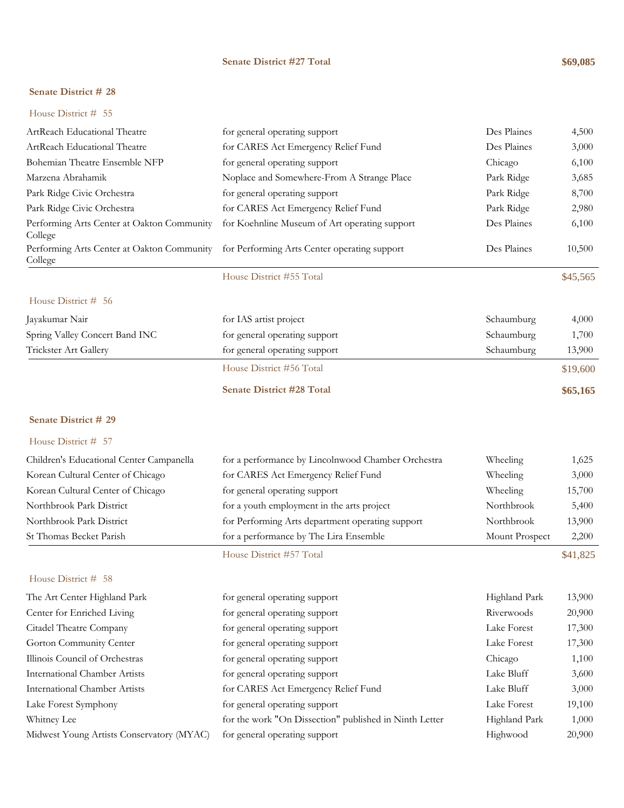### **Senate District #27 Total \$69,085**

#### **Senate District # 28**

### House District # 55

| ArtReach Educational Theatre                                                                       | for general operating support                 | Des Plaines | 4,500    |
|----------------------------------------------------------------------------------------------------|-----------------------------------------------|-------------|----------|
| ArtReach Educational Theatre                                                                       | for CARES Act Emergency Relief Fund           | Des Plaines | 3,000    |
| Bohemian Theatre Ensemble NFP                                                                      | for general operating support                 | Chicago     | 6,100    |
| Marzena Abrahamik                                                                                  | Noplace and Somewhere-From A Strange Place    | Park Ridge  | 3,685    |
| Park Ridge Civic Orchestra                                                                         | for general operating support                 | Park Ridge  | 8,700    |
| Park Ridge Civic Orchestra                                                                         | for CARES Act Emergency Relief Fund           | Park Ridge  | 2,980    |
| Performing Arts Center at Oakton Community<br>College                                              | for Koehnline Museum of Art operating support | Des Plaines | 6,100    |
| Performing Arts Center at Oakton Community for Performing Arts Center operating support<br>College |                                               | Des Plaines | 10,500   |
|                                                                                                    | House District #55 Total                      |             | \$45,565 |
| House District # 56                                                                                |                                               |             |          |
| Jayakumar Nair                                                                                     | for IAS artist project                        | Schaumburg  | 4,000    |
| Spring Valley Concert Band INC                                                                     | for general operating support                 | Schaumburg  | 1,700    |
| Trickster Art Gallery                                                                              | for general operating support                 | Schaumburg  | 13,900   |
|                                                                                                    | House District #56 Total                      |             | \$19,600 |
|                                                                                                    | <b>Senate District #28 Total</b>              |             | \$65,165 |

### **Senate District # 29**

### House District # 57

|                                          | House District #57 Total                           |                | \$41,825 |
|------------------------------------------|----------------------------------------------------|----------------|----------|
| St Thomas Becket Parish                  | for a performance by The Lira Ensemble             | Mount Prospect | 2,200    |
| Northbrook Park District                 | for Performing Arts department operating support   | Northbrook     | 13,900   |
| Northbrook Park District                 | for a youth employment in the arts project         | Northbrook     | 5,400    |
| Korean Cultural Center of Chicago        | for general operating support                      | Wheeling       | 15,700   |
| Korean Cultural Center of Chicago        | for CARES Act Emergency Relief Fund                | Wheeling       | 3,000    |
| Children's Educational Center Campanella | for a performance by Lincolnwood Chamber Orchestra | Wheeling       | 1,625    |

| The Art Center Highland Park              | for general operating support                          | Highland Park | 13,900 |
|-------------------------------------------|--------------------------------------------------------|---------------|--------|
| Center for Enriched Living                | for general operating support                          | Riverwoods    | 20,900 |
| Citadel Theatre Company                   | for general operating support                          | Lake Forest   | 17,300 |
| Gorton Community Center                   | for general operating support                          | Lake Forest   | 17,300 |
| Illinois Council of Orchestras            | for general operating support                          | Chicago       | 1,100  |
| <b>International Chamber Artists</b>      | for general operating support                          | Lake Bluff    | 3,600  |
| <b>International Chamber Artists</b>      | for CARES Act Emergency Relief Fund                    | Lake Bluff    | 3,000  |
| Lake Forest Symphony                      | for general operating support                          | Lake Forest   | 19,100 |
| Whitney Lee                               | for the work "On Dissection" published in Ninth Letter | Highland Park | 1,000  |
| Midwest Young Artists Conservatory (MYAC) | for general operating support                          | Highwood      | 20,900 |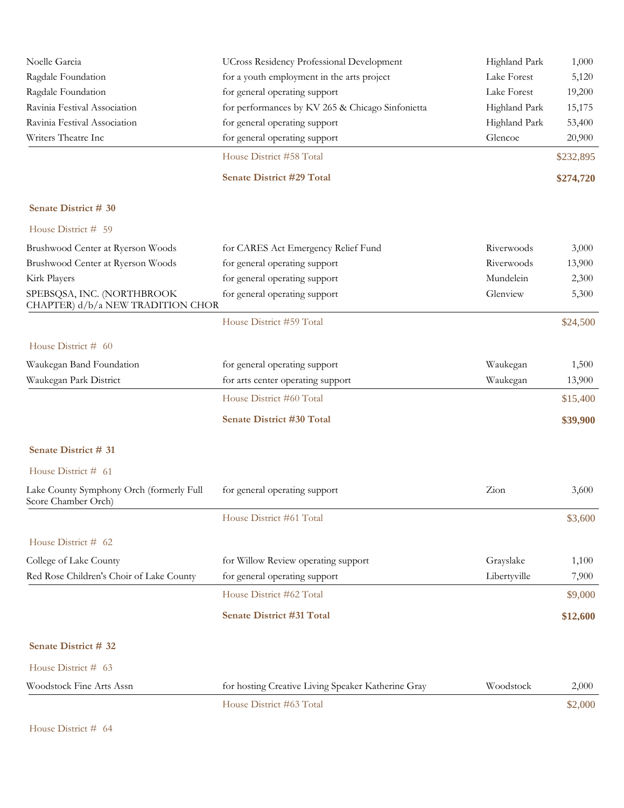|                                                                 | House District #63 Total                           |               | \$2,000   |
|-----------------------------------------------------------------|----------------------------------------------------|---------------|-----------|
| Woodstock Fine Arts Assn                                        | for hosting Creative Living Speaker Katherine Gray | Woodstock     | 2,000     |
| House District # 63                                             |                                                    |               |           |
| Senate District # 32                                            |                                                    |               |           |
|                                                                 | Senate District #31 Total                          |               | \$12,600  |
|                                                                 |                                                    |               |           |
|                                                                 | House District #62 Total                           |               | \$9,000   |
| Red Rose Children's Choir of Lake County                        | for general operating support                      | Libertyville  | 7,900     |
| College of Lake County                                          | for Willow Review operating support                | Grayslake     | 1,100     |
| House District # 62                                             |                                                    |               |           |
|                                                                 | House District #61 Total                           |               | \$3,600   |
| Lake County Symphony Orch (formerly Full<br>Score Chamber Orch) | for general operating support                      | Zion          | 3,600     |
| House District # 61                                             |                                                    |               |           |
| Senate District # 31                                            |                                                    |               |           |
|                                                                 |                                                    |               |           |
|                                                                 | Senate District #30 Total                          |               | \$39,900  |
|                                                                 | House District #60 Total                           |               | \$15,400  |
| Waukegan Park District                                          | for arts center operating support                  | Waukegan      | 13,900    |
| Waukegan Band Foundation                                        | for general operating support                      | Waukegan      | 1,500     |
| House District # 60                                             |                                                    |               |           |
|                                                                 | House District #59 Total                           |               | \$24,500  |
| CHAPTER) d/b/a NEW TRADITION CHOR                               |                                                    |               |           |
| SPEBSQSA, INC. (NORTHBROOK                                      | for general operating support                      | Glenview      | 5,300     |
| Kirk Players                                                    | for general operating support                      | Mundelein     | 2,300     |
| Brushwood Center at Ryerson Woods                               | for general operating support                      | Riverwoods    | 13,900    |
| Brushwood Center at Ryerson Woods                               | for CARES Act Emergency Relief Fund                | Riverwoods    | 3,000     |
| House District # 59                                             |                                                    |               |           |
| Senate District # 30                                            |                                                    |               |           |
|                                                                 | <b>Senate District #29 Total</b>                   |               | \$274,720 |
|                                                                 | House District #58 Total                           |               | \$232,895 |
| Writers Theatre Inc                                             | for general operating support                      | Glencoe       | 20,900    |
| Ravinia Festival Association                                    | for general operating support                      | Highland Park | 53,400    |
| Ravinia Festival Association                                    | for performances by KV 265 & Chicago Sinfonietta   | Highland Park | 15,175    |
| Ragdale Foundation                                              | for general operating support                      | Lake Forest   | 19,200    |
| Ragdale Foundation                                              | for a youth employment in the arts project         | Lake Forest   | 5,120     |
| Noelle Garcia                                                   | <b>UCross Residency Professional Development</b>   | Highland Park | 1,000     |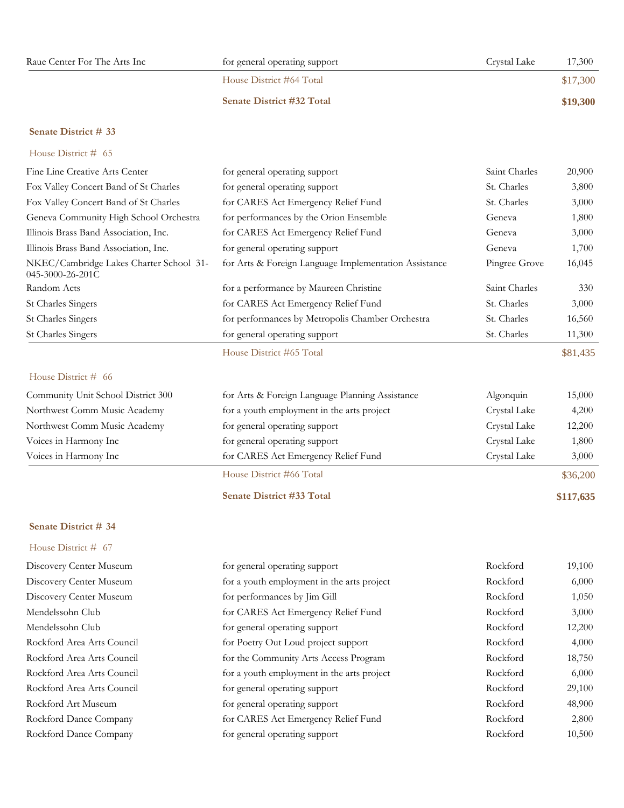| Raue Center For The Arts Inc | for general operating support    | Crystal Lake<br>17,300 |
|------------------------------|----------------------------------|------------------------|
|                              | House District #64 Total         | \$17,300               |
|                              | <b>Senate District #32 Total</b> | \$19,300               |

### House District # 65

| Fine Line Creative Arts Center                                      | for general operating support                         | Saint Charles     | 20,900   |
|---------------------------------------------------------------------|-------------------------------------------------------|-------------------|----------|
| Fox Valley Concert Band of St Charles                               | for general operating support                         | St. Charles       | 3,800    |
| Fox Valley Concert Band of St Charles                               | for CARES Act Emergency Relief Fund                   | St. Charles       | 3,000    |
| Geneva Community High School Orchestra                              | for performances by the Orion Ensemble                | Geneva            | 1,800    |
| Illinois Brass Band Association, Inc.                               | for CARES Act Emergency Relief Fund                   | Geneva            | 3,000    |
| Illinois Brass Band Association, Inc.                               | for general operating support                         | Geneva            | 1,700    |
| NKEC/Cambridge Lakes Charter School 31-<br>$045 - 3000 - 26 - 201C$ | for Arts & Foreign Language Implementation Assistance | Pingree Grove     | 16,045   |
| Random Acts                                                         | for a performance by Maureen Christine                | Saint Charles     | 330      |
| St Charles Singers                                                  | for CARES Act Emergency Relief Fund                   | St. Charles       | 3,000    |
| St Charles Singers                                                  | for performances by Metropolis Chamber Orchestra      | St. Charles       | 16,560   |
| St Charles Singers                                                  | for general operating support                         | St. Charles       | 11,300   |
|                                                                     | House District #65 Total                              |                   | \$81,435 |
| House District $#$ 66                                               |                                                       |                   |          |
| Community Unit School District 300                                  | for Arts & Foreign Language Planning Assistance       | $\Delta$ loonquin | 15,000   |

|                                    | House District #66 Total                        |              | \$36,200 |
|------------------------------------|-------------------------------------------------|--------------|----------|
| Voices in Harmony Inc              | for CARES Act Emergency Relief Fund             | Crystal Lake | 3,000    |
| Voices in Harmony Inc              | for general operating support                   | Crystal Lake | 1,800    |
| Northwest Comm Music Academy       | for general operating support                   | Crystal Lake | 12,200   |
| Northwest Comm Music Academy       | for a youth employment in the arts project      | Crystal Lake | 4,200    |
| Community Unit School District 500 | for Arts & Foreign Language Planning Assistance | Algonquin    | 15,000   |

### **Senate District #33 Total \$117,635**

### **Senate District # 34**

| Rockford<br>Discovery Center Museum<br>for a youth employment in the arts project<br>Rockford<br>Discovery Center Museum<br>for performances by Jim Gill | 6,000  |
|----------------------------------------------------------------------------------------------------------------------------------------------------------|--------|
|                                                                                                                                                          |        |
|                                                                                                                                                          | 1,050  |
| Mendelssohn Club<br>Rockford<br>for CARES Act Emergency Relief Fund                                                                                      | 3,000  |
| Mendelssohn Club<br>Rockford<br>for general operating support                                                                                            | 12,200 |
| Rockford Area Arts Council<br>Rockford<br>for Poetry Out Loud project support                                                                            | 4,000  |
| Rockford Area Arts Council<br>Rockford<br>for the Community Arts Access Program                                                                          | 18,750 |
| Rockford Area Arts Council<br>Rockford<br>for a youth employment in the arts project                                                                     | 6,000  |
| Rockford Area Arts Council<br>Rockford<br>for general operating support                                                                                  | 29,100 |
| Rockford Art Museum<br>Rockford<br>for general operating support                                                                                         | 48,900 |
| Rockford<br>Rockford Dance Company<br>for CARES Act Emergency Relief Fund                                                                                | 2,800  |
| Rockford<br>Rockford Dance Company<br>for general operating support                                                                                      | 10,500 |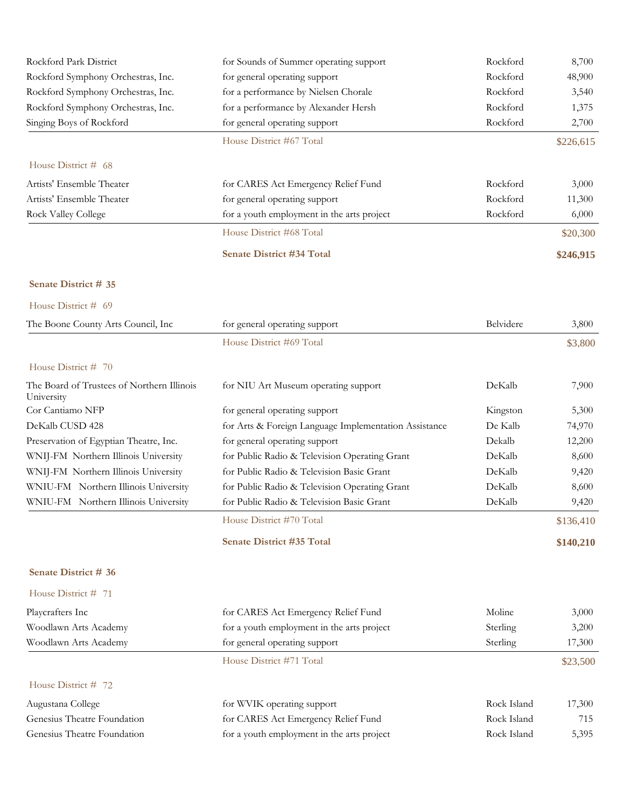| Rockford Park District             | for Sounds of Summer operating support     | Rockford  | 8,700     |
|------------------------------------|--------------------------------------------|-----------|-----------|
| Rockford Symphony Orchestras, Inc. | for general operating support              | Rockford  | 48,900    |
| Rockford Symphony Orchestras, Inc. | for a performance by Nielsen Chorale       | Rockford  | 3,540     |
| Rockford Symphony Orchestras, Inc. | for a performance by Alexander Hersh       | Rockford  | 1,375     |
| Singing Boys of Rockford           | for general operating support              | Rockford  | 2,700     |
|                                    | House District #67 Total                   |           | \$226,615 |
| House District # 68                |                                            |           |           |
| Artists' Ensemble Theater          | for CARES Act Emergency Relief Fund        | Rockford  | 3,000     |
| Artists' Ensemble Theater          | for general operating support              | Rockford  | 11,300    |
| <b>Rock Valley College</b>         | for a youth employment in the arts project | Rockford  | 6,000     |
|                                    | House District #68 Total                   |           | \$20,300  |
|                                    | Senate District #34 Total                  |           | \$246,915 |
| Senate District # 35               |                                            |           |           |
| House District # 69                |                                            |           |           |
| The Boone County Arts Council, Inc | for general operating support              | Belvidere | 3,800     |

House District #69 Total \$3,800

| House District $# 70$                                    |                                                       |          |           |
|----------------------------------------------------------|-------------------------------------------------------|----------|-----------|
| The Board of Trustees of Northern Illinois<br>University | for NIU Art Museum operating support                  | DeKalb   | 7,900     |
| Cor Cantiamo NFP                                         | for general operating support                         | Kingston | 5,300     |
| DeKalb CUSD 428                                          | for Arts & Foreign Language Implementation Assistance | De Kalb  | 74,970    |
| Preservation of Egyptian Theatre, Inc.                   | for general operating support                         | Dekalb   | 12,200    |
| WNIJ-FM Northern Illinois University                     | for Public Radio & Television Operating Grant         | DeKalb   | 8,600     |
| WNIJ-FM Northern Illinois University                     | for Public Radio & Television Basic Grant             | DeKalb   | 9,420     |
| WNIU-FM Northern Illinois University                     | for Public Radio & Television Operating Grant         | DeKalb   | 8,600     |
| WNIU-FM Northern Illinois University                     | for Public Radio & Television Basic Grant             | DeKalb   | 9,420     |
|                                                          | House District #70 Total                              |          | \$136,410 |
|                                                          | <b>Senate District #35 Total</b>                      |          | \$140,210 |

# **Senate District # 36** House District # 71

| Playcrafters Inc            | for CARES Act Emergency Relief Fund        | Moline      | 3,000    |
|-----------------------------|--------------------------------------------|-------------|----------|
| Woodlawn Arts Academy       | for a youth employment in the arts project | Sterling    | 3,200    |
| Woodlawn Arts Academy       | for general operating support              | Sterling    | 17,300   |
|                             | House District #71 Total                   |             | \$23,500 |
| House District $# 72$       |                                            |             |          |
| Augustana College           | for WVIK operating support                 | Rock Island | 17,300   |
| Genesius Theatre Foundation | for CARES Act Emergency Relief Fund        | Rock Island | 715      |
| Genesius Theatre Foundation | for a youth employment in the arts project | Rock Island | 5,395    |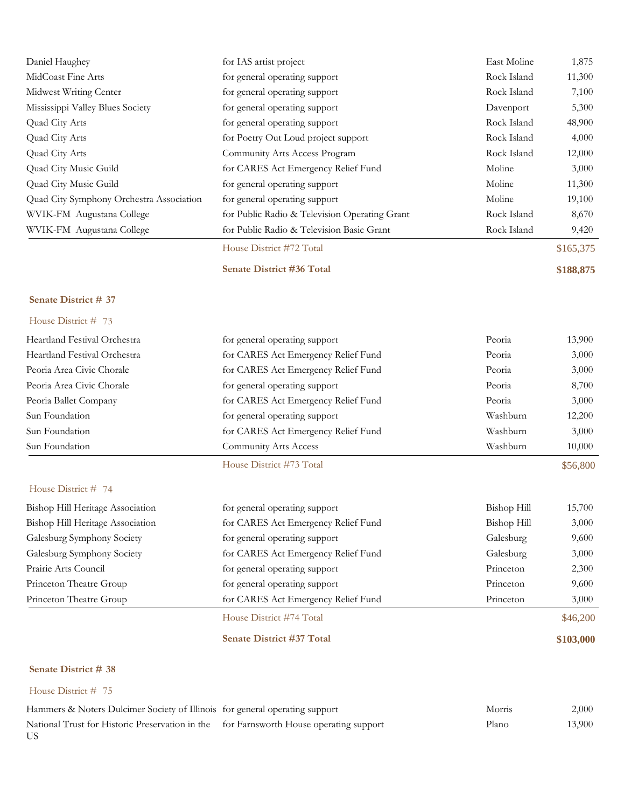| House District # 75                                     |                                                                |                    |                 |
|---------------------------------------------------------|----------------------------------------------------------------|--------------------|-----------------|
| Senate District # 38                                    |                                                                |                    |                 |
|                                                         | Senate District #37 Total                                      |                    | \$103,000       |
|                                                         | House District #74 Total                                       |                    | \$46,200        |
| Princeton Theatre Group                                 | for CARES Act Emergency Relief Fund                            | Princeton          | 3,000           |
| Princeton Theatre Group                                 | for general operating support                                  | Princeton          | 9,600           |
| Prairie Arts Council                                    | for general operating support                                  | Princeton          | 2,300           |
| Galesburg Symphony Society                              | for CARES Act Emergency Relief Fund                            | Galesburg          | 3,000           |
| Galesburg Symphony Society                              | for general operating support                                  | Galesburg          | 9,600           |
| Bishop Hill Heritage Association                        | for CARES Act Emergency Relief Fund                            | <b>Bishop Hill</b> | 3,000           |
| House District # 74<br>Bishop Hill Heritage Association | for general operating support                                  | Bishop Hill        | 15,700          |
|                                                         | House District #73 Total                                       |                    | \$56,800        |
| Sun Foundation                                          | Community Arts Access                                          | Washburn           | 10,000          |
| Sun Foundation                                          | for CARES Act Emergency Relief Fund                            | Washburn           | 3,000           |
| Sun Foundation                                          | for general operating support                                  | Washburn           | 12,200          |
| Peoria Ballet Company                                   | for CARES Act Emergency Relief Fund                            | Peoria             | 3,000           |
| Peoria Area Civic Chorale                               | for general operating support                                  | Peoria             | 8,700           |
| Peoria Area Civic Chorale                               | for CARES Act Emergency Relief Fund                            | Peoria             | 3,000           |
| Heartland Festival Orchestra                            | for CARES Act Emergency Relief Fund                            | Peoria             | 3,000           |
| Heartland Festival Orchestra                            | for general operating support                                  | Peoria             | 13,900          |
| House District # 73                                     |                                                                |                    |                 |
| Senate District # 37                                    |                                                                |                    |                 |
|                                                         | <b>Senate District #36 Total</b>                               |                    | \$188,875       |
|                                                         | House District #72 Total                                       |                    | \$165,375       |
| WVIK-FM Augustana College                               | for Public Radio & Television Basic Grant                      | Rock Island        | 9,420           |
| WVIK-FM Augustana College                               | for Public Radio & Television Operating Grant                  | Rock Island        | 8,670           |
| Quad City Symphony Orchestra Association                | for general operating support                                  | Moline             | 19,100          |
| Quad City Music Guild                                   | for general operating support                                  | Moline             | 11,300          |
| Quad City Music Guild                                   | for CARES Act Emergency Relief Fund                            | Moline             | 3,000           |
| Quad City Arts                                          | Community Arts Access Program                                  | Rock Island        | 12,000          |
| Quad City Arts                                          | for Poetry Out Loud project support                            | Rock Island        | 4,000           |
| Quad City Arts                                          | for general operating support                                  | Rock Island        | 48,900          |
| Mississippi Valley Blues Society                        | for general operating support                                  | Davenport          | 5,300           |
| Midwest Writing Center                                  | for general operating support<br>for general operating support | Rock Island        | 11,300<br>7,100 |
| MidCoast Fine Arts                                      |                                                                | Rock Island        | 1,875           |
| Daniel Haughey                                          | for IAS artist project                                         | East Moline        |                 |

| Hammers & Noters Dulcimer Society of Illinois for general operating support                   | Morris | 2,000  |
|-----------------------------------------------------------------------------------------------|--------|--------|
| National Trust for Historic Preservation in the for Farnsworth House operating support<br>US. | Plano  | 13,900 |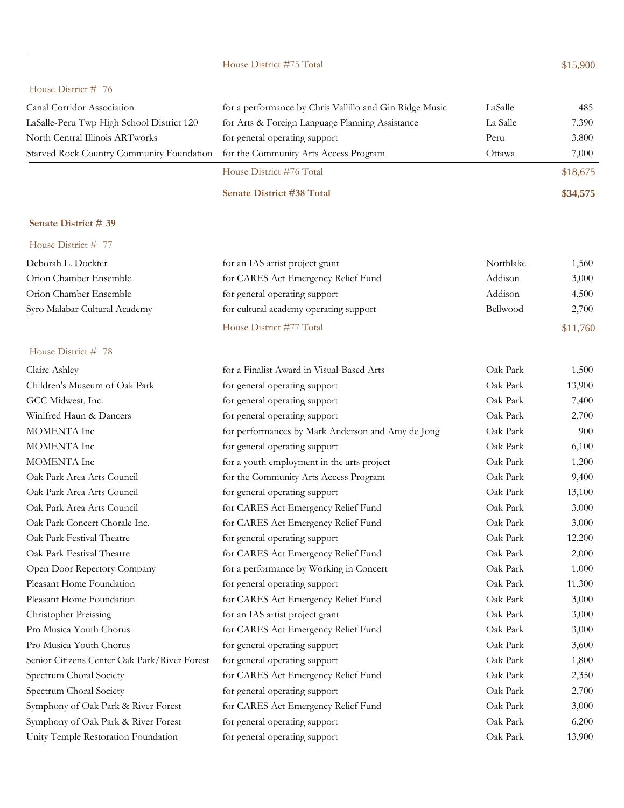|                                              | House District #75 Total                                |           | \$15,900 |
|----------------------------------------------|---------------------------------------------------------|-----------|----------|
| House District # 76                          |                                                         |           |          |
| Canal Corridor Association                   | for a performance by Chris Vallillo and Gin Ridge Music | LaSalle   | 485      |
| LaSalle-Peru Twp High School District 120    | for Arts & Foreign Language Planning Assistance         | La Salle  | 7,390    |
| North Central Illinois ARTworks              | for general operating support                           | Peru      | 3,800    |
| Starved Rock Country Community Foundation    | for the Community Arts Access Program                   | Ottawa    | 7,000    |
|                                              | House District #76 Total                                |           | \$18,675 |
|                                              | <b>Senate District #38 Total</b>                        |           | \$34,575 |
|                                              |                                                         |           |          |
| Senate District # 39                         |                                                         |           |          |
| House District # 77                          |                                                         |           |          |
| Deborah L. Dockter                           | for an IAS artist project grant                         | Northlake | 1,560    |
| Orion Chamber Ensemble                       | for CARES Act Emergency Relief Fund                     | Addison   | 3,000    |
| Orion Chamber Ensemble                       | for general operating support                           | Addison   | 4,500    |
| Syro Malabar Cultural Academy                | for cultural academy operating support                  | Bellwood  | 2,700    |
|                                              | House District #77 Total                                |           | \$11,760 |
| House District # 78                          |                                                         |           |          |
| Claire Ashley                                | for a Finalist Award in Visual-Based Arts               | Oak Park  | 1,500    |
| Children's Museum of Oak Park                | for general operating support                           | Oak Park  | 13,900   |
| GCC Midwest, Inc.                            | for general operating support                           | Oak Park  | 7,400    |
| Winifred Haun & Dancers                      | for general operating support                           | Oak Park  | 2,700    |
| MOMENTA Inc                                  | for performances by Mark Anderson and Amy de Jong       | Oak Park  | 900      |
| MOMENTA Inc                                  | for general operating support                           | Oak Park  | 6,100    |
| MOMENTA Inc                                  | for a youth employment in the arts project              | Oak Park  | 1,200    |
| Oak Park Area Arts Council                   | for the Community Arts Access Program                   | Oak Park  | 9,400    |
| Oak Park Area Arts Council                   | for general operating support                           | Oak Park  | 13,100   |
| Oak Park Area Arts Council                   | for CARES Act Emergency Relief Fund                     | Oak Park  | 3,000    |
| Oak Park Concert Chorale Inc.                | for CARES Act Emergency Relief Fund                     | Oak Park  | 3,000    |
| Oak Park Festival Theatre                    | for general operating support                           | Oak Park  | 12,200   |
| Oak Park Festival Theatre                    | for CARES Act Emergency Relief Fund                     | Oak Park  | 2,000    |
| Open Door Repertory Company                  | for a performance by Working in Concert                 | Oak Park  | 1,000    |
| Pleasant Home Foundation                     | for general operating support                           | Oak Park  | 11,300   |
| Pleasant Home Foundation                     | for CARES Act Emergency Relief Fund                     | Oak Park  | 3,000    |
| Christopher Preissing                        | for an IAS artist project grant                         | Oak Park  | 3,000    |
| Pro Musica Youth Chorus                      | for CARES Act Emergency Relief Fund                     | Oak Park  | 3,000    |
| Pro Musica Youth Chorus                      | for general operating support                           | Oak Park  | 3,600    |
| Senior Citizens Center Oak Park/River Forest | for general operating support                           | Oak Park  | 1,800    |
| Spectrum Choral Society                      | for CARES Act Emergency Relief Fund                     | Oak Park  | 2,350    |
| Spectrum Choral Society                      | for general operating support                           | Oak Park  | 2,700    |
| Symphony of Oak Park & River Forest          | for CARES Act Emergency Relief Fund                     | Oak Park  | 3,000    |
| Symphony of Oak Park & River Forest          | for general operating support                           | Oak Park  | 6,200    |
| Unity Temple Restoration Foundation          | for general operating support                           | Oak Park  | 13,900   |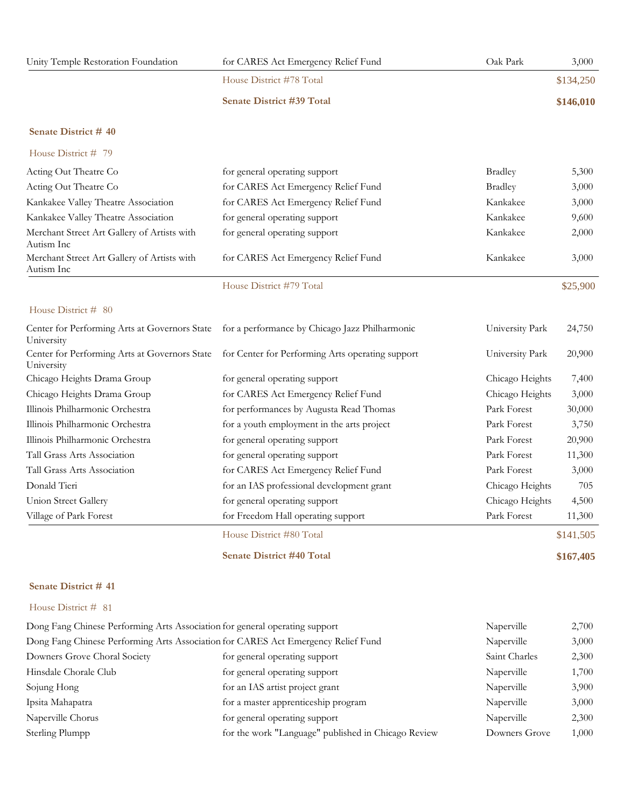| Unity Temple Restoration Foundation | for CARES Act Emergency Relief Fund | Oak Park | 3,000     |
|-------------------------------------|-------------------------------------|----------|-----------|
|                                     | House District #78 Total            |          | \$134,250 |
|                                     | <b>Senate District #39 Total</b>    |          | \$146,010 |

|                                                           | House District #79 Total            |                | \$25,900 |
|-----------------------------------------------------------|-------------------------------------|----------------|----------|
| Merchant Street Art Gallery of Artists with<br>Autism Inc | for CARES Act Emergency Relief Fund | Kankakee       | 3,000    |
| Autism Inc                                                |                                     |                |          |
| Merchant Street Art Gallery of Artists with               | for general operating support       | Kankakee       | 2,000    |
| Kankakee Valley Theatre Association                       | for general operating support       | Kankakee       | 9,600    |
| Kankakee Valley Theatre Association                       | for CARES Act Emergency Relief Fund | Kankakee       | 3,000    |
| Acting Out Theatre Co                                     | for CARES Act Emergency Relief Fund | <b>Bradley</b> | 3,000    |
| Acting Out Theatre Co                                     | for general operating support       | <b>Bradley</b> | 5,300    |
| House District # 79                                       |                                     |                |          |

#### House District # 80

| University                      | Center for Performing Arts at Governors State for a performance by Chicago Jazz Philharmonic   | University Park | 24,750    |
|---------------------------------|------------------------------------------------------------------------------------------------|-----------------|-----------|
| University                      | Center for Performing Arts at Governors State for Center for Performing Arts operating support | University Park | 20,900    |
| Chicago Heights Drama Group     | for general operating support                                                                  | Chicago Heights | 7,400     |
| Chicago Heights Drama Group     | for CARES Act Emergency Relief Fund                                                            | Chicago Heights | 3,000     |
| Illinois Philharmonic Orchestra | for performances by Augusta Read Thomas                                                        | Park Forest     | 30,000    |
| Illinois Philharmonic Orchestra | for a youth employment in the arts project                                                     | Park Forest     | 3,750     |
| Illinois Philharmonic Orchestra | for general operating support                                                                  | Park Forest     | 20,900    |
| Tall Grass Arts Association     | for general operating support                                                                  | Park Forest     | 11,300    |
| Tall Grass Arts Association     | for CARES Act Emergency Relief Fund                                                            | Park Forest     | 3,000     |
| Donald Tieri                    | for an IAS professional development grant                                                      | Chicago Heights | 705       |
| Union Street Gallery            | for general operating support                                                                  | Chicago Heights | 4,500     |
| Village of Park Forest          | for Freedom Hall operating support                                                             | Park Forest     | 11,300    |
|                                 | House District #80 Total                                                                       |                 | \$141,505 |

**Senate District #40 Total \$167,405**

#### **Senate District # 41**

| Dong Fang Chinese Performing Arts Association for general operating support       |                                                     | Naperville    | 2,700 |
|-----------------------------------------------------------------------------------|-----------------------------------------------------|---------------|-------|
| Dong Fang Chinese Performing Arts Association for CARES Act Emergency Relief Fund |                                                     | Naperville    | 3,000 |
| Downers Grove Choral Society                                                      | for general operating support                       | Saint Charles | 2,300 |
| Hinsdale Chorale Club                                                             | for general operating support                       | Naperville    | 1,700 |
| Sojung Hong                                                                       | for an IAS artist project grant                     | Naperville    | 3,900 |
| Ipsita Mahapatra                                                                  | for a master apprenticeship program                 | Naperville    | 3,000 |
| Naperville Chorus                                                                 | for general operating support                       | Naperville    | 2,300 |
| Sterling Plumpp                                                                   | for the work "Language" published in Chicago Review | Downers Grove | 1,000 |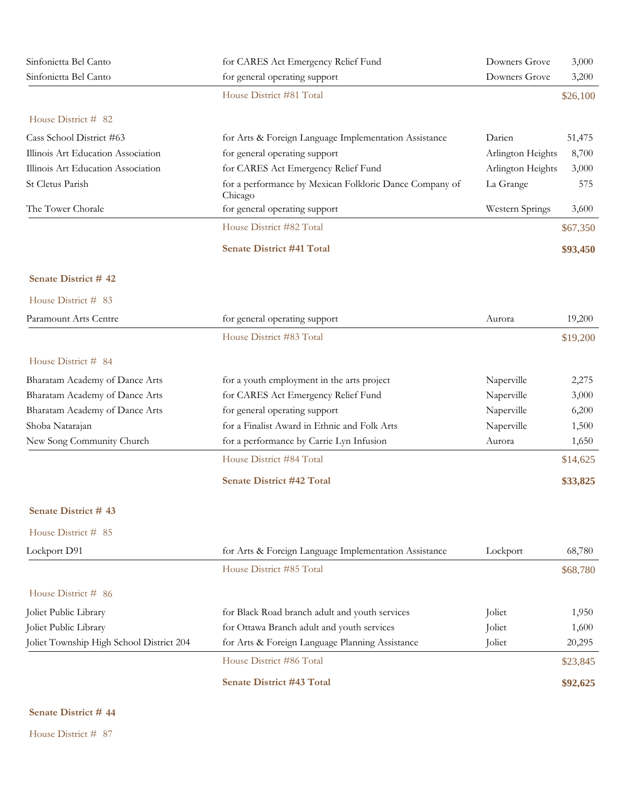| Sinfonietta Bel Canto                    | for CARES Act Emergency Relief Fund                                | Downers Grove     | 3,000    |
|------------------------------------------|--------------------------------------------------------------------|-------------------|----------|
| Sinfonietta Bel Canto                    | for general operating support                                      | Downers Grove     | 3,200    |
|                                          | House District #81 Total                                           |                   | \$26,100 |
| House District # 82                      |                                                                    |                   |          |
| Cass School District #63                 | for Arts & Foreign Language Implementation Assistance              | Darien            | 51,475   |
| Illinois Art Education Association       | for general operating support                                      | Arlington Heights | 8,700    |
| Illinois Art Education Association       | for CARES Act Emergency Relief Fund                                | Arlington Heights | 3,000    |
| St Cletus Parish                         | for a performance by Mexican Folkloric Dance Company of<br>Chicago | La Grange         | 575      |
| The Tower Chorale                        | for general operating support                                      | Western Springs   | 3,600    |
|                                          | House District #82 Total                                           |                   | \$67,350 |
|                                          | <b>Senate District #41 Total</b>                                   |                   | \$93,450 |
| Senate District #42                      |                                                                    |                   |          |
| House District # 83                      |                                                                    |                   |          |
| Paramount Arts Centre                    | for general operating support                                      | Aurora            | 19,200   |
|                                          | House District #83 Total                                           |                   | \$19,200 |
| House District # 84                      |                                                                    |                   |          |
| Bharatam Academy of Dance Arts           | for a youth employment in the arts project                         | Naperville        | 2,275    |
| Bharatam Academy of Dance Arts           | for CARES Act Emergency Relief Fund                                | Naperville        | 3,000    |
| Bharatam Academy of Dance Arts           | for general operating support                                      | Naperville        | 6,200    |
| Shoba Natarajan                          | for a Finalist Award in Ethnic and Folk Arts                       | Naperville        | 1,500    |
| New Song Community Church                | for a performance by Carrie Lyn Infusion                           | Aurora            | 1,650    |
|                                          | House District #84 Total                                           |                   | \$14,625 |
|                                          | <b>Senate District #42 Total</b>                                   |                   | \$33,825 |
| Senate District #43                      |                                                                    |                   |          |
| House District # 85                      |                                                                    |                   |          |
| Lockport D91                             | for Arts & Foreign Language Implementation Assistance              | Lockport          | 68,780   |
|                                          | House District #85 Total                                           |                   | \$68,780 |
| House District # 86                      |                                                                    |                   |          |
| Joliet Public Library                    | for Black Road branch adult and youth services                     | Joliet            | 1,950    |
| Joliet Public Library                    | for Ottawa Branch adult and youth services                         | Joliet            | 1,600    |
| Joliet Township High School District 204 | for Arts & Foreign Language Planning Assistance                    | Joliet            | 20,295   |
|                                          | House District #86 Total                                           |                   | \$23,845 |
|                                          | <b>Senate District #43 Total</b>                                   |                   | \$92,625 |
|                                          |                                                                    |                   |          |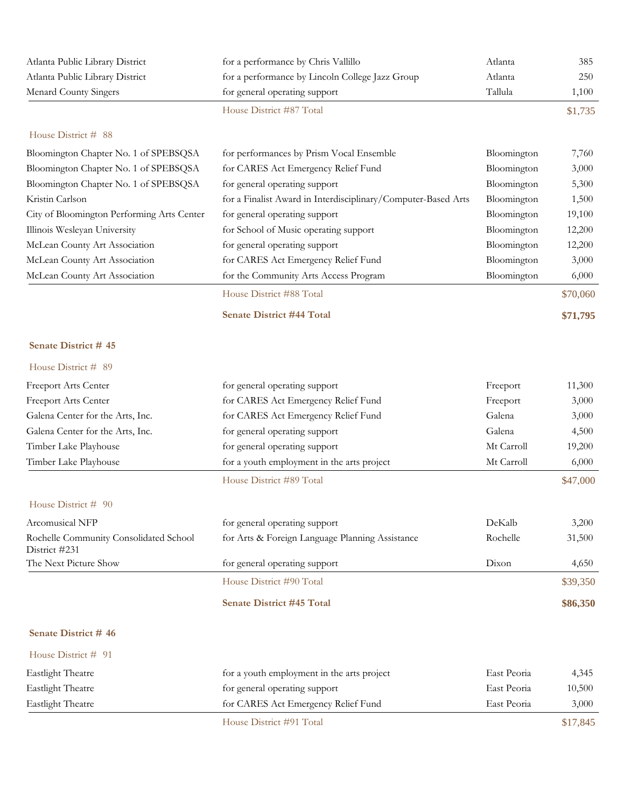| Atlanta Public Library District                         | for a performance by Chris Vallillo                           | Atlanta     | 385      |
|---------------------------------------------------------|---------------------------------------------------------------|-------------|----------|
| Atlanta Public Library District                         | for a performance by Lincoln College Jazz Group               | Atlanta     | 250      |
| <b>Menard County Singers</b>                            | for general operating support                                 | Tallula     | 1,100    |
|                                                         | House District #87 Total                                      |             | \$1,735  |
| House District # 88                                     |                                                               |             |          |
| Bloomington Chapter No. 1 of SPEBSQSA                   | for performances by Prism Vocal Ensemble                      | Bloomington | 7,760    |
| Bloomington Chapter No. 1 of SPEBSQSA                   | for CARES Act Emergency Relief Fund                           | Bloomington | 3,000    |
| Bloomington Chapter No. 1 of SPEBSQSA                   | for general operating support                                 | Bloomington | 5,300    |
| Kristin Carlson                                         | for a Finalist Award in Interdisciplinary/Computer-Based Arts | Bloomington | 1,500    |
| City of Bloomington Performing Arts Center              | for general operating support                                 | Bloomington | 19,100   |
| Illinois Wesleyan University                            | for School of Music operating support                         | Bloomington | 12,200   |
| McLean County Art Association                           | for general operating support                                 | Bloomington | 12,200   |
| McLean County Art Association                           | for CARES Act Emergency Relief Fund                           | Bloomington | 3,000    |
| McLean County Art Association                           | for the Community Arts Access Program                         | Bloomington | 6,000    |
|                                                         | House District #88 Total                                      |             | \$70,060 |
|                                                         | <b>Senate District #44 Total</b>                              |             | \$71,795 |
| Senate District #45                                     |                                                               |             |          |
| House District # 89                                     |                                                               |             |          |
| Freeport Arts Center                                    | for general operating support                                 | Freeport    | 11,300   |
| Freeport Arts Center                                    | for CARES Act Emergency Relief Fund                           | Freeport    | 3,000    |
| Galena Center for the Arts, Inc.                        | for CARES Act Emergency Relief Fund                           | Galena      | 3,000    |
| Galena Center for the Arts, Inc.                        | for general operating support                                 | Galena      | 4,500    |
| Timber Lake Playhouse                                   | for general operating support                                 | Mt Carroll  | 19,200   |
| Timber Lake Playhouse                                   | for a youth employment in the arts project                    | Mt Carroll  | 6,000    |
|                                                         | House District #89 Total                                      |             | \$47,000 |
| House District # 90                                     |                                                               |             |          |
| Arcomusical NFP                                         | for general operating support                                 | DeKalb      | 3,200    |
| Rochelle Community Consolidated School<br>District #231 | for Arts & Foreign Language Planning Assistance               | Rochelle    | 31,500   |
| The Next Picture Show                                   | for general operating support                                 | Dixon       | 4,650    |
|                                                         | House District #90 Total                                      |             | \$39,350 |
|                                                         | Senate District #45 Total                                     |             | \$86,350 |
| Senate District #46                                     |                                                               |             |          |
| House District # 91                                     |                                                               |             |          |
| <b>Eastlight Theatre</b>                                | for a youth employment in the arts project                    | East Peoria | 4,345    |
| <b>Eastlight Theatre</b>                                | for general operating support                                 | East Peoria | 10,500   |
| <b>Eastlight Theatre</b>                                | for CARES Act Emergency Relief Fund                           | East Peoria | 3,000    |

House District #91 Total \$17,845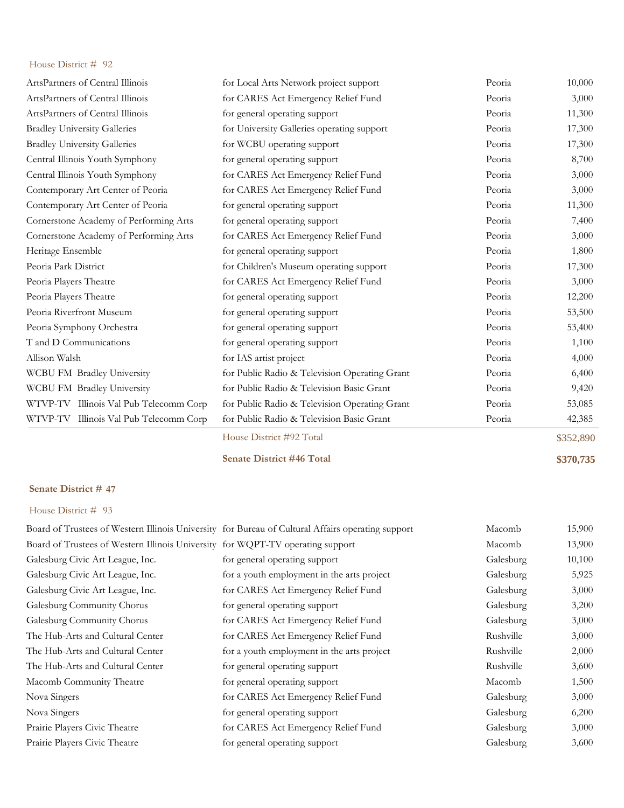| ArtsPartners of Central Illinois       | for Local Arts Network project support        | Peoria | 10,000    |
|----------------------------------------|-----------------------------------------------|--------|-----------|
| ArtsPartners of Central Illinois       | for CARES Act Emergency Relief Fund           | Peoria | 3,000     |
| ArtsPartners of Central Illinois       | for general operating support                 | Peoria | 11,300    |
| <b>Bradley University Galleries</b>    | for University Galleries operating support    | Peoria | 17,300    |
| <b>Bradley University Galleries</b>    | for WCBU operating support                    | Peoria | 17,300    |
| Central Illinois Youth Symphony        | for general operating support                 | Peoria | 8,700     |
| Central Illinois Youth Symphony        | for CARES Act Emergency Relief Fund           | Peoria | 3,000     |
| Contemporary Art Center of Peoria      | for CARES Act Emergency Relief Fund           | Peoria | 3,000     |
| Contemporary Art Center of Peoria      | for general operating support                 | Peoria | 11,300    |
| Cornerstone Academy of Performing Arts | for general operating support                 | Peoria | 7,400     |
| Cornerstone Academy of Performing Arts | for CARES Act Emergency Relief Fund           | Peoria | 3,000     |
| Heritage Ensemble                      | for general operating support                 | Peoria | 1,800     |
| Peoria Park District                   | for Children's Museum operating support       | Peoria | 17,300    |
| Peoria Players Theatre                 | for CARES Act Emergency Relief Fund           | Peoria | 3,000     |
| Peoria Players Theatre                 | for general operating support                 | Peoria | 12,200    |
| Peoria Riverfront Museum               | for general operating support                 | Peoria | 53,500    |
| Peoria Symphony Orchestra              | for general operating support                 | Peoria | 53,400    |
| T and D Communications                 | for general operating support                 | Peoria | 1,100     |
| Allison Walsh                          | for IAS artist project                        | Peoria | 4,000     |
| WCBU FM Bradley University             | for Public Radio & Television Operating Grant | Peoria | 6,400     |
| WCBU FM Bradley University             | for Public Radio & Television Basic Grant     | Peoria | 9,420     |
| WTVP-TV Illinois Val Pub Telecomm Corp | for Public Radio & Television Operating Grant | Peoria | 53,085    |
| WTVP-TV Illinois Val Pub Telecomm Corp | for Public Radio & Television Basic Grant     | Peoria | 42,385    |
|                                        | House District #92 Total                      |        | \$352,890 |

**Senate District #46 Total \$370,735**

## **Senate District # 47**

|                                                                                | Board of Trustees of Western Illinois University for Bureau of Cultural Affairs operating support | Macomb    | 15,900 |
|--------------------------------------------------------------------------------|---------------------------------------------------------------------------------------------------|-----------|--------|
| Board of Trustees of Western Illinois University for WQPT-TV operating support |                                                                                                   | Macomb    | 13,900 |
| Galesburg Civic Art League, Inc.                                               | for general operating support                                                                     | Galesburg | 10,100 |
| Galesburg Civic Art League, Inc.                                               | for a youth employment in the arts project                                                        | Galesburg | 5,925  |
| Galesburg Civic Art League, Inc.                                               | for CARES Act Emergency Relief Fund                                                               | Galesburg | 3,000  |
| Galesburg Community Chorus                                                     | for general operating support                                                                     | Galesburg | 3,200  |
| Galesburg Community Chorus                                                     | for CARES Act Emergency Relief Fund                                                               | Galesburg | 3,000  |
| The Hub-Arts and Cultural Center                                               | for CARES Act Emergency Relief Fund                                                               | Rushville | 3,000  |
| The Hub-Arts and Cultural Center                                               | for a youth employment in the arts project                                                        | Rushville | 2,000  |
| The Hub-Arts and Cultural Center                                               | for general operating support                                                                     | Rushville | 3,600  |
| Macomb Community Theatre                                                       | for general operating support                                                                     | Macomb    | 1,500  |
| Nova Singers                                                                   | for CARES Act Emergency Relief Fund                                                               | Galesburg | 3,000  |
| Nova Singers                                                                   | for general operating support                                                                     | Galesburg | 6,200  |
| Prairie Players Civic Theatre                                                  | for CARES Act Emergency Relief Fund                                                               | Galesburg | 3,000  |
| Prairie Players Civic Theatre                                                  | for general operating support                                                                     | Galesburg | 3,600  |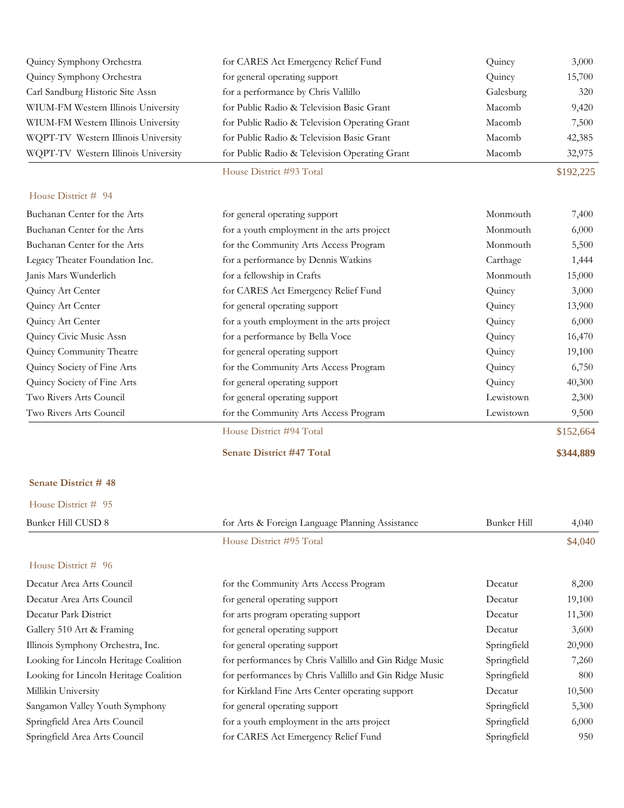| Quincy Symphony Orchestra           | for CARES Act Emergency Relief Fund           | Quincy    | 3,000     |
|-------------------------------------|-----------------------------------------------|-----------|-----------|
| Quincy Symphony Orchestra           | for general operating support                 | Quincy    | 15,700    |
| Carl Sandburg Historic Site Assn    | for a performance by Chris Vallillo           | Galesburg | 320       |
| WIUM-FM Western Illinois University | for Public Radio & Television Basic Grant     | Macomb    | 9,420     |
| WIUM-FM Western Illinois University | for Public Radio & Television Operating Grant | Macomb    | 7,500     |
| WQPT-TV Western Illinois University | for Public Radio & Television Basic Grant     | Macomb    | 42,385    |
| WQPT-TV Western Illinois University | for Public Radio & Television Operating Grant | Macomb    | 32,975    |
|                                     | House District #93 Total                      |           | \$192,225 |
| House District # 94                 |                                               |           |           |
| Buchanan Center for the Arts        | for general operating support                 | Monmouth  | 7,400     |
| Buchanan Center for the Arts        | for a youth employment in the arts project    | Monmouth  | 6,000     |
| Buchanan Center for the Arts        | for the Community Arts Access Program         | Monmouth  | 5,500     |
| Legacy Theater Foundation Inc.      | for a performance by Dennis Watkins           | Carthage  | 1,444     |
| Janis Mars Wunderlich               | for a fellowship in Crafts                    | Monmouth  | 15,000    |
| Quincy Art Center                   | for CARES Act Emergency Relief Fund           | Quincy    | 3,000     |
| Quincy Art Center                   | for general operating support                 | Quincy    | 13,900    |
| Quincy Art Center                   | for a youth employment in the arts project    | Quincy    | 6,000     |
| Quincy Civic Music Assn             | for a performance by Bella Voce               | Quincy    | 16,470    |
| Quincy Community Theatre            | for general operating support                 | Quincy    | 19,100    |
| Quincy Society of Fine Arts         | for the Community Arts Access Program         | Quincy    | 6,750     |
| Quincy Society of Fine Arts         | for general operating support                 | Quincy    | 40,300    |
| Two Rivers Arts Council             | for general operating support                 | Lewistown | 2,300     |
| Two Rivers Arts Council             | for the Community Arts Access Program         | Lewistown | 9,500     |
|                                     | House District #94 Total                      |           | \$152,664 |
|                                     | <b>Senate District #47 Total</b>              |           | \$344,889 |

# **Senate District # 48** House District # 95

| Bunker Hill CUSD 8                     | for Arts & Foreign Language Planning Assistance        | Bunker Hill | 4,040   |
|----------------------------------------|--------------------------------------------------------|-------------|---------|
|                                        | House District #95 Total                               |             | \$4,040 |
| House District # 96                    |                                                        |             |         |
| Decatur Area Arts Council              | for the Community Arts Access Program                  | Decatur     | 8,200   |
| Decatur Area Arts Council              | for general operating support                          | Decatur     | 19,100  |
| Decatur Park District                  | for arts program operating support                     | Decatur     | 11,300  |
| Gallery 510 Art & Framing              | for general operating support                          | Decatur     | 3,600   |
| Illinois Symphony Orchestra, Inc.      | for general operating support                          | Springfield | 20,900  |
| Looking for Lincoln Heritage Coalition | for performances by Chris Vallillo and Gin Ridge Music | Springfield | 7,260   |
| Looking for Lincoln Heritage Coalition | for performances by Chris Vallillo and Gin Ridge Music | Springfield | 800     |
| Millikin University                    | for Kirkland Fine Arts Center operating support        | Decatur     | 10,500  |
| Sangamon Valley Youth Symphony         | for general operating support                          | Springfield | 5,300   |
| Springfield Area Arts Council          | for a youth employment in the arts project             | Springfield | 6,000   |
| Springfield Area Arts Council          | for CARES Act Emergency Relief Fund                    | Springfield | 950     |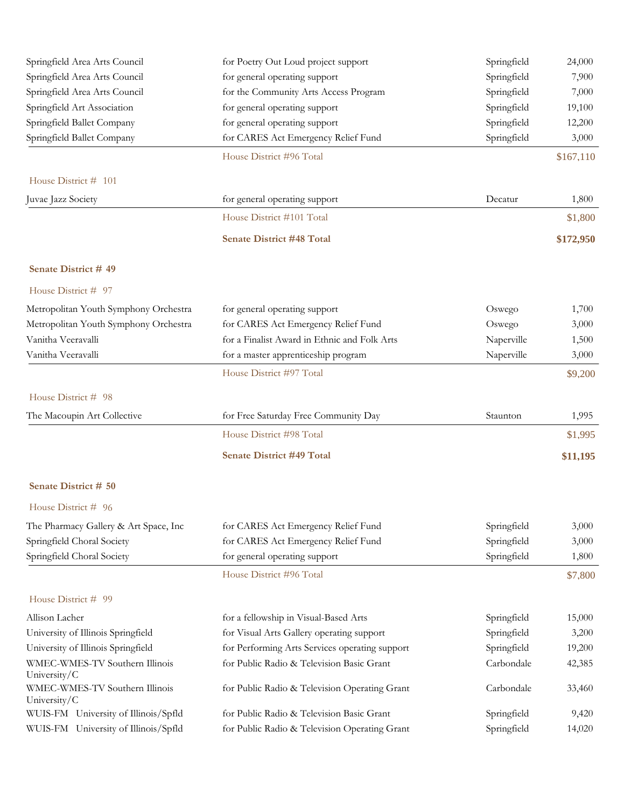| Springfield Area Arts Council                  | for Poetry Out Loud project support            | Springfield | 24,000    |
|------------------------------------------------|------------------------------------------------|-------------|-----------|
| Springfield Area Arts Council                  | for general operating support                  | Springfield | 7,900     |
| Springfield Area Arts Council                  | for the Community Arts Access Program          | Springfield | 7,000     |
| Springfield Art Association                    | for general operating support                  | Springfield | 19,100    |
| Springfield Ballet Company                     | for general operating support                  | Springfield | 12,200    |
| Springfield Ballet Company                     | for CARES Act Emergency Relief Fund            | Springfield | 3,000     |
|                                                | House District #96 Total                       |             | \$167,110 |
| House District # 101                           |                                                |             |           |
| Juvae Jazz Society                             | for general operating support                  | Decatur     | 1,800     |
|                                                | House District #101 Total                      |             | \$1,800   |
|                                                | <b>Senate District #48 Total</b>               |             | \$172,950 |
| Senate District #49                            |                                                |             |           |
| House District # 97                            |                                                |             |           |
| Metropolitan Youth Symphony Orchestra          | for general operating support                  | Oswego      | 1,700     |
| Metropolitan Youth Symphony Orchestra          | for CARES Act Emergency Relief Fund            | Oswego      | 3,000     |
| Vanitha Veeravalli                             | for a Finalist Award in Ethnic and Folk Arts   | Naperville  | 1,500     |
| Vanitha Veeravalli                             | for a master apprenticeship program            | Naperville  | 3,000     |
|                                                | House District #97 Total                       |             | \$9,200   |
| House District # 98                            |                                                |             |           |
| The Macoupin Art Collective                    | for Free Saturday Free Community Day           | Staunton    | 1,995     |
|                                                | House District #98 Total                       |             | \$1,995   |
|                                                | <b>Senate District #49 Total</b>               |             | \$11,195  |
| Senate District # 50                           |                                                |             |           |
| House District # 96                            |                                                |             |           |
| The Pharmacy Gallery & Art Space, Inc          | for CARES Act Emergency Relief Fund            | Springfield | 3,000     |
| Springfield Choral Society                     | for CARES Act Emergency Relief Fund            | Springfield | 3,000     |
| Springfield Choral Society                     | for general operating support                  | Springfield | 1,800     |
|                                                | House District #96 Total                       |             | \$7,800   |
| House District # 99                            |                                                |             |           |
| Allison Lacher                                 | for a fellowship in Visual-Based Arts          | Springfield | 15,000    |
| University of Illinois Springfield             | for Visual Arts Gallery operating support      | Springfield | 3,200     |
| University of Illinois Springfield             | for Performing Arts Services operating support | Springfield | 19,200    |
| WMEC-WMES-TV Southern Illinois<br>University/C | for Public Radio & Television Basic Grant      | Carbondale  | 42,385    |
| WMEC-WMES-TV Southern Illinois<br>University/C | for Public Radio & Television Operating Grant  | Carbondale  | 33,460    |
| WUIS-FM University of Illinois/Spfld           | for Public Radio & Television Basic Grant      | Springfield | 9,420     |
| WUIS-FM University of Illinois/Spfld           | for Public Radio & Television Operating Grant  | Springfield | 14,020    |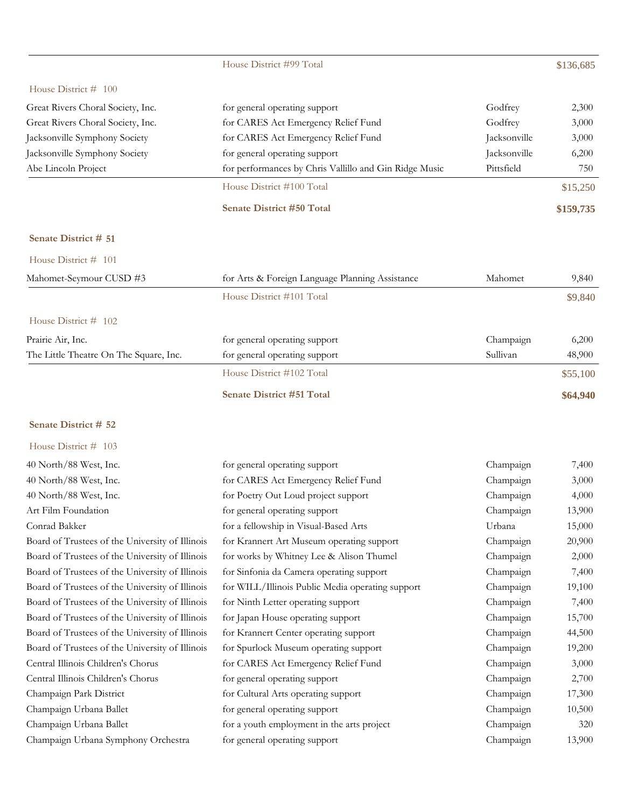|                                        | House District #99 Total                               |              | \$136,685 |
|----------------------------------------|--------------------------------------------------------|--------------|-----------|
| House District # 100                   |                                                        |              |           |
| Great Rivers Choral Society, Inc.      | for general operating support                          | Godfrey      | 2,300     |
| Great Rivers Choral Society, Inc.      | for CARES Act Emergency Relief Fund                    | Godfrey      | 3,000     |
| Jacksonville Symphony Society          | for CARES Act Emergency Relief Fund                    | Jacksonville | 3,000     |
| Jacksonville Symphony Society          | for general operating support                          | Jacksonville | 6,200     |
| Abe Lincoln Project                    | for performances by Chris Vallillo and Gin Ridge Music | Pittsfield   | 750       |
|                                        | House District #100 Total                              |              | \$15,250  |
|                                        | <b>Senate District #50 Total</b>                       |              | \$159,735 |
| Senate District # 51                   |                                                        |              |           |
| House District # 101                   |                                                        |              |           |
| Mahomet-Seymour CUSD #3                | for Arts & Foreign Language Planning Assistance        | Mahomet      | 9,840     |
|                                        | House District #101 Total                              |              | \$9,840   |
| House District # 102                   |                                                        |              |           |
| Prairie Air, Inc.                      | for general operating support                          | Champaign    | 6,200     |
| The Little Theatre On The Square, Inc. | for general operating support                          | Sullivan     | 48,900    |
|                                        | House District #102 Total                              |              | \$55,100  |
|                                        | <b>Senate District #51 Total</b>                       |              | \$64,940  |

|  | House District $\#$ 103 |  |  |
|--|-------------------------|--|--|
|--|-------------------------|--|--|

| 40 North/88 West, Inc.                          | for general operating support                    | Champaign | 7,400  |
|-------------------------------------------------|--------------------------------------------------|-----------|--------|
| 40 North/88 West, Inc.                          | for CARES Act Emergency Relief Fund              | Champaign | 3,000  |
| 40 North/88 West, Inc.                          | for Poetry Out Loud project support              | Champaign | 4,000  |
| Art Film Foundation                             | for general operating support                    | Champaign | 13,900 |
| Conrad Bakker                                   | for a fellowship in Visual-Based Arts            | Urbana    | 15,000 |
| Board of Trustees of the University of Illinois | for Krannert Art Museum operating support        | Champaign | 20,900 |
| Board of Trustees of the University of Illinois | for works by Whitney Lee & Alison Thumel         | Champaign | 2,000  |
| Board of Trustees of the University of Illinois | for Sinfonia da Camera operating support         | Champaign | 7,400  |
| Board of Trustees of the University of Illinois | for WILL/Illinois Public Media operating support | Champaign | 19,100 |
| Board of Trustees of the University of Illinois | for Ninth Letter operating support               | Champaign | 7,400  |
| Board of Trustees of the University of Illinois | for Japan House operating support                | Champaign | 15,700 |
| Board of Trustees of the University of Illinois | for Krannert Center operating support            | Champaign | 44,500 |
| Board of Trustees of the University of Illinois | for Spurlock Museum operating support            | Champaign | 19,200 |
| Central Illinois Children's Chorus              | for CARES Act Emergency Relief Fund              | Champaign | 3,000  |
| Central Illinois Children's Chorus              | for general operating support                    | Champaign | 2,700  |
| Champaign Park District                         | for Cultural Arts operating support              | Champaign | 17,300 |
| Champaign Urbana Ballet                         | for general operating support                    | Champaign | 10,500 |
| Champaign Urbana Ballet                         | for a youth employment in the arts project       | Champaign | 320    |
| Champaign Urbana Symphony Orchestra             | for general operating support                    | Champaign | 13,900 |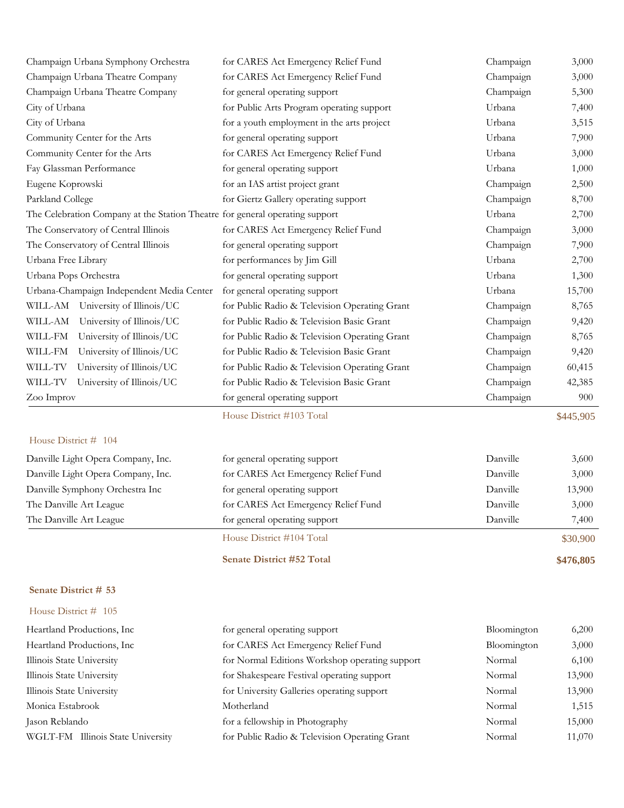| Champaign Urbana Symphony Orchestra                                          | for CARES Act Emergency Relief Fund           | Champaign | 3,000     |
|------------------------------------------------------------------------------|-----------------------------------------------|-----------|-----------|
| Champaign Urbana Theatre Company                                             | for CARES Act Emergency Relief Fund           | Champaign | 3,000     |
| Champaign Urbana Theatre Company                                             | for general operating support                 | Champaign | 5,300     |
| City of Urbana                                                               | for Public Arts Program operating support     | Urbana    | 7,400     |
| City of Urbana                                                               | for a youth employment in the arts project    | Urbana    | 3,515     |
| Community Center for the Arts                                                | for general operating support                 | Urbana    | 7,900     |
| Community Center for the Arts                                                | for CARES Act Emergency Relief Fund           | Urbana    | 3,000     |
| Fay Glassman Performance                                                     | for general operating support                 | Urbana    | 1,000     |
| Eugene Koprowski                                                             | for an IAS artist project grant               | Champaign | 2,500     |
| Parkland College                                                             | for Giertz Gallery operating support          | Champaign | 8,700     |
| The Celebration Company at the Station Theatre for general operating support |                                               | Urbana    | 2,700     |
| The Conservatory of Central Illinois                                         | for CARES Act Emergency Relief Fund           | Champaign | 3,000     |
| The Conservatory of Central Illinois                                         | for general operating support                 | Champaign | 7,900     |
| Urbana Free Library                                                          | for performances by Jim Gill                  | Urbana    | 2,700     |
| Urbana Pops Orchestra                                                        | for general operating support                 | Urbana    | 1,300     |
| Urbana-Champaign Independent Media Center                                    | for general operating support                 | Urbana    | 15,700    |
| WILL-AM University of Illinois/UC                                            | for Public Radio & Television Operating Grant | Champaign | 8,765     |
| WILL-AM<br>University of Illinois/UC                                         | for Public Radio & Television Basic Grant     | Champaign | 9,420     |
| WILL-FM<br>University of Illinois/UC                                         | for Public Radio & Television Operating Grant | Champaign | 8,765     |
| WILL-FM<br>University of Illinois/UC                                         | for Public Radio & Television Basic Grant     | Champaign | 9,420     |
| WILL-TV<br>University of Illinois/UC                                         | for Public Radio & Television Operating Grant | Champaign | 60,415    |
| WILL-TV<br>University of Illinois/UC                                         | for Public Radio & Television Basic Grant     | Champaign | 42,385    |
| Zoo Improv                                                                   | for general operating support                 | Champaign | 900       |
|                                                                              | House District #103 Total                     |           | \$445,905 |

|                                    | House District #104 Total           |          | \$30,900 |
|------------------------------------|-------------------------------------|----------|----------|
| The Danville Art League            | for general operating support       | Danville | 7.400    |
| The Danville Art League            | for CARES Act Emergency Relief Fund | Danville | 3,000    |
| Danville Symphony Orchestra Inc    | for general operating support       | Danville | 13,900   |
| Danville Light Opera Company, Inc. | for CARES Act Emergency Relief Fund | Danville | 3,000    |
| Danville Light Opera Company, Inc. | for general operating support       | Danville | 3,600    |

**Senate District #52 Total \$476,805**

### **Senate District # 53**

| Heartland Productions, Inc.       | for general operating support                  | Bloomington | 6,200  |
|-----------------------------------|------------------------------------------------|-------------|--------|
| Heartland Productions, Inc.       | for CARES Act Emergency Relief Fund            | Bloomington | 3,000  |
| Illinois State University         | for Normal Editions Workshop operating support | Normal      | 6,100  |
| Illinois State University         | for Shakespeare Festival operating support     | Normal      | 13,900 |
| Illinois State University         | for University Galleries operating support     | Normal      | 13,900 |
| Monica Estabrook                  | Motherland                                     | Normal      | 1,515  |
| Jason Reblando                    | for a fellowship in Photography                | Normal      | 15,000 |
| WGLT-FM Illinois State University | for Public Radio & Television Operating Grant  | Normal      | 11,070 |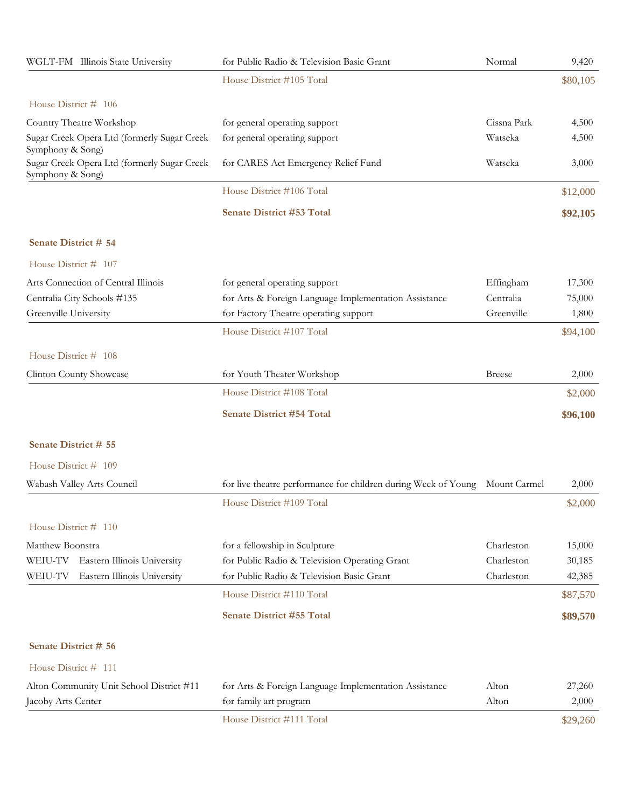| WGLT-FM Illinois State University                               | for Public Radio & Television Basic Grant                                   | Normal        | 9,420    |
|-----------------------------------------------------------------|-----------------------------------------------------------------------------|---------------|----------|
|                                                                 | House District #105 Total                                                   |               | \$80,105 |
| House District # 106                                            |                                                                             |               |          |
| Country Theatre Workshop                                        | for general operating support                                               | Cissna Park   | 4,500    |
| Sugar Creek Opera Ltd (formerly Sugar Creek<br>Symphony & Song) | for general operating support                                               | Watseka       | 4,500    |
| Sugar Creek Opera Ltd (formerly Sugar Creek<br>Symphony & Song) | for CARES Act Emergency Relief Fund                                         | Watseka       | 3,000    |
|                                                                 | House District #106 Total                                                   |               | \$12,000 |
|                                                                 | <b>Senate District #53 Total</b>                                            |               | \$92,105 |
| Senate District # 54                                            |                                                                             |               |          |
| House District # 107                                            |                                                                             |               |          |
| Arts Connection of Central Illinois                             | for general operating support                                               | Effingham     | 17,300   |
| Centralia City Schools #135                                     | for Arts & Foreign Language Implementation Assistance                       | Centralia     | 75,000   |
| Greenville University                                           | for Factory Theatre operating support                                       | Greenville    | 1,800    |
|                                                                 | House District #107 Total                                                   |               | \$94,100 |
| House District # 108                                            |                                                                             |               |          |
| Clinton County Showcase                                         | for Youth Theater Workshop                                                  | <b>Breese</b> | 2,000    |
|                                                                 | House District #108 Total                                                   |               | \$2,000  |
|                                                                 | <b>Senate District #54 Total</b>                                            |               | \$96,100 |
| Senate District # 55                                            |                                                                             |               |          |
| House District # 109                                            |                                                                             |               |          |
| Wabash Valley Arts Council                                      | for live theatre performance for children during Week of Young Mount Carmel |               | 2,000    |
|                                                                 | House District #109 Total                                                   |               | \$2,000  |
| House District # 110                                            |                                                                             |               |          |
| Matthew Boonstra                                                | for a fellowship in Sculpture                                               | Charleston    | 15,000   |
| WEIU-TV<br>Eastern Illinois University                          | for Public Radio & Television Operating Grant                               | Charleston    | 30,185   |
| Eastern Illinois University<br>WEIU-TV                          | for Public Radio & Television Basic Grant                                   | Charleston    | 42,385   |
|                                                                 | House District #110 Total                                                   |               | \$87,570 |
|                                                                 | <b>Senate District #55 Total</b>                                            |               | \$89,570 |
| Senate District # 56                                            |                                                                             |               |          |
| House District # 111                                            |                                                                             |               |          |
| Alton Community Unit School District #11                        | for Arts & Foreign Language Implementation Assistance                       | Alton         | 27,260   |
| Jacoby Arts Center                                              | for family art program                                                      | Alton         | 2,000    |
|                                                                 | House District #111 Total                                                   |               | \$29,260 |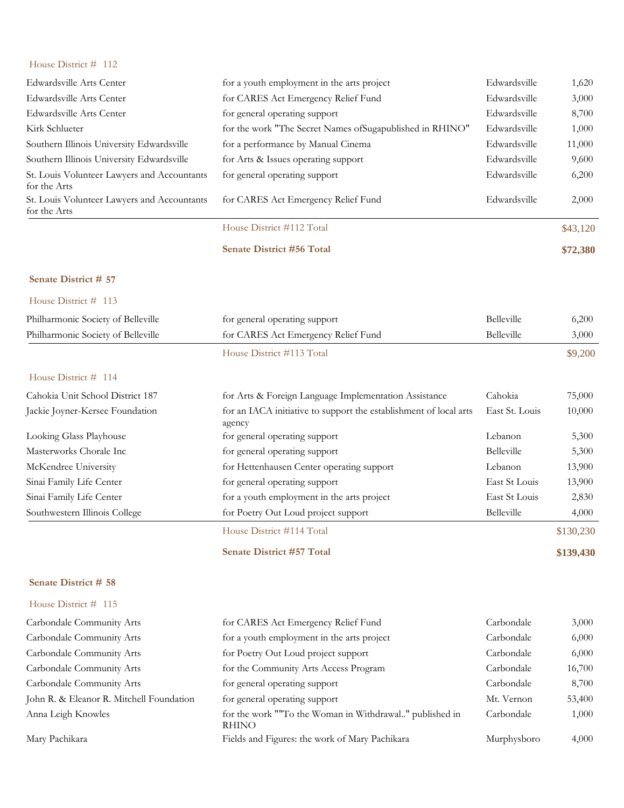| Edwardsville Arts Center                                    | for a youth employment in the arts project                | Edwardsville | 1,620    |
|-------------------------------------------------------------|-----------------------------------------------------------|--------------|----------|
| Edwardsville Arts Center                                    | for CARES Act Emergency Relief Fund                       | Edwardsville | 3,000    |
| Edwardsville Arts Center                                    | for general operating support                             | Edwardsville | 8,700    |
| Kirk Schlueter                                              | for the work "The Secret Names of Sugapublished in RHINO" | Edwardsville | 1,000    |
| Southern Illinois University Edwardsville                   | for a performance by Manual Cinema                        | Edwardsville | 11,000   |
| Southern Illinois University Edwardsville                   | for Arts & Issues operating support                       | Edwardsville | 9,600    |
| St. Louis Volunteer Lawyers and Accountants<br>for the Arts | for general operating support                             | Edwardsville | 6,200    |
| St. Louis Volunteer Lawyers and Accountants<br>for the Arts | for CARES Act Emergency Relief Fund                       | Edwardsville | 2,000    |
|                                                             | House District #112 Total                                 |              | \$43,120 |
|                                                             | <b>Senate District #56 Total</b>                          |              | \$72,380 |
| Senate District # 57                                        |                                                           |              |          |

### House District # 113

| Philharmonic Society of Belleville | for general operating support                                               | <b>Belleville</b> | 6,200   |
|------------------------------------|-----------------------------------------------------------------------------|-------------------|---------|
| Philharmonic Society of Belleville | for CARES Act Emergency Relief Fund                                         | <b>Belleville</b> | 3,000   |
|                                    | House District #113 Total                                                   |                   | \$9,200 |
| House District $#$ 114             |                                                                             |                   |         |
| Cahokia Unit School District 187   | for Arts & Foreign Language Implementation Assistance                       | Cahokia           | 75,000  |
| Jackie Joyner-Kersee Foundation    | for an IACA initiative to support the establishment of local arts<br>agency | East St. Louis    | 10,000  |
| Looking Glass Playhouse            | for general operating support                                               | Lebanon           | 5,300   |
| Masterworks Chorale Inc            | for general operating support                                               | <b>Belleville</b> | 5,300   |
| McKendree University               | for Hettenhausen Center operating support                                   | Lebanon           | 13,900  |
| Sinai Family Life Center           | for general operating support                                               | East St Louis     | 13,900  |
| Sinai Family Life Center           | for a youth employment in the arts project                                  | East St Louis     | 2,830   |
| Southwestern Illinois College      | for Poetry Out Loud project support                                         | Belleville        | 4,000   |

House District #114 Total \$130,230

**Senate District #57 Total \$139,430**

# **Senate District # 58** House District # 115

| Carbondale Community Arts                | for CARES Act Emergency Relief Fund                                     | Carbondale  | 3,000  |
|------------------------------------------|-------------------------------------------------------------------------|-------------|--------|
| Carbondale Community Arts                | for a youth employment in the arts project                              | Carbondale  | 6,000  |
| Carbondale Community Arts                | for Poetry Out Loud project support                                     | Carbondale  | 6,000  |
| Carbondale Community Arts                | for the Community Arts Access Program                                   | Carbondale  | 16,700 |
| Carbondale Community Arts                | for general operating support                                           | Carbondale  | 8,700  |
| John R. & Eleanor R. Mitchell Foundation | for general operating support                                           | Mt. Vernon  | 53,400 |
| Anna Leigh Knowles                       | for the work ""To the Woman in Withdrawal" published in<br><b>RHINO</b> | Carbondale  | 1,000  |
| Mary Pachikara                           | Fields and Figures: the work of Mary Pachikara                          | Murphysboro | 4,000  |